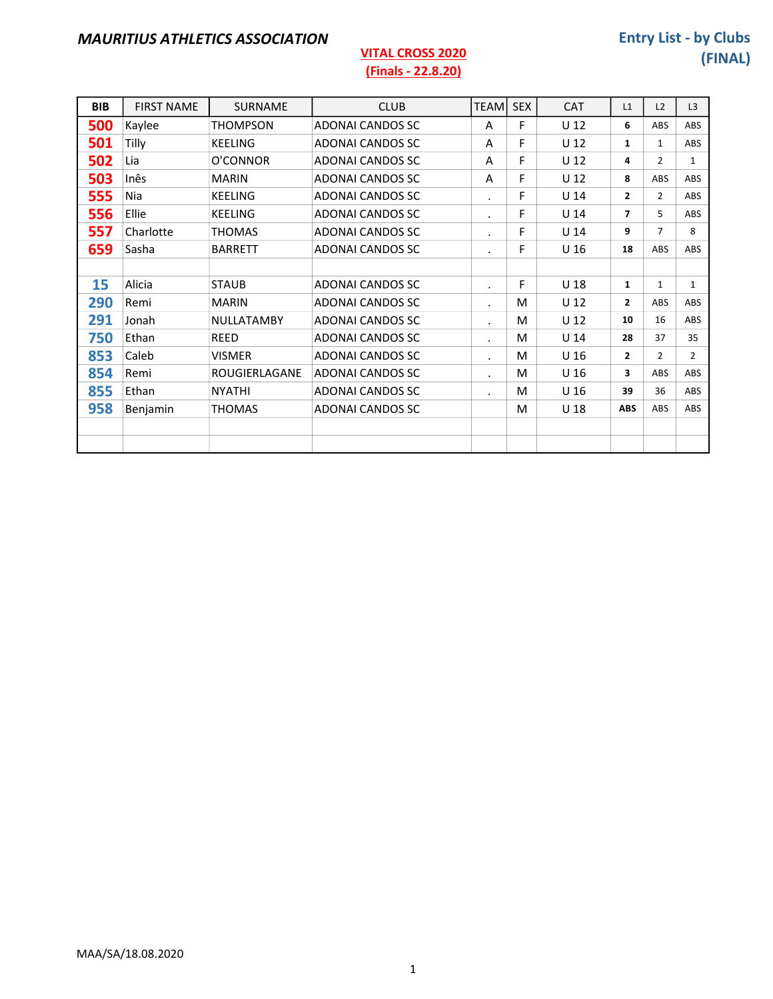#### VITAL CROSS 2020 (Finals - 22.8.20)

#### Entry List - by Clubs (FINAL)

| <b>BIB</b> | <b>FIRST NAME</b> | <b>SURNAME</b>       | <b>CLUB</b>             | <b>TEAM</b>          | <b>SEX</b> | CAT             | L1             | L2             | L3           |
|------------|-------------------|----------------------|-------------------------|----------------------|------------|-----------------|----------------|----------------|--------------|
| 500        | Kaylee            | <b>THOMPSON</b>      | ADONAI CANDOS SC        | A                    | F          | U <sub>12</sub> | 6              | <b>ABS</b>     | <b>ABS</b>   |
| 501        | Tilly             | <b>KEELING</b>       | ADONAI CANDOS SC        | A                    | F          | U <sub>12</sub> | 1              | $\mathbf{1}$   | <b>ABS</b>   |
| 502        | Lia               | O'CONNOR             | ADONAL CANDOS SC        | A                    | F          | U <sub>12</sub> | 4              | 2              | $\mathbf{1}$ |
| 503        | Inês              | <b>MARIN</b>         | ADONAL CANDOS SC        | A                    | F          | U <sub>12</sub> | 8              | ABS            | <b>ABS</b>   |
| 555        | Nia               | <b>KEELING</b>       | ADONAL CANDOS SC        | $\cdot$              | F          | U <sub>14</sub> | $\mathbf{2}$   | $\overline{2}$ | ABS          |
| 556        | Ellie             | <b>KEELING</b>       | ADONAL CANDOS SC        | $\ddot{\phantom{a}}$ | F          | U <sub>14</sub> | 7              | 5              | <b>ABS</b>   |
| 557        | Charlotte         | <b>THOMAS</b>        | ADONAL CANDOS SC        | $\cdot$              | F          | U <sub>14</sub> | 9              | $\overline{7}$ | 8            |
| 659        | Sasha             | <b>BARRETT</b>       | ADONAI CANDOS SC        | $\cdot$              | F          | U <sub>16</sub> | 18             | ABS            | <b>ABS</b>   |
| 15         | Alicia            | <b>STAUB</b>         | ADONAL CANDOS SC        | $\bullet$            | F          | U 18            | $\mathbf{1}$   | $\mathbf{1}$   | $\mathbf{1}$ |
| 290        | Remi              | <b>MARIN</b>         | ADONAI CANDOS SC        | $\bullet$            | M          | U <sub>12</sub> | $\overline{2}$ | ABS            | ABS          |
| 291        | Jonah             | <b>NULLATAMBY</b>    | <b>ADONAI CANDOS SC</b> | $\bullet$            | M          | U <sub>12</sub> | 10             | 16             | ABS          |
| 750        | Ethan             | <b>REED</b>          | ADONAI CANDOS SC        | $\bullet$            | M          | U <sub>14</sub> | 28             | 37             | 35           |
| 853        | Caleb             | <b>VISMER</b>        | ADONAL CANDOS SC        | $\bullet$            | M          | U <sub>16</sub> | $\overline{2}$ | $\overline{2}$ | 2            |
| 854        | Remi              | <b>ROUGIERLAGANE</b> | ADONAL CANDOS SC        | $\bullet$            | M          | U <sub>16</sub> | 3              | <b>ABS</b>     | <b>ABS</b>   |
| 855        | Ethan             | <b>NYATHI</b>        | <b>ADONAI CANDOS SC</b> | $\cdot$              | M          | U <sub>16</sub> | 39             | 36             | <b>ABS</b>   |
| 958        | Benjamin          | <b>THOMAS</b>        | ADONAI CANDOS SC        |                      | M          | U <sub>18</sub> | <b>ABS</b>     | ABS            | ABS          |
|            |                   |                      |                         |                      |            |                 |                |                |              |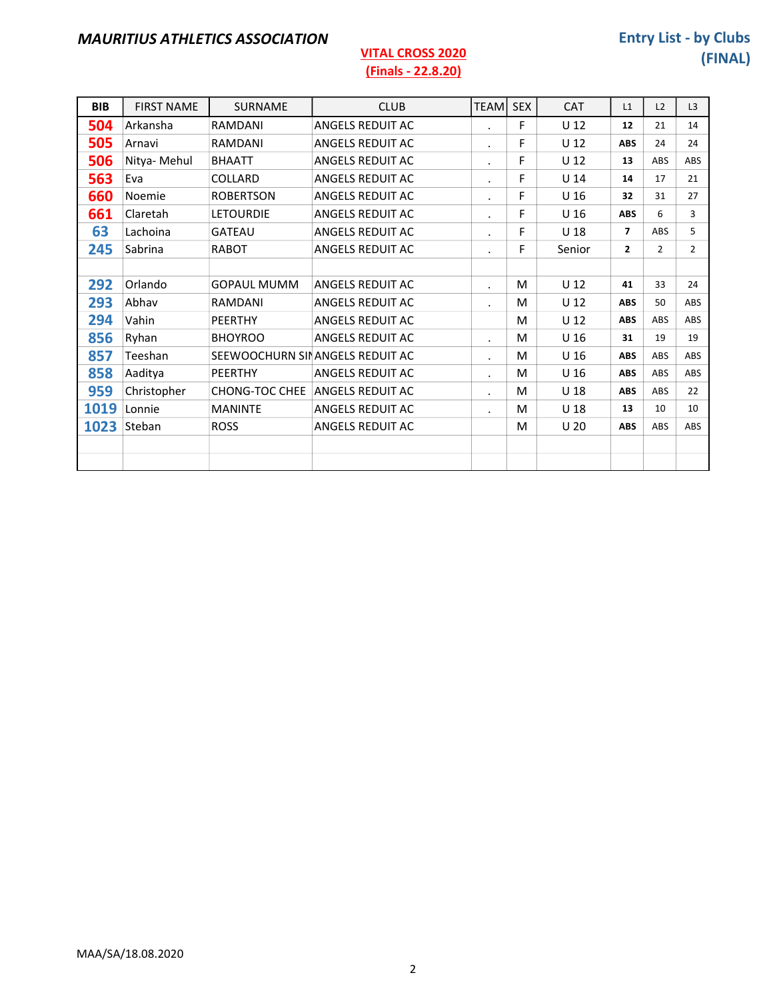| <b>BIB</b> | <b>FIRST NAME</b> | SURNAME               | <b>CLUB</b>                     | <b>TEAM</b> | <b>SEX</b> | <b>CAT</b>      | L1             | L2             | L3             |
|------------|-------------------|-----------------------|---------------------------------|-------------|------------|-----------------|----------------|----------------|----------------|
| 504        | Arkansha          | RAMDANI               | ANGELS REDUIT AC                |             | F          | U <sub>12</sub> | 12             | 21             | 14             |
| 505        | Arnavi            | RAMDANI               | ANGELS REDUIT AC                |             | F          | U <sub>12</sub> | <b>ABS</b>     | 24             | 24             |
| 506        | Nitya-Mehul       | <b>BHAATT</b>         | ANGELS REDUIT AC                | $\bullet$   | F          | U <sub>12</sub> | 13             | ABS            | ABS            |
| 563        | Eva               | COLLARD               | ANGELS REDUIT AC                | $\bullet$   | F          | U <sub>14</sub> | 14             | 17             | 21             |
| 660        | Noemie            | <b>ROBERTSON</b>      | ANGELS REDUIT AC                | $\cdot$     | F          | U <sub>16</sub> | 32             | 31             | 27             |
| 661        | Claretah          | <b>LETOURDIE</b>      | ANGELS REDUIT AC                | $\bullet$   | F          | U <sub>16</sub> | <b>ABS</b>     | 6              | 3              |
| 63         | Lachoina          | <b>GATEAU</b>         | ANGELS REDUIT AC                | $\bullet$   | F          | U <sub>18</sub> | $\overline{7}$ | ABS            | 5              |
| 245        | Sabrina           | <b>RABOT</b>          | ANGELS REDUIT AC                | $\cdot$     | F          | Senior          | $\overline{2}$ | $\overline{2}$ | $\overline{2}$ |
|            |                   |                       |                                 |             |            |                 |                |                |                |
| 292        | Orlando           | <b>GOPAUL MUMM</b>    | ANGELS REDUIT AC                | $\cdot$     | M          | U <sub>12</sub> | 41             | 33             | 24             |
| 293        | Abhav             | RAMDANI               | ANGELS REDUIT AC                | $\bullet$   | M          | U <sub>12</sub> | <b>ABS</b>     | 50             | ABS            |
| 294        | Vahin             | PEERTHY               | ANGELS REDUIT AC                |             | M          | U <sub>12</sub> | <b>ABS</b>     | ABS            | ABS            |
| 856        | Ryhan             | <b>BHOYROO</b>        | ANGELS REDUIT AC                | $\bullet$   | M          | U <sub>16</sub> | 31             | 19             | 19             |
| 857        | Teeshan           |                       | SEEWOOCHURN SINANGELS REDUIT AC | $\cdot$     | M          | U <sub>16</sub> | <b>ABS</b>     | ABS            | ABS            |
| 858        | Aaditya           | <b>PEERTHY</b>        | ANGELS REDUIT AC                | $\bullet$   | M          | U <sub>16</sub> | <b>ABS</b>     | ABS            | ABS            |
| 959        | Christopher       | <b>CHONG-TOC CHEE</b> | <b>ANGELS REDUIT AC</b>         | $\bullet$   | M          | U <sub>18</sub> | <b>ABS</b>     | <b>ABS</b>     | 22             |
| 1019       | Lonnie            | <b>MANINTE</b>        | ANGELS REDUIT AC                | $\cdot$     | M          | U <sub>18</sub> | 13             | 10             | 10             |
| 1023       | Steban            | <b>ROSS</b>           | ANGELS REDUIT AC                |             | M          | U <sub>20</sub> | <b>ABS</b>     | ABS            | ABS            |
|            |                   |                       |                                 |             |            |                 |                |                |                |
|            |                   |                       |                                 |             |            |                 |                |                |                |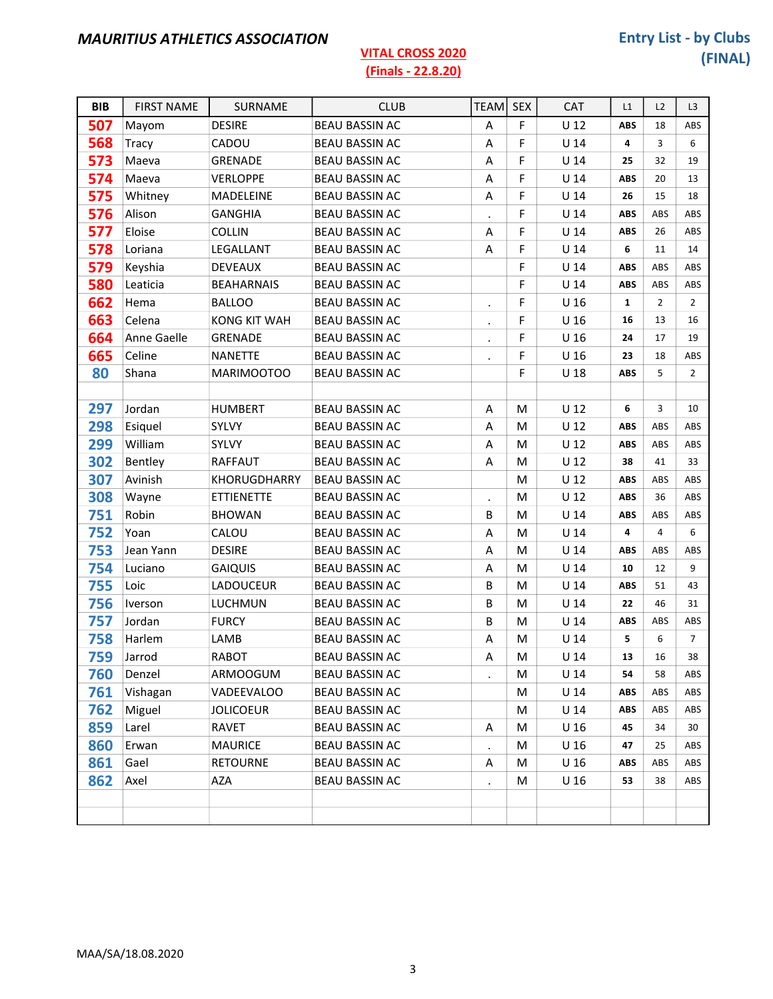| <b>BIB</b> | <b>FIRST NAME</b> | SURNAME             | <b>CLUB</b>           | <b>TEAM</b> | <b>SEX</b> | <b>CAT</b>      | L1           | L2             | L <sub>3</sub> |
|------------|-------------------|---------------------|-----------------------|-------------|------------|-----------------|--------------|----------------|----------------|
| 507        | Mayom             | <b>DESIRE</b>       | <b>BEAU BASSIN AC</b> | Α           | F          | U 12            | <b>ABS</b>   | 18             | ABS            |
| 568        | <b>Tracy</b>      | CADOU               | <b>BEAU BASSIN AC</b> | A           | F          | U <sub>14</sub> | 4            | 3              | 6              |
| 573        | Maeva             | GRENADE             | <b>BEAU BASSIN AC</b> | Α           | F          | U <sub>14</sub> | 25           | 32             | 19             |
| 574        | Maeva             | <b>VERLOPPE</b>     | <b>BEAU BASSIN AC</b> | Α           | F          | U <sub>14</sub> | <b>ABS</b>   | 20             | 13             |
| 575        | Whitney           | MADELEINE           | <b>BEAU BASSIN AC</b> | Α           | F          | U <sub>14</sub> | 26           | 15             | 18             |
| 576        | Alison            | <b>GANGHIA</b>      | <b>BEAU BASSIN AC</b> | $\bullet$   | F          | U <sub>14</sub> | <b>ABS</b>   | ABS            | ABS            |
| 577        | Eloise            | COLLIN              | <b>BEAU BASSIN AC</b> | A           | F          | $U$ 14          | <b>ABS</b>   | 26             | ABS            |
| 578        | Loriana           | LEGALLANT           | <b>BEAU BASSIN AC</b> | Α           | F          | U <sub>14</sub> | 6            | 11             | 14             |
| 579        | Keyshia           | <b>DEVEAUX</b>      | <b>BEAU BASSIN AC</b> |             | F          | U <sub>14</sub> | <b>ABS</b>   | ABS            | ABS            |
| 580        | Leaticia          | <b>BEAHARNAIS</b>   | <b>BEAU BASSIN AC</b> |             | F          | $U$ 14          | <b>ABS</b>   | ABS            | ABS            |
| 662        | Hema              | <b>BALLOO</b>       | <b>BEAU BASSIN AC</b> | $\bullet$   | F          | U <sub>16</sub> | $\mathbf{1}$ | $\overline{2}$ | $\overline{2}$ |
| 663        | Celena            | <b>KONG KIT WAH</b> | <b>BEAU BASSIN AC</b> | $\cdot$     | F          | U <sub>16</sub> | 16           | 13             | 16             |
| 664        | Anne Gaelle       | GRENADE             | <b>BEAU BASSIN AC</b> | $\bullet$   | F          | U <sub>16</sub> | 24           | 17             | 19             |
| 665        | Celine            | <b>NANETTE</b>      | <b>BEAU BASSIN AC</b> | $\bullet$   | F          | U <sub>16</sub> | 23           | 18             | ABS            |
| 80         | Shana             | <b>MARIMOOTOO</b>   | <b>BEAU BASSIN AC</b> |             | F          | U <sub>18</sub> | <b>ABS</b>   | 5              | $\overline{2}$ |
|            |                   |                     |                       |             |            |                 |              |                |                |
| 297        | Jordan            | <b>HUMBERT</b>      | <b>BEAU BASSIN AC</b> | Α           | M          | U 12            | 6            | 3              | 10             |
| 298        | Esiquel           | SYLVY               | <b>BEAU BASSIN AC</b> | Α           | M          | $U$ 12          | <b>ABS</b>   | ABS            | ABS            |
| 299        | William           | SYLVY               | <b>BEAU BASSIN AC</b> | Α           | M          | U <sub>12</sub> | <b>ABS</b>   | ABS            | <b>ABS</b>     |
| 302        | Bentley           | <b>RAFFAUT</b>      | <b>BEAU BASSIN AC</b> | Α           | M          | $U$ 12          | 38           | 41             | 33             |
| 307        | Avinish           | KHORUGDHARRY        | <b>BEAU BASSIN AC</b> |             | M          | $U$ 12          | <b>ABS</b>   | ABS            | ABS            |
| 308        | Wayne             | <b>ETTIENETTE</b>   | <b>BEAU BASSIN AC</b> | $\cdot$     | M          | $U$ 12          | <b>ABS</b>   | 36             | ABS            |
| 751        | Robin             | <b>BHOWAN</b>       | <b>BEAU BASSIN AC</b> | В           | M          | $U$ 14          | <b>ABS</b>   | ABS            | ABS            |
| 752        | Yoan              | CALOU               | <b>BEAU BASSIN AC</b> | Α           | M          | $U$ 14          | 4            | 4              | 6              |
| 753        | Jean Yann         | <b>DESIRE</b>       | <b>BEAU BASSIN AC</b> | Α           | м          | U <sub>14</sub> | <b>ABS</b>   | ABS            | ABS            |
| 754        | Luciano           | <b>GAIQUIS</b>      | <b>BEAU BASSIN AC</b> | А           | M          | U <sub>14</sub> | 10           | 12             | 9              |
| 755        | Loic              | <b>LADOUCEUR</b>    | <b>BEAU BASSIN AC</b> | В           | M          | U <sub>14</sub> | <b>ABS</b>   | 51             | 43             |
| 756        | Iverson           | <b>LUCHMUN</b>      | <b>BEAU BASSIN AC</b> | B           | M          | $U$ 14          | 22           | 46             | 31             |
| 757        | Jordan            | <b>FURCY</b>        | <b>BEAU BASSIN AC</b> | B           | M          | $U$ 14          | <b>ABS</b>   | ABS            | ABS            |
| 758        | Harlem            | LAMB                | <b>BEAU BASSIN AC</b> | Α           | M          | $U$ 14          | 5            | 6              | 7              |
| 759        | Jarrod            | <b>RABOT</b>        | BEAU BASSIN AC        | A           | M          | $U$ 14          | 13           | 16             | 38             |
| 760        | Denzel            | ARMOOGUM            | BEAU BASSIN AC        | $\bullet$   | м          | U <sub>14</sub> | 54           | 58             | <b>ABS</b>     |
| 761        | Vishagan          | <b>VADEEVALOO</b>   | <b>BEAU BASSIN AC</b> |             | м          | $U$ 14          | <b>ABS</b>   | ABS            | <b>ABS</b>     |
| 762        | Miguel            | <b>JOLICOEUR</b>    | BEAU BASSIN AC        |             | M          | U <sub>14</sub> | <b>ABS</b>   | ABS            | ABS            |
| 859        | Larel             | <b>RAVET</b>        | <b>BEAU BASSIN AC</b> | Α           | M          | U <sub>16</sub> | 45           | 34             | 30             |
| 860        | Erwan             | <b>MAURICE</b>      | <b>BEAU BASSIN AC</b> | $\bullet$   | M          | U <sub>16</sub> | 47           | 25             | <b>ABS</b>     |
| 861        | Gael              | <b>RETOURNE</b>     | BEAU BASSIN AC        | Α           | M          | U <sub>16</sub> | <b>ABS</b>   | ABS            | ABS            |
| 862        | Axel              | AZA                 | <b>BEAU BASSIN AC</b> | $\bullet$   | М          | U <sub>16</sub> | 53           | 38             | ABS            |
|            |                   |                     |                       |             |            |                 |              |                |                |
|            |                   |                     |                       |             |            |                 |              |                |                |
|            |                   |                     |                       |             |            |                 |              |                |                |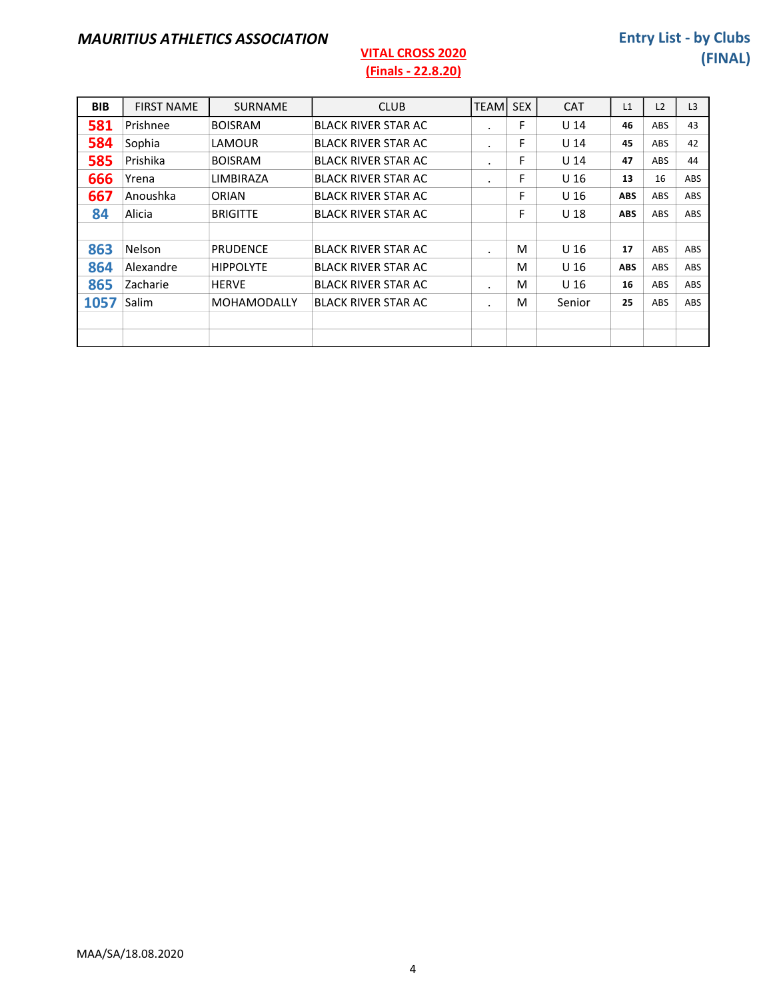#### VITAL CROSS 2020 (Finals - 22.8.20)

#### Entry List - by Clubs (FINAL)

| <b>BIB</b> | <b>FIRST NAME</b> | <b>SURNAME</b>     | <b>CLUB</b>                | <b>TEAM</b> | <b>SEX</b> | <b>CAT</b>      | L1         | L2         | L <sub>3</sub> |
|------------|-------------------|--------------------|----------------------------|-------------|------------|-----------------|------------|------------|----------------|
| 581        | Prishnee          | <b>BOISRAM</b>     | <b>BLACK RIVER STAR AC</b> | ٠           | F          | U <sub>14</sub> | 46         | <b>ABS</b> | 43             |
| 584        | Sophia            | LAMOUR             | <b>BLACK RIVER STAR AC</b> | $\bullet$   | F          | U <sub>14</sub> | 45         | <b>ABS</b> | 42             |
| 585        | Prishika          | <b>BOISRAM</b>     | <b>BLACK RIVER STAR AC</b> | $\cdot$     | F          | U <sub>14</sub> | 47         | <b>ABS</b> | 44             |
| 666        | Yrena             | LIMBIRAZA          | <b>BLACK RIVER STAR AC</b> | ٠           | F          | U 16            | 13         | 16         | <b>ABS</b>     |
| 667        | Anoushka          | <b>ORIAN</b>       | <b>BLACK RIVER STAR AC</b> |             | F          | U 16            | <b>ABS</b> | <b>ABS</b> | <b>ABS</b>     |
| 84         | Alicia            | <b>BRIGITTE</b>    | <b>BLACK RIVER STAR AC</b> |             | F          | U <sub>18</sub> | <b>ABS</b> | <b>ABS</b> | <b>ABS</b>     |
|            |                   |                    |                            |             |            |                 |            |            |                |
| 863        | Nelson            | PRUDENCE           | <b>BLACK RIVER STAR AC</b> | $\cdot$     | M          | U <sub>16</sub> | 17         | ABS        | <b>ABS</b>     |
| 864        | Alexandre         | <b>HIPPOLYTE</b>   | <b>BLACK RIVER STAR AC</b> |             | M          | U <sub>16</sub> | <b>ABS</b> | <b>ABS</b> | <b>ABS</b>     |
| 865        | Zacharie          | <b>HERVE</b>       | <b>BLACK RIVER STAR AC</b> | $\bullet$   | M          | U 16            | 16         | ABS        | ABS            |
| 1057       | Salim             | <b>MOHAMODALLY</b> | <b>BLACK RIVER STAR AC</b> | ٠           | M          | Senior          | 25         | <b>ABS</b> | <b>ABS</b>     |
|            |                   |                    |                            |             |            |                 |            |            |                |
|            |                   |                    |                            |             |            |                 |            |            |                |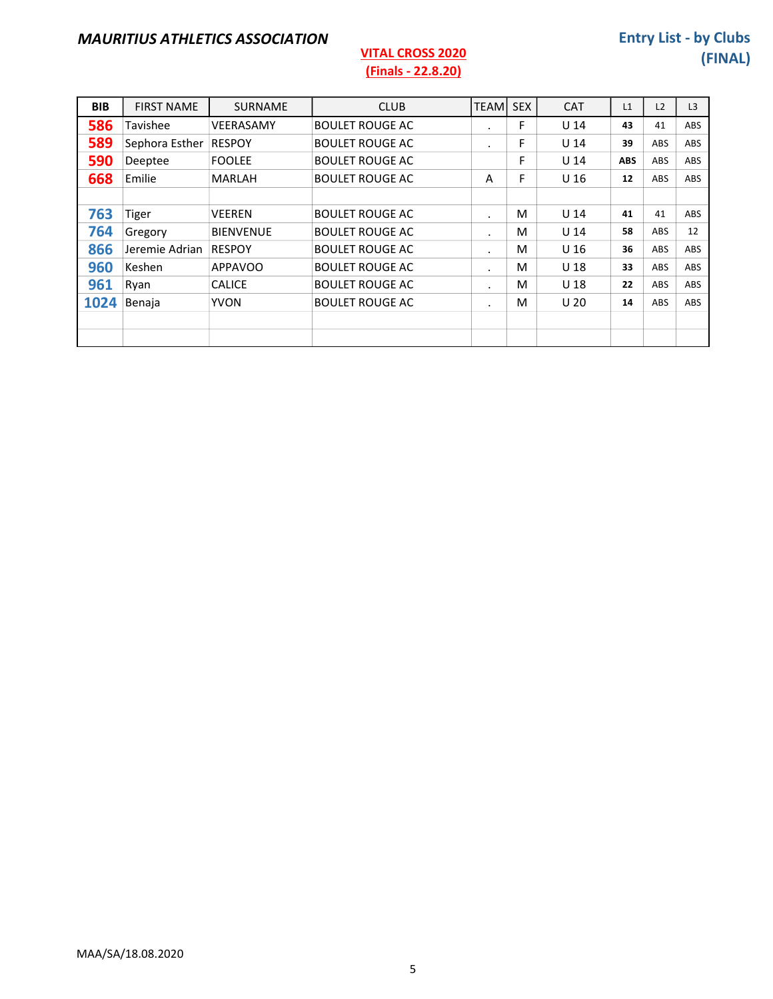#### VITAL CROSS 2020 (Finals - 22.8.20)

#### Entry List - by Clubs (FINAL)

| <b>BIB</b> | <b>FIRST NAME</b> | <b>SURNAME</b>   | <b>CLUB</b>            | TEAML     | <b>SEX</b> | <b>CAT</b>      | L1         | L2         | L <sub>3</sub> |
|------------|-------------------|------------------|------------------------|-----------|------------|-----------------|------------|------------|----------------|
| 586        | Tavishee          | VEERASAMY        | <b>BOULET ROUGE AC</b> | ٠         | F          | U <sub>14</sub> | 43         | 41         | ABS            |
| 589        | Sephora Esther    | <b>RESPOY</b>    | <b>BOULET ROUGE AC</b> | $\bullet$ | F          | U <sub>14</sub> | 39         | ABS        | ABS            |
| 590        | Deeptee           | <b>FOOLEE</b>    | <b>BOULET ROUGE AC</b> |           | F          | U <sub>14</sub> | <b>ABS</b> | <b>ABS</b> | ABS            |
| 668        | Emilie            | <b>MARLAH</b>    | <b>BOULET ROUGE AC</b> | A         | F          | U <sub>16</sub> | 12         | <b>ABS</b> | ABS            |
|            |                   |                  |                        |           |            |                 |            |            |                |
| 763        | Tiger             | <b>VEEREN</b>    | <b>BOULET ROUGE AC</b> | $\cdot$   | M          | U <sub>14</sub> | 41         | 41         | ABS            |
| 764        | Gregory           | <b>BIENVENUE</b> | <b>BOULET ROUGE AC</b> | $\cdot$   | M          | U <sub>14</sub> | 58         | <b>ABS</b> | 12             |
| 866        | Jeremie Adrian    | <b>RESPOY</b>    | <b>BOULET ROUGE AC</b> | $\cdot$   | M          | U <sub>16</sub> | 36         | <b>ABS</b> | ABS            |
| 960        | Keshen            | <b>APPAVOO</b>   | <b>BOULET ROUGE AC</b> | ٠         | M          | U <sub>18</sub> | 33         | ABS        | ABS            |
| 961        | Ryan              | <b>CALICE</b>    | <b>BOULET ROUGE AC</b> | $\bullet$ | M          | U <sub>18</sub> | 22         | ABS        | ABS            |
| 1024       | Benaja            | <b>YVON</b>      | <b>BOULET ROUGE AC</b> | $\bullet$ | M          | U <sub>20</sub> | 14         | <b>ABS</b> | ABS            |
|            |                   |                  |                        |           |            |                 |            |            |                |
|            |                   |                  |                        |           |            |                 |            |            |                |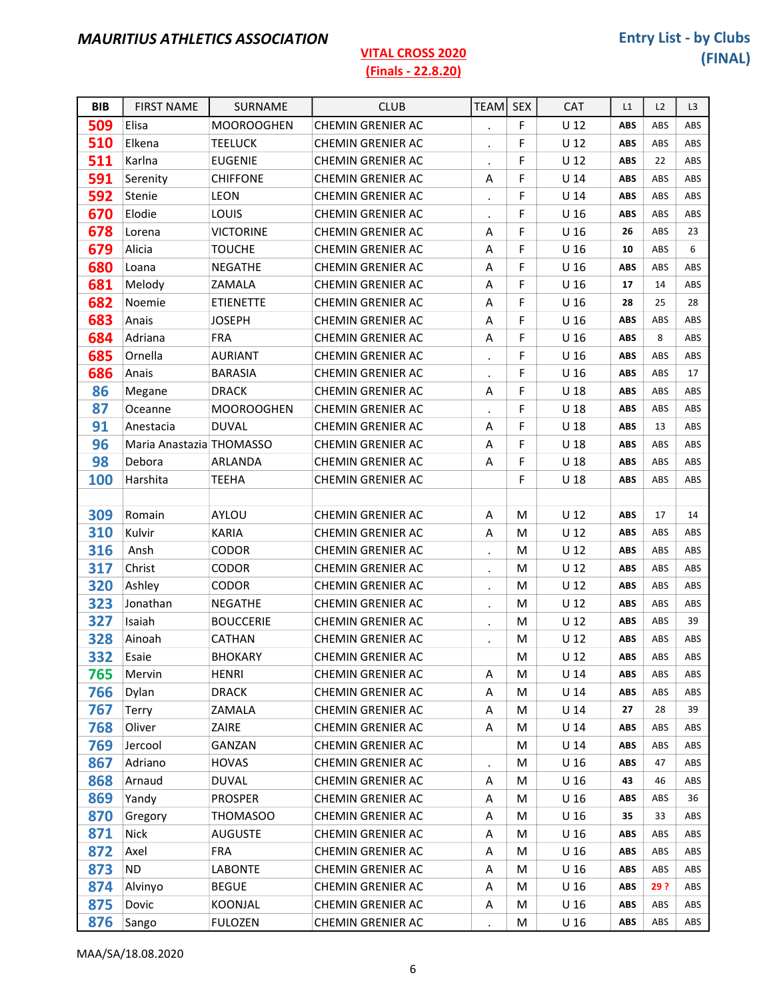### **VITAL CROSS 2020**

| <b>BIB</b> | <b>FIRST NAME</b>        | SURNAME           | <b>CLUB</b>              | <b>TEAM</b>    | <b>SEX</b> | <b>CAT</b>      | L1         | L2   | L <sub>3</sub> |
|------------|--------------------------|-------------------|--------------------------|----------------|------------|-----------------|------------|------|----------------|
| 509        | Elisa                    | <b>MOOROOGHEN</b> | <b>CHEMIN GRENIER AC</b> | $\cdot$        | F          | $U$ 12          | <b>ABS</b> | ABS  | ABS            |
| 510        | Elkena                   | <b>TEELUCK</b>    | CHEMIN GRENIER AC        | $\cdot$        | F          | U <sub>12</sub> | <b>ABS</b> | ABS  | ABS            |
| 511        | Karlna                   | <b>EUGENIE</b>    | CHEMIN GRENIER AC        | $\bullet$      | F          | U <sub>12</sub> | <b>ABS</b> | 22   | ABS            |
| 591        | Serenity                 | <b>CHIFFONE</b>   | <b>CHEMIN GRENIER AC</b> | A              | F          | U <sub>14</sub> | <b>ABS</b> | ABS  | ABS            |
| 592        | Stenie                   | <b>LEON</b>       | <b>CHEMIN GRENIER AC</b> | $\blacksquare$ | F          | U <sub>14</sub> | <b>ABS</b> | ABS  | ABS            |
| 670        | Elodie                   | LOUIS             | CHEMIN GRENIER AC        | $\bullet$      | F          | U <sub>16</sub> | <b>ABS</b> | ABS  | ABS            |
| 678        | Lorena                   | <b>VICTORINE</b>  | <b>CHEMIN GRENIER AC</b> | A              | F          | U <sub>16</sub> | 26         | ABS  | 23             |
| 679        | Alicia                   | <b>TOUCHE</b>     | <b>CHEMIN GRENIER AC</b> | Α              | F          | U <sub>16</sub> | 10         | ABS  | 6              |
| 680        | Loana                    | <b>NEGATHE</b>    | CHEMIN GRENIER AC        | Α              | F          | U <sub>16</sub> | <b>ABS</b> | ABS  | ABS            |
| 681        | Melody                   | ZAMALA            | <b>CHEMIN GRENIER AC</b> | A              | F          | U <sub>16</sub> | 17         | 14   | ABS            |
| 682        | Noemie                   | <b>ETIENETTE</b>  | <b>CHEMIN GRENIER AC</b> | Α              | F          | U <sub>16</sub> | 28         | 25   | 28             |
| 683        | Anais                    | <b>JOSEPH</b>     | CHEMIN GRENIER AC        | Α              | F          | U <sub>16</sub> | <b>ABS</b> | ABS  | ABS            |
| 684        | Adriana                  | <b>FRA</b>        | <b>CHEMIN GRENIER AC</b> | Α              | F          | U <sub>16</sub> | <b>ABS</b> | 8    | ABS            |
| 685        | Ornella                  | <b>AURIANT</b>    | CHEMIN GRENIER AC        | $\blacksquare$ | F          | U <sub>16</sub> | <b>ABS</b> | ABS  | ABS            |
| 686        | Anais                    | <b>BARASIA</b>    | CHEMIN GRENIER AC        | $\bullet$      | F          | U <sub>16</sub> | <b>ABS</b> | ABS  | 17             |
| 86         | Megane                   | <b>DRACK</b>      | <b>CHEMIN GRENIER AC</b> | A              | F          | U <sub>18</sub> | <b>ABS</b> | ABS  | ABS            |
| 87         | Oceanne                  | <b>MOOROOGHEN</b> | <b>CHEMIN GRENIER AC</b> | $\bullet$      | F          | U <sub>18</sub> | <b>ABS</b> | ABS  | ABS            |
| 91         | Anestacia                | <b>DUVAL</b>      | <b>CHEMIN GRENIER AC</b> | Α              | F          | U <sub>18</sub> | <b>ABS</b> | 13   | ABS            |
| 96         | Maria Anastazia THOMASSO |                   | <b>CHEMIN GRENIER AC</b> | A              | F          | U <sub>18</sub> | <b>ABS</b> | ABS  | ABS            |
| 98         | Debora                   | <b>ARLANDA</b>    | <b>CHEMIN GRENIER AC</b> | Α              | F          | U <sub>18</sub> | <b>ABS</b> | ABS  | ABS            |
| 100        | Harshita                 | <b>TEEHA</b>      | CHEMIN GRENIER AC        |                | F          | U <sub>18</sub> | <b>ABS</b> | ABS  | ABS            |
|            |                          |                   |                          |                |            |                 |            |      |                |
| 309        | Romain                   | AYLOU             | CHEMIN GRENIER AC        | Α              | M          | U <sub>12</sub> | <b>ABS</b> | 17   | 14             |
| 310        | Kulvir                   | <b>KARIA</b>      | CHEMIN GRENIER AC        | Α              | M          | U <sub>12</sub> | <b>ABS</b> | ABS  | ABS            |
| 316        | Ansh                     | <b>CODOR</b>      | <b>CHEMIN GRENIER AC</b> | $\cdot$        | M          | U <sub>12</sub> | <b>ABS</b> | ABS  | ABS            |
| 317        | Christ                   | <b>CODOR</b>      | <b>CHEMIN GRENIER AC</b> | $\cdot$        | M          | U <sub>12</sub> | <b>ABS</b> | ABS  | ABS            |
| 320        | Ashley                   | <b>CODOR</b>      | CHEMIN GRENIER AC        | $\bullet$      | M          | U <sub>12</sub> | <b>ABS</b> | ABS  | ABS            |
| 323        | Jonathan                 | <b>NEGATHE</b>    | <b>CHEMIN GRENIER AC</b> | $\bullet$      | M          | U <sub>12</sub> | <b>ABS</b> | ABS  | ABS            |
| 327        | Isaiah                   | <b>BOUCCERIE</b>  | <b>CHEMIN GRENIER AC</b> | $\bullet$      | M          | $U$ 12          | <b>ABS</b> | ABS  | 39             |
| 328        | Ainoah                   | CATHAN            | <b>CHEMIN GRENIER AC</b> | $\cdot$        | M          | U <sub>12</sub> | <b>ABS</b> | ABS  | ABS            |
| 332        | Esaie                    | <b>BHOKARY</b>    | <b>CHEMIN GRENIER AC</b> |                | М          | U 12            | <b>ABS</b> | ABS  | ABS            |
| 765        | Mervin                   | HENRI             | CHEMIN GRENIER AC        | Α              | M          | U <sub>14</sub> | ABS        | ABS  | ABS            |
| 766        | Dylan                    | <b>DRACK</b>      | <b>CHEMIN GRENIER AC</b> | Α              | М          | U <sub>14</sub> | ABS        | ABS  | ABS            |
| 767        | <b>Terry</b>             | ZAMALA            | CHEMIN GRENIER AC        | Α              | м          | U <sub>14</sub> | 27         | 28   | 39             |
| 768        | Oliver                   | ZAIRE             | CHEMIN GRENIER AC        | Α              | M          | U <sub>14</sub> | ABS        | ABS  | ABS            |
| 769        | Jercool                  | GANZAN            | CHEMIN GRENIER AC        |                | М          | U <sub>14</sub> | <b>ABS</b> | ABS  | ABS            |
| 867        | Adriano                  | <b>HOVAS</b>      | CHEMIN GRENIER AC        | $\cdot$        | M          | U <sub>16</sub> | <b>ABS</b> | 47   | ABS            |
| 868        | Arnaud                   | DUVAL             | <b>CHEMIN GRENIER AC</b> | A              | M          | U <sub>16</sub> | 43         | 46   | ABS            |
| 869        | Yandy                    | <b>PROSPER</b>    | CHEMIN GRENIER AC        | Α              | М          | U 16            | ABS        | ABS  | 36             |
| 870        | Gregory                  | <b>THOMASOO</b>   | CHEMIN GRENIER AC        | Α              | M          | U <sub>16</sub> | 35         | 33   | ABS            |
| 871        | Nick                     | <b>AUGUSTE</b>    | CHEMIN GRENIER AC        | Α              | M          | U <sub>16</sub> | ABS        | ABS  | ABS            |
| 872        | Axel                     | <b>FRA</b>        | CHEMIN GRENIER AC        | Α              | М          | U 16            | ABS        | ABS  | ABS            |
| 873        | <b>ND</b>                | <b>LABONTE</b>    | <b>CHEMIN GRENIER AC</b> | Α              | М          | U 16            | ABS        | ABS  | ABS            |
| 874        | Alvinyo                  | <b>BEGUE</b>      | CHEMIN GRENIER AC        | Α              | M          | U <sub>16</sub> | ABS        | 29 ? | ABS            |
| 875        | Dovic                    | KOONJAL           | CHEMIN GRENIER AC        | Α              | М          | U 16            | <b>ABS</b> | ABS  | ABS            |
| 876        | Sango                    | <b>FULOZEN</b>    | CHEMIN GRENIER AC        | $\bullet$      | M          | U <sub>16</sub> | <b>ABS</b> | ABS  | ABS            |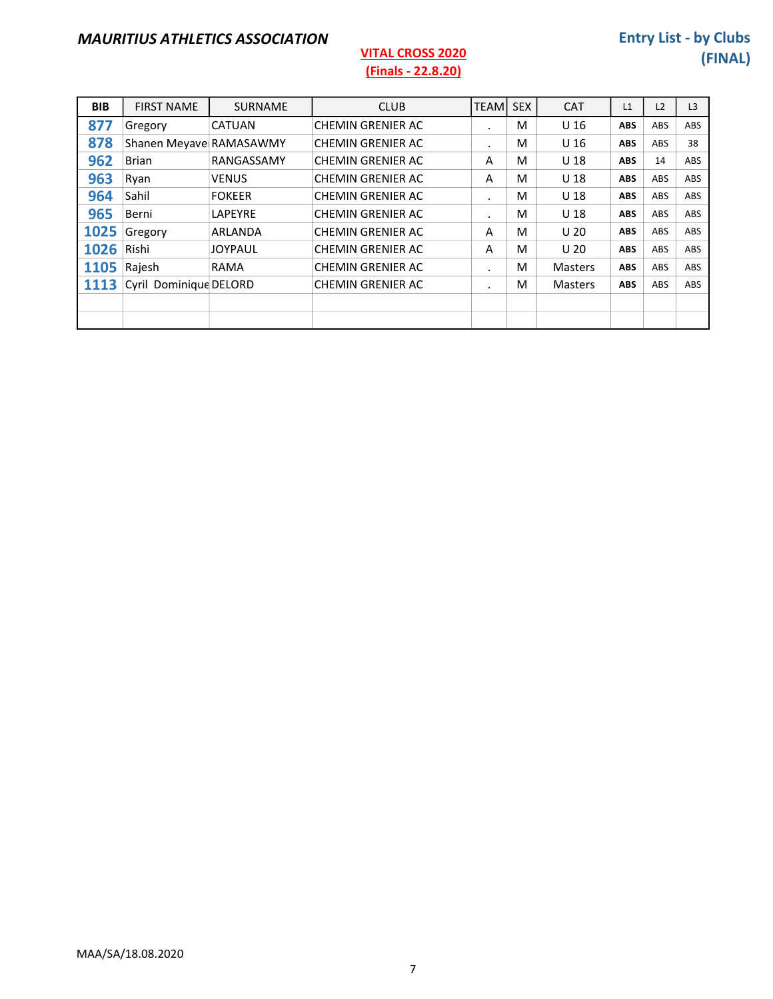#### VITAL CROSS 2020 (Finals - 22.8.20)

#### Entry List - by Clubs (FINAL)

| <b>BIB</b> | <b>FIRST NAME</b>       | <b>SURNAME</b>    | <b>CLUB</b>              | <b>TEAMI</b> | <b>SEX</b> | <b>CAT</b>      | L1         | L <sub>2</sub> | L <sub>3</sub> |
|------------|-------------------------|-------------------|--------------------------|--------------|------------|-----------------|------------|----------------|----------------|
| 877        | Gregory                 | <b>CATUAN</b>     | <b>CHEMIN GRENIER AC</b> | $\cdot$      | M          | U <sub>16</sub> | <b>ABS</b> | <b>ABS</b>     | ABS            |
| 878        | Shanen Meyave RAMASAWMY |                   | <b>CHEMIN GRENIER AC</b> | $\cdot$      | M          | U <sub>16</sub> | <b>ABS</b> | <b>ABS</b>     | 38             |
| 962        | <b>Brian</b>            | <b>RANGASSAMY</b> | <b>CHEMIN GRENIER AC</b> | A            | M          | U <sub>18</sub> | <b>ABS</b> | 14             | ABS            |
| 963        | Ryan                    | <b>VENUS</b>      | <b>CHEMIN GRENIER AC</b> | A            | M          | U <sub>18</sub> | <b>ABS</b> | <b>ABS</b>     | ABS            |
| 964        | Sahil                   | <b>FOKEER</b>     | <b>CHEMIN GRENIER AC</b> | $\cdot$      | M          | U <sub>18</sub> | <b>ABS</b> | <b>ABS</b>     | <b>ABS</b>     |
| 965        | Berni                   | LAPEYRE           | CHEMIN GRENIER AC        | $\cdot$      | M          | U <sub>18</sub> | <b>ABS</b> | <b>ABS</b>     | ABS            |
| 1025       | Gregory                 | ARLANDA           | <b>CHEMIN GRENIER AC</b> | A            | M          | U <sub>20</sub> | <b>ABS</b> | <b>ABS</b>     | ABS            |
| 1026       | Rishi                   | <b>JOYPAUL</b>    | <b>CHEMIN GRENIER AC</b> | A            | M          | U <sub>20</sub> | <b>ABS</b> | <b>ABS</b>     | ABS            |
| 1105       | Rajesh                  | RAMA              | CHEMIN GRENIER AC        | $\cdot$      | M          | Masters         | <b>ABS</b> | <b>ABS</b>     | ABS            |
| 1113       | Cyril Dominique DELORD  |                   | <b>CHEMIN GRENIER AC</b> | $\cdot$      | M          | <b>Masters</b>  | <b>ABS</b> | <b>ABS</b>     | ABS            |
|            |                         |                   |                          |              |            |                 |            |                |                |
|            |                         |                   |                          |              |            |                 |            |                |                |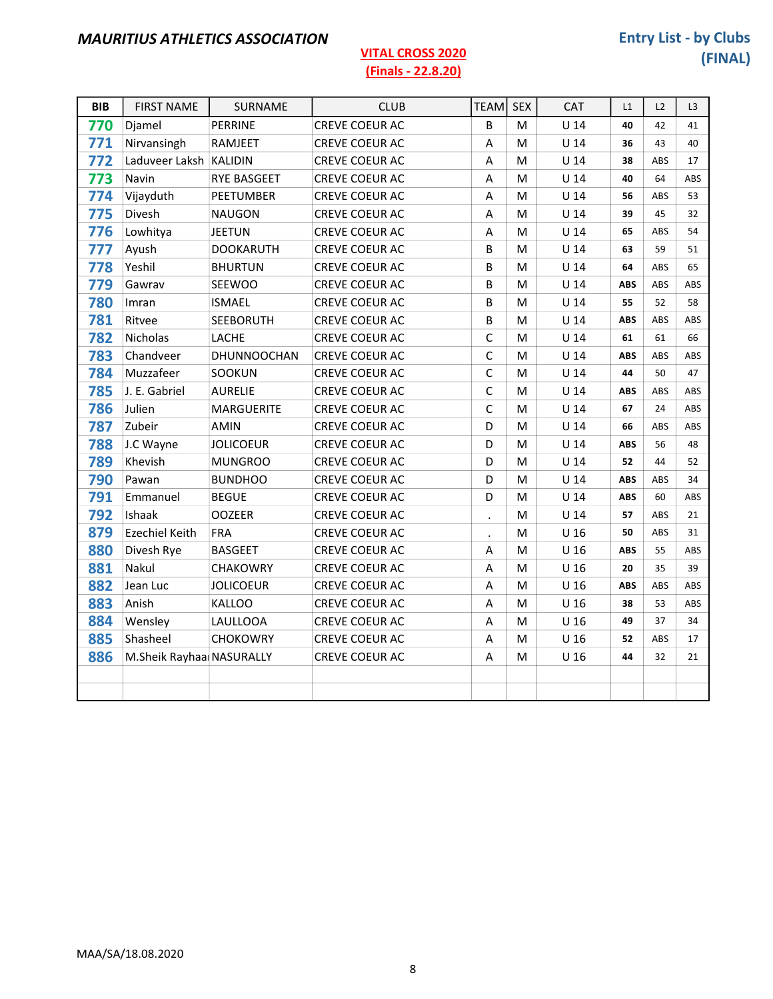| <b>BIB</b> | <b>FIRST NAME</b>        | SURNAME            | <b>CLUB</b>           | <b>TEAM</b>               | <b>SEX</b> | CAT             | L1         | L2  | L3  |
|------------|--------------------------|--------------------|-----------------------|---------------------------|------------|-----------------|------------|-----|-----|
| 770        | Djamel                   | <b>PERRINE</b>     | CREVE COEUR AC        | B                         | М          | U 14            | 40         | 42  | 41  |
| 771        | Nirvansingh              | <b>RAMJEET</b>     | <b>CREVE COEUR AC</b> | A                         | М          | $U$ 14          | 36         | 43  | 40  |
| 772        | Laduveer Laksh KALIDIN   |                    | <b>CREVE COEUR AC</b> | A                         | M          | U 14            | 38         | ABS | 17  |
| 773        | Navin                    | <b>RYE BASGEET</b> | <b>CREVE COEUR AC</b> | A                         | м          | U 14            | 40         | 64  | ABS |
| 774        | Vijayduth                | PEETUMBER          | <b>CREVE COEUR AC</b> | Α                         | M          | $U$ 14          | 56         | ABS | 53  |
| 775        | Divesh                   | <b>NAUGON</b>      | <b>CREVE COEUR AC</b> | A                         | М          | U 14            | 39         | 45  | 32  |
| 776        | Lowhitya                 | <b>JEETUN</b>      | <b>CREVE COEUR AC</b> | A                         | М          | U 14            | 65         | ABS | 54  |
| 777        | Ayush                    | <b>DOOKARUTH</b>   | CREVE COEUR AC        | B                         | M          | $U$ 14          | 63         | 59  | 51  |
| 778        | Yeshil                   | <b>BHURTUN</b>     | CREVE COEUR AC        | B                         | M          | $U$ 14          | 64         | ABS | 65  |
| 779        | Gawrav                   | SEEWOO             | CREVE COEUR AC        | B                         | M          | U 14            | <b>ABS</b> | ABS | ABS |
| 780        | Imran                    | <b>ISMAEL</b>      | <b>CREVE COEUR AC</b> | B                         | M          | U <sub>14</sub> | 55         | 52  | 58  |
| 781        | Ritvee                   | <b>SEEBORUTH</b>   | CREVE COEUR AC        | B                         | M          | $U$ 14          | <b>ABS</b> | ABS | ABS |
| 782        | <b>Nicholas</b>          | LACHE              | CREVE COEUR AC        | $\mathsf C$               | M          | $U$ 14          | 61         | 61  | 66  |
| 783        | Chandveer                | <b>DHUNNOOCHAN</b> | CREVE COEUR AC        | $\mathsf{C}$              | M          | $U$ 14          | <b>ABS</b> | ABS | ABS |
| 784        | Muzzafeer                | SOOKUN             | <b>CREVE COEUR AC</b> | $\mathsf{C}$              | M          | U <sub>14</sub> | 44         | 50  | 47  |
| 785        | J. E. Gabriel            | <b>AURELIE</b>     | CREVE COEUR AC        | $\mathsf C$               | M          | $U$ 14          | <b>ABS</b> | ABS | ABS |
| 786        | Julien                   | <b>MARGUERITE</b>  | <b>CREVE COEUR AC</b> | $\mathsf C$               | M          | U 14            | 67         | 24  | ABS |
| 787        | Zubeir                   | AMIN               | <b>CREVE COEUR AC</b> | D                         | M          | U 14            | 66         | ABS | ABS |
| 788        | J.C Wayne                | <b>JOLICOEUR</b>   | CREVE COEUR AC        | D                         | M          | $U$ 14          | <b>ABS</b> | 56  | 48  |
| 789        | Khevish                  | <b>MUNGROO</b>     | <b>CREVE COEUR AC</b> | D                         | M          | $U$ 14          | 52         | 44  | 52  |
| 790        | Pawan                    | <b>BUNDHOO</b>     | CREVE COEUR AC        | D                         | M          | $U$ 14          | <b>ABS</b> | ABS | 34  |
| 791        | Emmanuel                 | <b>BEGUE</b>       | <b>CREVE COEUR AC</b> | D                         | M          | U <sub>14</sub> | <b>ABS</b> | 60  | ABS |
| 792        | Ishaak                   | <b>OOZEER</b>      | CREVE COEUR AC        | $\ddot{\phantom{0}}$      | M          | $U$ 14          | 57         | ABS | 21  |
| 879        | Ezechiel Keith           | <b>FRA</b>         | <b>CREVE COEUR AC</b> | $\ddot{\phantom{0}}$      | M          | U <sub>16</sub> | 50         | ABS | 31  |
| 880        | Divesh Rye               | <b>BASGEET</b>     | CREVE COEUR AC        | $\boldsymbol{\mathsf{A}}$ | M          | U 16            | <b>ABS</b> | 55  | ABS |
| 881        | Nakul                    | <b>CHAKOWRY</b>    | <b>CREVE COEUR AC</b> | A                         | м          | U <sub>16</sub> | 20         | 35  | 39  |
| 882        | Jean Luc                 | <b>JOLICOEUR</b>   | <b>CREVE COEUR AC</b> | A                         | M          | U 16            | <b>ABS</b> | ABS | ABS |
| 883        | Anish                    | <b>KALLOO</b>      | CREVE COEUR AC        | A                         | M          | U <sub>16</sub> | 38         | 53  | ABS |
| 884        | Wensley                  | LAULLOOA           | CREVE COEUR AC        | A                         | М          | U 16            | 49         | 37  | 34  |
| 885        | Shasheel                 | <b>CHOKOWRY</b>    | CREVE COEUR AC        | $\boldsymbol{\mathsf{A}}$ | M          | U 16            | 52         | ABS | 17  |
| 886        | M.Sheik Rayhaa NASURALLY |                    | CREVE COEUR AC        | A                         | M          | U <sub>16</sub> | 44         | 32  | 21  |
|            |                          |                    |                       |                           |            |                 |            |     |     |
|            |                          |                    |                       |                           |            |                 |            |     |     |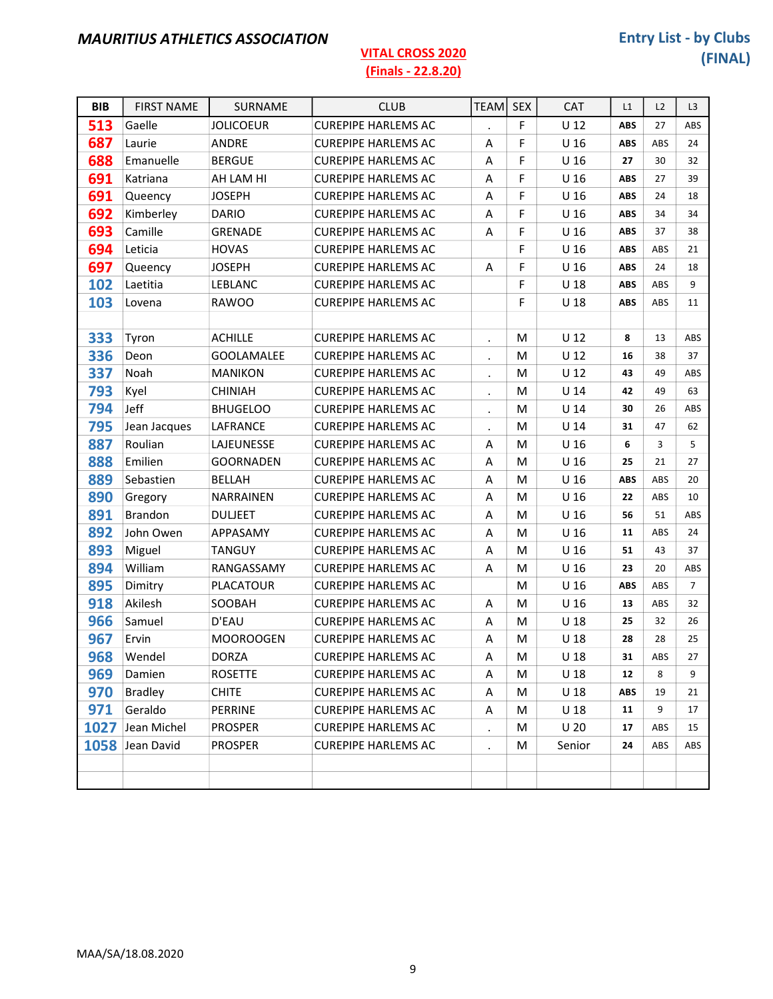| <b>BIB</b> | <b>FIRST NAME</b> | SURNAME           | <b>CLUB</b>                | <b>TEAM</b>    | <b>SEX</b> | CAT             | L1         | L2  | L <sub>3</sub> |
|------------|-------------------|-------------------|----------------------------|----------------|------------|-----------------|------------|-----|----------------|
| 513        | Gaelle            | <b>JOLICOEUR</b>  | <b>CUREPIPE HARLEMS AC</b> |                | F          | $U$ 12          | <b>ABS</b> | 27  | ABS            |
| 687        | Laurie            | ANDRE             | <b>CUREPIPE HARLEMS AC</b> | Α              | F          | U <sub>16</sub> | <b>ABS</b> | ABS | 24             |
| 688        | Emanuelle         | <b>BERGUE</b>     | <b>CUREPIPE HARLEMS AC</b> | Α              | F          | U <sub>16</sub> | 27         | 30  | 32             |
| 691        | Katriana          | AH LAM HI         | <b>CUREPIPE HARLEMS AC</b> | A              | F          | U <sub>16</sub> | <b>ABS</b> | 27  | 39             |
| 691        | Queency           | <b>JOSEPH</b>     | <b>CUREPIPE HARLEMS AC</b> | Α              | F          | U <sub>16</sub> | <b>ABS</b> | 24  | 18             |
| 692        | Kimberley         | <b>DARIO</b>      | <b>CUREPIPE HARLEMS AC</b> | A              | F          | U <sub>16</sub> | <b>ABS</b> | 34  | 34             |
| 693        | Camille           | GRENADE           | <b>CUREPIPE HARLEMS AC</b> | A              | F          | U <sub>16</sub> | <b>ABS</b> | 37  | 38             |
| 694        | Leticia           | <b>HOVAS</b>      | <b>CUREPIPE HARLEMS AC</b> |                | F          | U <sub>16</sub> | <b>ABS</b> | ABS | 21             |
| 697        | Queency           | <b>JOSEPH</b>     | <b>CUREPIPE HARLEMS AC</b> | Α              | F          | U <sub>16</sub> | <b>ABS</b> | 24  | 18             |
| 102        | Laetitia          | LEBLANC           | <b>CUREPIPE HARLEMS AC</b> |                | F          | U <sub>18</sub> | <b>ABS</b> | ABS | 9              |
| 103        | Lovena            | <b>RAWOO</b>      | <b>CUREPIPE HARLEMS AC</b> |                | F          | U <sub>18</sub> | <b>ABS</b> | ABS | 11             |
|            |                   |                   |                            |                |            |                 |            |     |                |
| 333        | Tyron             | <b>ACHILLE</b>    | <b>CUREPIPE HARLEMS AC</b> | $\cdot$        | М          | U <sub>12</sub> | 8          | 13  | ABS            |
| 336        | Deon              | <b>GOOLAMALEE</b> | <b>CUREPIPE HARLEMS AC</b> | $\blacksquare$ | M          | $U$ 12          | 16         | 38  | 37             |
| 337        | Noah              | <b>MANIKON</b>    | <b>CUREPIPE HARLEMS AC</b> | $\cdot$        | M          | $U$ 12          | 43         | 49  | ABS            |
| 793        | Kyel              | <b>CHINIAH</b>    | <b>CUREPIPE HARLEMS AC</b> | $\bullet$      | M          | U <sub>14</sub> | 42         | 49  | 63             |
| 794        | Jeff              | <b>BHUGELOO</b>   | <b>CUREPIPE HARLEMS AC</b> | $\blacksquare$ | M          | U <sub>14</sub> | 30         | 26  | ABS            |
| 795        | Jean Jacques      | <b>LAFRANCE</b>   | <b>CUREPIPE HARLEMS AC</b> | $\bullet$      | М          | $U$ 14          | 31         | 47  | 62             |
| 887        | Roulian           | LAJEUNESSE        | <b>CUREPIPE HARLEMS AC</b> | Α              | M          | U <sub>16</sub> | 6          | 3   | 5              |
| 888        | Emilien           | <b>GOORNADEN</b>  | <b>CUREPIPE HARLEMS AC</b> | Α              | M          | U <sub>16</sub> | 25         | 21  | 27             |
| 889        | Sebastien         | <b>BELLAH</b>     | <b>CUREPIPE HARLEMS AC</b> | Α              | M          | U <sub>16</sub> | <b>ABS</b> | ABS | 20             |
| 890        | Gregory           | NARRAINEN         | <b>CUREPIPE HARLEMS AC</b> | Α              | M          | U <sub>16</sub> | 22         | ABS | 10             |
| 891        | <b>Brandon</b>    | <b>DULJEET</b>    | <b>CUREPIPE HARLEMS AC</b> | Α              | M          | U <sub>16</sub> | 56         | 51  | ABS            |
| 892        | John Owen         | <b>APPASAMY</b>   | <b>CUREPIPE HARLEMS AC</b> | Α              | М          | U <sub>16</sub> | 11         | ABS | 24             |
| 893        | Miguel            | <b>TANGUY</b>     | <b>CUREPIPE HARLEMS AC</b> | A              | M          | U <sub>16</sub> | 51         | 43  | 37             |
| 894        | William           | RANGASSAMY        | <b>CUREPIPE HARLEMS AC</b> | Α              | M          | U <sub>16</sub> | 23         | 20  | ABS            |
| 895        | Dimitry           | <b>PLACATOUR</b>  | <b>CUREPIPE HARLEMS AC</b> |                | M          | U <sub>16</sub> | <b>ABS</b> | ABS | $\overline{7}$ |
| 918        | Akilesh           | SOOBAH            | <b>CUREPIPE HARLEMS AC</b> | Α              | M          | U <sub>16</sub> | 13         | ABS | 32             |
| 966        | Samuel            | D'EAU             | <b>CUREPIPE HARLEMS AC</b> | Α              | M          | U <sub>18</sub> | 25         | 32  | 26             |
| 967        | Ervin             | <b>MOOROOGEN</b>  | <b>CUREPIPE HARLEMS AC</b> | Α              | M          | U <sub>18</sub> | 28         | 28  | 25             |
| 968        | Wendel            | <b>DORZA</b>      | <b>CUREPIPE HARLEMS AC</b> | Α              | М          | U <sub>18</sub> | 31         | ABS | 27             |
| 969        | Damien            | <b>ROSETTE</b>    | <b>CUREPIPE HARLEMS AC</b> | Α              | M          | U 18            | 12         | 8   | 9              |
| 970        | <b>Bradley</b>    | <b>CHITE</b>      | <b>CUREPIPE HARLEMS AC</b> | Α              | M          | U <sub>18</sub> | <b>ABS</b> | 19  | 21             |
| 971        | Geraldo           | <b>PERRINE</b>    | <b>CUREPIPE HARLEMS AC</b> | Α              | M          | U 18            | 11         | 9   | 17             |
| 1027       | Jean Michel       | <b>PROSPER</b>    | <b>CUREPIPE HARLEMS AC</b> | $\bullet$      | M          | U <sub>20</sub> | 17         | ABS | 15             |
|            | 1058 Jean David   | <b>PROSPER</b>    | <b>CUREPIPE HARLEMS AC</b> | $\blacksquare$ | M          | Senior          | 24         | ABS | ABS            |
|            |                   |                   |                            |                |            |                 |            |     |                |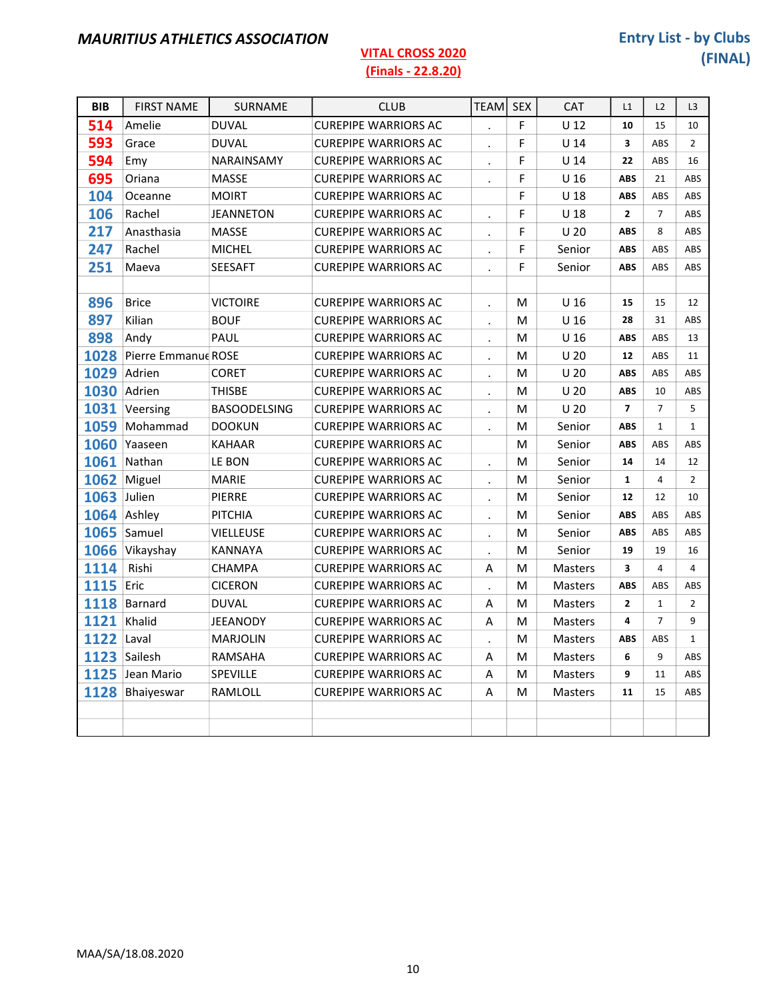#### **BIB FIRST NAME SURNAME CLUB TEAM SEX** CAT  $L1$  $L2$  $L3$ 514 **DUVAL CUREPIPE WARRIORS AC** F  $U<sub>12</sub>$ Amelie  $10$ 10 15 593 Grace **DUVAL CUREPIPE WARRIORS AC** F  $U$  14  $\overline{\mathbf{3}}$ ABS  $\overline{2}$ 594 Emy NARAINSAMY **CUREPIPE WARRIORS AC** F  $U<sub>14</sub>$  $22$ ABS 16  $\cdot$ F 695 Oriana **MASSE CUREPIPE WARRIORS AC**  $U<sub>16</sub>$ **ABS**  $21$ **ARS**  $\ddot{\phantom{a}}$ 104 Oceanne **MOIRT CUREPIPE WARRIORS AC** F U 18 **ABS** ABS ABS 106 Rachel **JEANNETON CUREPIPE WARRIORS AC** F  $U<sub>18</sub>$  $\overline{2}$  $\overline{7}$ ABS  $\cdot$ 217 Anasthasia **MASSE CUREPIPE WARRIORS AC** F  $U<sub>20</sub>$ **ARS**  $\mathbf{R}$ **ARS** 247 Rachel **MICHEL CUREPIPE WARRIORS AC** F Senior **ABS** ABS ABS  $\cdot$ 251 Maeva **SEESAFT CUREPIPE WARRIORS AC** F Senior **ABS** ABS ABS 896 **Brice**  $U<sub>16</sub>$ **VICTOIRE CUREPIPE WARRIORS AC** M 15 15  $12$  $\ddot{\phantom{a}}$ 897 Kilian ABS **BOUF CUREPIPE WARRIORS AC** M  $U<sub>16</sub>$ 28 31  $\ddot{\phantom{a}}$ 898 Andy PAUL **CUREPIPE WARRIORS AC** M  $U<sub>16</sub>$ **ABS ABS** 13 1028 Pierre Emmanue ROSE **CUREPIPE WARRIORS AC**  $U<sub>20</sub>$ M 12 ABS  $11\,$  $\overline{a}$ 1029 Adrien **CORET CUREPIPE WARRIORS AC** M  $U<sub>20</sub>$ **ABS ABS** ABS  $\ddot{\phantom{a}}$ M 1030 Adrien **THISBF CUREPIPE WARRIORS AC**  $U<sub>20</sub>$ **ABS**  $10$ **ABS**  $U<sub>20</sub>$ 1031 Veersing **BASOODELSING CUREPIPE WARRIORS AC** M  $\overline{7}$  $\overline{7}$ 5  $\overline{a}$ 1059 Mohammad **DOOKUN CUREPIPE WARRIORS AC** Senior **ABS**  $\mathbf{1}$  $\mathbf{1}$ M  $\cdot$ 1060 Yaaseen **KAHAAR CUREPIPE WARRIORS AC** M Senior **ABS** ABS ABS **1061** Nathan LE BON **CUREPIPE WARRIORS AC** M Senior 14 14 12  $\ddot{\phantom{a}}$ 1062 Miguel **MARIE CUREPIPE WARRIORS AC** Senior M  $\mathbf 1$  $\overline{4}$  $\overline{2}$  $\ddot{\phantom{a}}$ **1063** Julien **PIERRE CUREPIPE WARRIORS AC** M Senior  $12$  $12$ 10 1064 Ashley **PITCHIA CUREPIPE WARRIORS AC** M Senior **ABS** ABS ABS  $\ddot{\phantom{a}}$ **1065** Samuel **VIELLEUSE CUREPIPE WARRIORS AC** Senior **ABS** ABS ABS M  $\cdot$ 1066 Vikayshay **KANNAYA CUREPIPE WARRIORS AC** M Senior 19 19 16  $\mathbf{r}$ 1114 Rishi CHAMPA **CUREPIPE WARRIORS AC** M **Masters**  $\overline{\mathbf{z}}$  $\overline{a}$  $\overline{4}$ Α **1115** Eric **CICERON CUREPIPE WARRIORS AC Masters ABS** ABS ABS M 1118 Barnard **DUVAL CUREPIPE WARRIORS AC**  $\overline{A}$ M **Masters**  $\overline{2}$  $\mathbf{1}$  $\overline{2}$ 1121 Khalid **CUREPIPE WARRIORS AC**  $\mathbf{A}$  $\overline{7}$  $\mathsf{q}$ **JEEANODY** A M **Masters 1122 Laval MARJOLIN CUREPIPE WARRIORS AC** M **Masters ABS** ABS  $\mathbf{1}$  $\cdot$ 1123 Sailesh **RAMSAHA CUREPIPE WARRIORS AC** A M **Masters** 6 9 ABS Masters ABS 1125 Jean Mario **SPEVILLE CUREPIPE WARRIORS AC**  $\overline{A}$  $\mathbf{q}$  $11$ M 1128 Bhaiyeswar RAMLOLL **CUREPIPE WARRIORS AC** A M **Masters** 11 15 ABS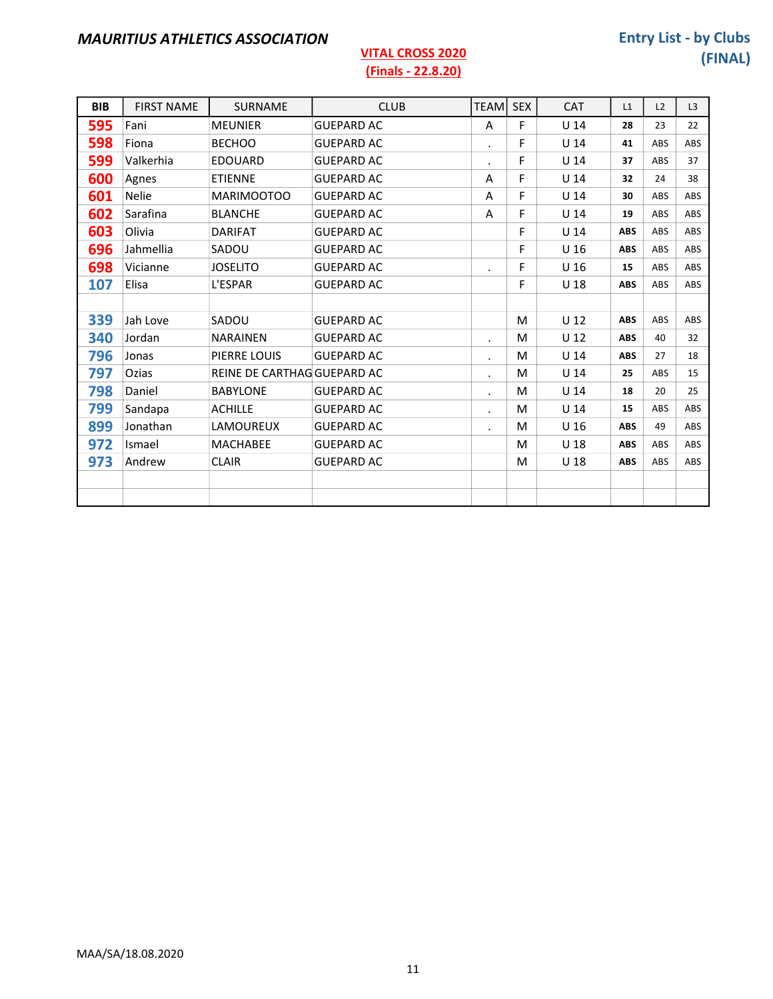### VITAL CROSS 2020

| <b>BIB</b> | <b>FIRST NAME</b> | <b>SURNAME</b>              | <b>CLUB</b>       | <b>TEAM</b> | <b>SEX</b> | <b>CAT</b>      | L1         | L2  | L3  |
|------------|-------------------|-----------------------------|-------------------|-------------|------------|-----------------|------------|-----|-----|
| 595        | Fani              | <b>MEUNIER</b>              | <b>GUEPARD AC</b> | A           | F          | U <sub>14</sub> | 28         | 23  | 22  |
| 598        | Fiona             | <b>BECHOO</b>               | <b>GUEPARD AC</b> | $\cdot$     | F          | U <sub>14</sub> | 41         | ABS | ABS |
| 599        | Valkerhia         | <b>EDOUARD</b>              | <b>GUEPARD AC</b> | $\bullet$   | F          | $U$ 14          | 37         | ABS | 37  |
| 600        | Agnes             | <b>ETIENNE</b>              | <b>GUEPARD AC</b> | A           | F          | U <sub>14</sub> | 32         | 24  | 38  |
| 601        | <b>Nelie</b>      | <b>MARIMOOTOO</b>           | <b>GUEPARD AC</b> | A           | F          | U <sub>14</sub> | 30         | ABS | ABS |
| 602        | Sarafina          | <b>BLANCHE</b>              | <b>GUEPARD AC</b> | A           | F          | U 14            | 19         | ABS | ABS |
| 603        | Olivia            | <b>DARIFAT</b>              | <b>GUEPARD AC</b> |             | F          | U 14            | <b>ABS</b> | ABS | ABS |
| 696        | Jahmellia         | SADOU                       | <b>GUEPARD AC</b> |             | F          | U <sub>16</sub> | <b>ABS</b> | ABS | ABS |
| 698        | Vicianne          | <b>JOSELITO</b>             | <b>GUEPARD AC</b> | $\bullet$   | F          | U <sub>16</sub> | 15         | ABS | ABS |
| 107        | Elisa             | L'ESPAR                     | <b>GUEPARD AC</b> |             | F          | U 18            | <b>ABS</b> | ABS | ABS |
|            |                   |                             |                   |             |            |                 |            |     |     |
| 339        | Jah Love          | SADOU                       | <b>GUEPARD AC</b> |             | M          | U <sub>12</sub> | <b>ABS</b> | ABS | ABS |
| 340        | Jordan            | <b>NARAINEN</b>             | <b>GUEPARD AC</b> | $\bullet$   | M          | U <sub>12</sub> | <b>ABS</b> | 40  | 32  |
| 796        | Jonas             | PIERRE LOUIS                | <b>GUEPARD AC</b> | $\bullet$   | M          | U 14            | <b>ABS</b> | 27  | 18  |
| 797        | Ozias             | REINE DE CARTHAG GUEPARD AC |                   | $\bullet$   | M          | U <sub>14</sub> | 25         | ABS | 15  |
| 798        | Daniel            | <b>BABYLONE</b>             | <b>GUEPARD AC</b> | $\cdot$     | M          | U <sub>14</sub> | 18         | 20  | 25  |
| 799        | Sandapa           | <b>ACHILLE</b>              | <b>GUEPARD AC</b> | $\cdot$     | M          | U <sub>14</sub> | 15         | ABS | ABS |
| 899        | Jonathan          | LAMOUREUX                   | <b>GUEPARD AC</b> | $\bullet$   | M          | U <sub>16</sub> | <b>ABS</b> | 49  | ABS |
| 972        | Ismael            | <b>MACHABEE</b>             | <b>GUEPARD AC</b> |             | M          | U 18            | <b>ABS</b> | ABS | ABS |
| 973        | Andrew            | <b>CLAIR</b>                | <b>GUEPARD AC</b> |             | M          | U <sub>18</sub> | <b>ABS</b> | ABS | ABS |
|            |                   |                             |                   |             |            |                 |            |     |     |
|            |                   |                             |                   |             |            |                 |            |     |     |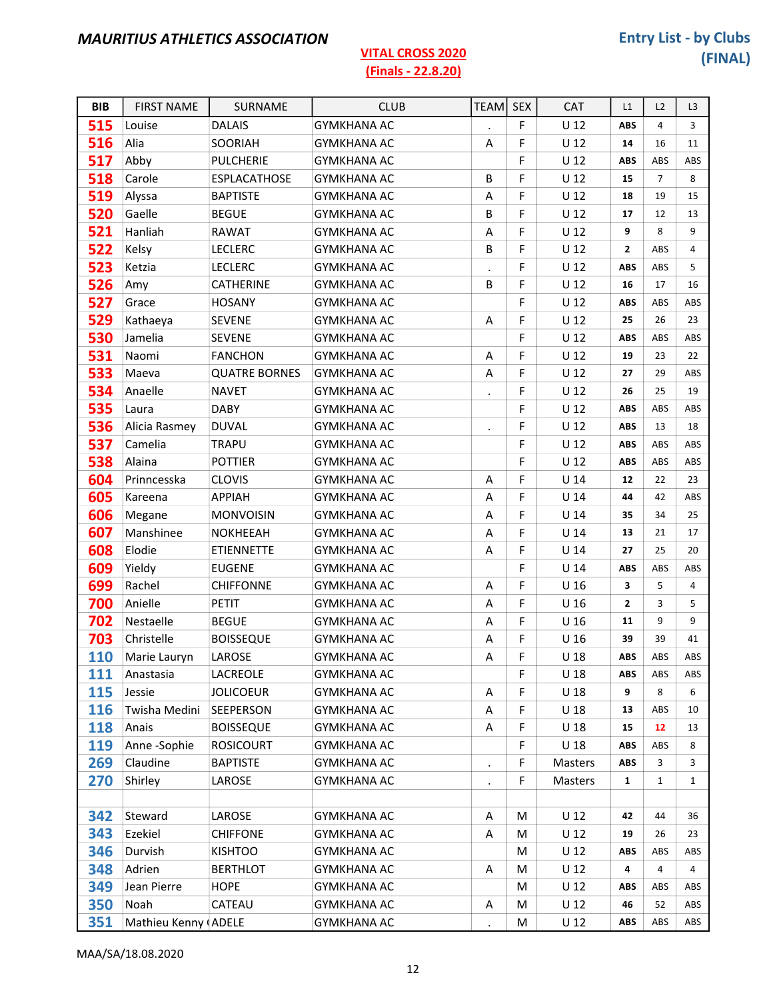| <b>BIB</b> | <b>FIRST NAME</b>    | SURNAME              | <b>CLUB</b>        | <b>TEAM</b> | <b>SEX</b> | <b>CAT</b>      | L1           | L2             | L <sub>3</sub> |
|------------|----------------------|----------------------|--------------------|-------------|------------|-----------------|--------------|----------------|----------------|
| 515        | Louise               | <b>DALAIS</b>        | <b>GYMKHANA AC</b> |             | F          | U <sub>12</sub> | <b>ABS</b>   | 4              | 3              |
| 516        | Alia                 | <b>SOORIAH</b>       | <b>GYMKHANA AC</b> | Α           | F          | U <sub>12</sub> | 14           | 16             | 11             |
| 517        | Abby                 | <b>PULCHERIE</b>     | <b>GYMKHANA AC</b> |             | F          | $U$ 12          | <b>ABS</b>   | ABS            | ABS            |
| 518        | Carole               | ESPLACATHOSE         | <b>GYMKHANA AC</b> | B           | F          | $U$ 12          | 15           | $\overline{7}$ | 8              |
| 519        | Alyssa               | <b>BAPTISTE</b>      | <b>GYMKHANA AC</b> | A           | F          | U <sub>12</sub> | 18           | 19             | 15             |
| 520        | Gaelle               | <b>BEGUE</b>         | <b>GYMKHANA AC</b> | В           | F          | U <sub>12</sub> | 17           | 12             | 13             |
| 521        | Hanliah              | RAWAT                | <b>GYMKHANA AC</b> | Α           | F          | U <sub>12</sub> | 9            | 8              | 9              |
| 522        | Kelsy                | <b>LECLERC</b>       | <b>GYMKHANA AC</b> | В           | F          | $U$ 12          | $\mathbf{z}$ | ABS            | 4              |
| 523        | Ketzia               | <b>LECLERC</b>       | <b>GYMKHANA AC</b> |             | F          | $U$ 12          | <b>ABS</b>   | ABS            | 5              |
| 526        | Amy                  | CATHERINE            | <b>GYMKHANA AC</b> | B           | F          | U <sub>12</sub> | 16           | 17             | 16             |
| 527        | Grace                | <b>HOSANY</b>        | <b>GYMKHANA AC</b> |             | F          | $U$ 12          | <b>ABS</b>   | ABS            | ABS            |
| 529        | Kathaeya             | <b>SEVENE</b>        | <b>GYMKHANA AC</b> | Α           | F          | $U$ 12          | 25           | 26             | 23             |
| 530        | Jamelia              | <b>SEVENE</b>        | <b>GYMKHANA AC</b> |             | F          | U <sub>12</sub> | <b>ABS</b>   | ABS            | ABS            |
| 531        | Naomi                | <b>FANCHON</b>       | <b>GYMKHANA AC</b> | Α           | F          | U <sub>12</sub> | 19           | 23             | 22             |
| 533        | Maeva                | <b>QUATRE BORNES</b> | <b>GYMKHANA AC</b> | Α           | F          | $U$ 12          | 27           | 29             | ABS            |
| 534        | Anaelle              | <b>NAVET</b>         | <b>GYMKHANA AC</b> | $\cdot$     | F          | U <sub>12</sub> | 26           | 25             | 19             |
| 535        | Laura                | <b>DABY</b>          | <b>GYMKHANA AC</b> |             | F          | U <sub>12</sub> | <b>ABS</b>   | ABS            | ABS            |
| 536        | Alicia Rasmey        | <b>DUVAL</b>         | <b>GYMKHANA AC</b> | $\cdot$     | F          | $U$ 12          | <b>ABS</b>   | 13             | 18             |
| 537        | Camelia              | <b>TRAPU</b>         | <b>GYMKHANA AC</b> |             | F          | U <sub>12</sub> | <b>ABS</b>   | ABS            | ABS            |
| 538        | Alaina               | <b>POTTIER</b>       | <b>GYMKHANA AC</b> |             | F          | U <sub>12</sub> | ABS          | ABS            | ABS            |
| 604        | Prinncesska          | <b>CLOVIS</b>        | <b>GYMKHANA AC</b> | Α           | F          | $U$ 14          | 12           | 22             | 23             |
| 605        | Kareena              | <b>APPIAH</b>        | <b>GYMKHANA AC</b> | Α           | F          | U <sub>14</sub> | 44           | 42             | ABS            |
| 606        | Megane               | <b>MONVOISIN</b>     | <b>GYMKHANA AC</b> | Α           | F          | U <sub>14</sub> | 35           | 34             | 25             |
| 607        | Manshinee            | <b>NOKHEEAH</b>      | <b>GYMKHANA AC</b> | A           | F          | U <sub>14</sub> | 13           | 21             | 17             |
| 608        | Elodie               | <b>ETIENNETTE</b>    | <b>GYMKHANA AC</b> | Α           | F          | U <sub>14</sub> | 27           | 25             | 20             |
| 609        | Yieldy               | <b>EUGENE</b>        | <b>GYMKHANA AC</b> |             | F          | U <sub>14</sub> | <b>ABS</b>   | ABS            | ABS            |
| 699        | Rachel               | <b>CHIFFONNE</b>     | <b>GYMKHANA AC</b> | Α           | F          | U <sub>16</sub> | 3            | 5              | 4              |
| 700        | Anielle              | PETIT                | <b>GYMKHANA AC</b> | Α           | F          | U <sub>16</sub> | $\mathbf{z}$ | 3              | 5              |
| 702        | Nestaelle            | <b>BEGUE</b>         | <b>GYMKHANA AC</b> | A           | F          | U <sub>16</sub> | 11           | 9              | 9              |
| 703        | Christelle           | <b>BOISSEQUE</b>     | <b>GYMKHANA AC</b> | A           | F          | U <sub>16</sub> | 39           | 39             | 41             |
| 110        | Marie Lauryn         | LAROSE               | <b>GYMKHANA AC</b> | A           | F          | $U$ 18          | ABS          | ABS            | ABS            |
| <b>111</b> | Anastasia            | LACREOLE             | GYMKHANA AC        |             | F          | U <sub>18</sub> | <b>ABS</b>   | ABS            | ABS            |
| 115        | Jessie               | <b>JOLICOEUR</b>     | <b>GYMKHANA AC</b> | Α           | F          | U <sub>18</sub> | 9            | 8              | 6              |
| 116        | Twisha Medini        | SEEPERSON            | <b>GYMKHANA AC</b> | Α           | F          | U <sub>18</sub> | 13           | ABS            | 10             |
| 118        | Anais                | <b>BOISSEQUE</b>     | <b>GYMKHANA AC</b> | Α           | F          | U <sub>18</sub> | 15           | 12             | 13             |
| 119        | Anne-Sophie          | <b>ROSICOURT</b>     | <b>GYMKHANA AC</b> |             | F          | U <sub>18</sub> | ABS          | ABS            | 8              |
| 269        | Claudine             | <b>BAPTISTE</b>      | <b>GYMKHANA AC</b> | $\cdot$     | F          | Masters         | <b>ABS</b>   | 3              | 3              |
| 270        | Shirley              | LAROSE               | <b>GYMKHANA AC</b> | $\cdot$     | F          | Masters         | 1            | $\mathbf{1}$   | $\mathbf{1}$   |
|            |                      |                      |                    |             |            |                 |              |                |                |
| 342        | Steward              | LAROSE               | <b>GYMKHANA AC</b> | Α           | M          | U <sub>12</sub> | 42           | 44             | 36             |
| 343        | Ezekiel              | <b>CHIFFONE</b>      | <b>GYMKHANA AC</b> | A           | М          | U <sub>12</sub> | 19           | 26             | 23             |
| 346        | Durvish              | <b>KISHTOO</b>       | <b>GYMKHANA AC</b> |             | M          | $U$ 12          | <b>ABS</b>   | ABS            | ABS            |
| 348        | Adrien               | <b>BERTHLOT</b>      | <b>GYMKHANA AC</b> | Α           | M          | $U$ 12          | 4            | 4              | 4              |
| 349        | Jean Pierre          | <b>HOPE</b>          | <b>GYMKHANA AC</b> |             | M          | $U$ 12          | <b>ABS</b>   | ABS            | ABS            |
| 350        | Noah                 | CATEAU               | <b>GYMKHANA AC</b> | Α           | M          | $U$ 12          | 46           | 52             | ABS            |
| 351        | Mathieu Kenny (ADELE |                      | <b>GYMKHANA AC</b> | $\bullet$   | M          | U <sub>12</sub> | ABS          | ABS            | ABS            |

MAA/SA/18.08.2020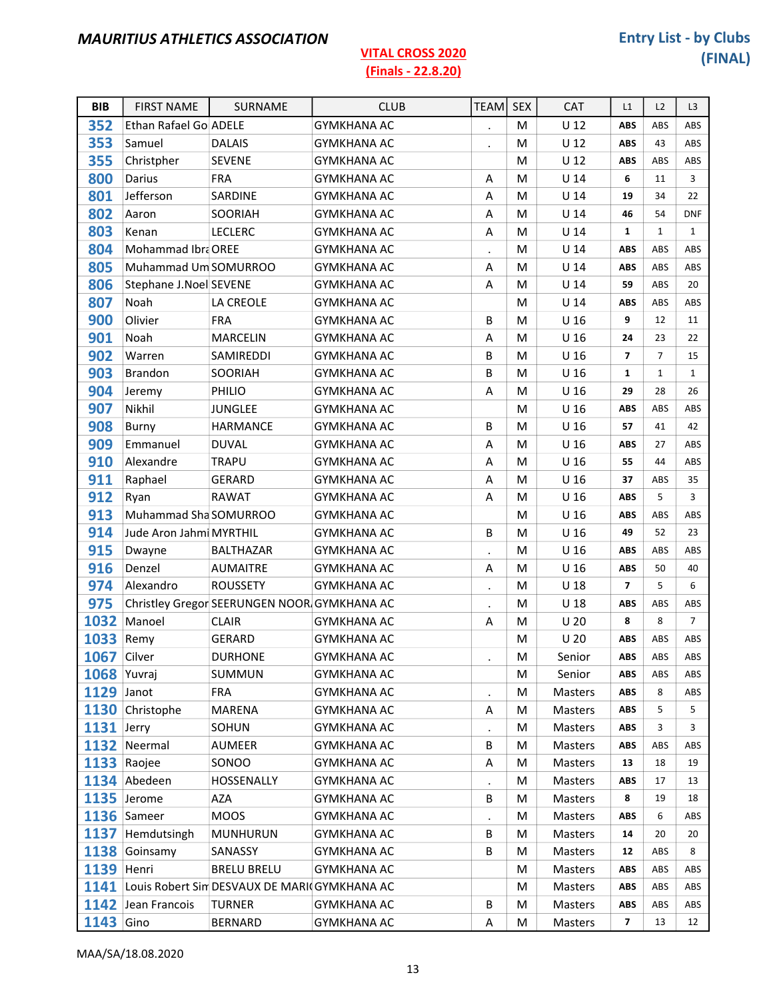| <b>BIB</b>        | <b>FIRST NAME</b>       | SURNAME                                            | <b>CLUB</b>        | <b>TEAM</b>          | <b>SEX</b> | <b>CAT</b>      | L1                      | L2             | L <sub>3</sub> |
|-------------------|-------------------------|----------------------------------------------------|--------------------|----------------------|------------|-----------------|-------------------------|----------------|----------------|
| 352               | Ethan Rafael Go ADELE   |                                                    | <b>GYMKHANA AC</b> |                      | M          | U <sub>12</sub> | <b>ABS</b>              | ABS            | ABS            |
| 353               | Samuel                  | <b>DALAIS</b>                                      | <b>GYMKHANA AC</b> | $\ddot{\phantom{0}}$ | м          | U <sub>12</sub> | <b>ABS</b>              | 43             | ABS            |
| 355               | Christpher              | <b>SEVENE</b>                                      | <b>GYMKHANA AC</b> |                      | М          | $U$ 12          | ABS                     | ABS            | ABS            |
| 800               | Darius                  | <b>FRA</b>                                         | <b>GYMKHANA AC</b> | Α                    | М          | $U$ 14          | 6                       | 11             | 3              |
| 801               | Jefferson               | SARDINE                                            | <b>GYMKHANA AC</b> | A                    | M          | U <sub>14</sub> | 19                      | 34             | 22             |
| 802               | Aaron                   | SOORIAH                                            | <b>GYMKHANA AC</b> | A                    | М          | U <sub>14</sub> | 46                      | 54             | <b>DNF</b>     |
| 803               | Kenan                   | <b>LECLERC</b>                                     | <b>GYMKHANA AC</b> | A                    | M          | U <sub>14</sub> | $\mathbf{1}$            | $\mathbf 1$    | $\mathbf{1}$   |
| 804               | Mohammad Ibra OREE      |                                                    | <b>GYMKHANA AC</b> | $\ddot{\phantom{a}}$ | M          | U <sub>14</sub> | <b>ABS</b>              | ABS            | ABS            |
| 805               | Muhammad Um SOMURROO    |                                                    | <b>GYMKHANA AC</b> | A                    | М          | U <sub>14</sub> | ABS                     | ABS            | ABS            |
| 806               | Stephane J.Noel SEVENE  |                                                    | <b>GYMKHANA AC</b> | A                    | M          | $U$ 14          | 59                      | ABS            | 20             |
| 807               | Noah                    | LA CREOLE                                          | <b>GYMKHANA AC</b> |                      | M          | U <sub>14</sub> | <b>ABS</b>              | ABS            | ABS            |
| 900               | Olivier                 | <b>FRA</b>                                         | <b>GYMKHANA AC</b> | В                    | м          | U <sub>16</sub> | 9                       | 12             | 11             |
| 901               | Noah                    | <b>MARCELIN</b>                                    | <b>GYMKHANA AC</b> | Α                    | M          | U <sub>16</sub> | 24                      | 23             | 22             |
| 902               | Warren                  | SAMIREDDI                                          | <b>GYMKHANA AC</b> | B                    | M          | U <sub>16</sub> | $\overline{7}$          | $\overline{7}$ | 15             |
| 903               | <b>Brandon</b>          | SOORIAH                                            | <b>GYMKHANA AC</b> | В                    | М          | U <sub>16</sub> | 1                       | $\mathbf 1$    | $\mathbf{1}$   |
| 904               | Jeremy                  | PHILIO                                             | <b>GYMKHANA AC</b> | A                    | M          | U <sub>16</sub> | 29                      | 28             | 26             |
| 907               | Nikhil                  | <b>JUNGLEE</b>                                     | <b>GYMKHANA AC</b> |                      | M          | U <sub>16</sub> | <b>ABS</b>              | ABS            | ABS            |
| 908               | Burny                   | <b>HARMANCE</b>                                    | <b>GYMKHANA AC</b> | В                    | м          | U <sub>16</sub> | 57                      | 41             | 42             |
| 909               | Emmanuel                | <b>DUVAL</b>                                       | <b>GYMKHANA AC</b> | A                    | M          | U <sub>16</sub> | <b>ABS</b>              | 27             | ABS            |
| 910               | Alexandre               | <b>TRAPU</b>                                       | <b>GYMKHANA AC</b> | A                    | M          | U <sub>16</sub> | 55                      | 44             | ABS            |
| 911               | Raphael                 | <b>GERARD</b>                                      | <b>GYMKHANA AC</b> | Α                    | M          | U <sub>16</sub> | 37                      | ABS            | 35             |
| 912               | Ryan                    | <b>RAWAT</b>                                       | <b>GYMKHANA AC</b> | A                    | M          | U <sub>16</sub> | ABS                     | 5              | 3              |
| 913               | Muhammad Sha SOMURROO   |                                                    | <b>GYMKHANA AC</b> |                      | M          | U <sub>16</sub> | <b>ABS</b>              | ABS            | ABS            |
| 914               | Jude Aron Jahmi MYRTHIL |                                                    | <b>GYMKHANA AC</b> | В                    | M          | U <sub>16</sub> | 49                      | 52             | 23             |
| 915               | Dwayne                  | BALTHAZAR                                          | <b>GYMKHANA AC</b> | $\bullet$            | M          | U <sub>16</sub> | <b>ABS</b>              | ABS            | ABS            |
| 916               | Denzel                  | <b>AUMAITRE</b>                                    | <b>GYMKHANA AC</b> | A                    | M          | U <sub>16</sub> | <b>ABS</b>              | 50             | 40             |
| 974               | Alexandro               | <b>ROUSSETY</b>                                    | <b>GYMKHANA AC</b> | $\blacksquare$       | М          | U <sub>18</sub> | $\overline{7}$          | 5              | 6              |
| 975               |                         | Christley Gregor SEERUNGEN NOOR GYMKHANA AC        |                    | $\bullet$            | M          | U <sub>18</sub> | ABS                     | ABS            | ABS            |
| 1032              | Manoel                  | <b>CLAIR</b>                                       | <b>GYMKHANA AC</b> | A                    | М          | U <sub>20</sub> | 8                       | 8              | $\overline{7}$ |
| 1033 Remy         |                         | <b>GERARD</b>                                      | <b>GYMKHANA AC</b> |                      | М          | U <sub>20</sub> | <b>ABS</b>              | ABS            | ABS            |
| 1067 Cilver       |                         | <b>DURHONE</b>                                     | <b>GYMKHANA AC</b> |                      | M          | Senior          | ABS                     | ABS            | ABS            |
|                   | 1068 Yuvraj             | SUMMUN                                             | GYMKHANA AC        |                      | М          | Senior          | ABS                     | ABS            | ABS            |
| $1129$ Janot      |                         | <b>FRA</b>                                         | <b>GYMKHANA AC</b> | $\bullet$            | М          | Masters         | ABS                     | 8              | ABS            |
|                   | 1130 Christophe         | MARENA                                             | <b>GYMKHANA AC</b> | A                    | М          | Masters         | ABS                     | 5              | 5              |
| $1131$ Jerry      |                         | SOHUN                                              | <b>GYMKHANA AC</b> | $\bullet$            | M          | Masters         | ABS                     | 3              | 3              |
|                   | 1132 Neermal            | AUMEER                                             | <b>GYMKHANA AC</b> | В                    | М          | Masters         | ABS                     | ABS            | ABS            |
|                   | 1133 Raojee             | SONOO                                              | <b>GYMKHANA AC</b> | Α                    | M          | Masters         | 13                      | 18             | 19             |
|                   | 1134 Abedeen            | HOSSENALLY                                         | GYMKHANA AC        | $\cdot$              | M          | Masters         | ABS                     | 17             | 13             |
|                   | 1135 Jerome             | AZA                                                | <b>GYMKHANA AC</b> | В                    | М          | Masters         | 8                       | 19             | 18             |
|                   | 1136 Sameer             | <b>MOOS</b>                                        | <b>GYMKHANA AC</b> | $\blacksquare$       | М          | Masters         | ABS                     | 6              | ABS            |
|                   | 1137 Hemdutsingh        | <b>MUNHURUN</b>                                    | <b>GYMKHANA AC</b> | В                    | М          | Masters         | 14                      | 20             | 20             |
|                   | 1138 Goinsamy           | SANASSY                                            | <b>GYMKHANA AC</b> | В                    | M          | Masters         | 12                      | ABS            | 8              |
| <b>1139 Henri</b> |                         | <b>BRELU BRELU</b>                                 | <b>GYMKHANA AC</b> |                      | M          | Masters         | ABS                     | ABS            | ABS            |
|                   |                         | 1141 Louis Robert Sin DESVAUX DE MARIC GYMKHANA AC |                    |                      | М          | Masters         | ABS                     | ABS            | ABS            |
|                   | 1142 Jean Francois      | <b>TURNER</b>                                      | <b>GYMKHANA AC</b> | В                    | М          | Masters         | ABS                     | ABS            | ABS            |
| <b>1143</b> Gino  |                         | <b>BERNARD</b>                                     | <b>GYMKHANA AC</b> | A                    | M          | Masters         | $\overline{\mathbf{z}}$ | 13             | 12             |

MAA/SA/18.08.2020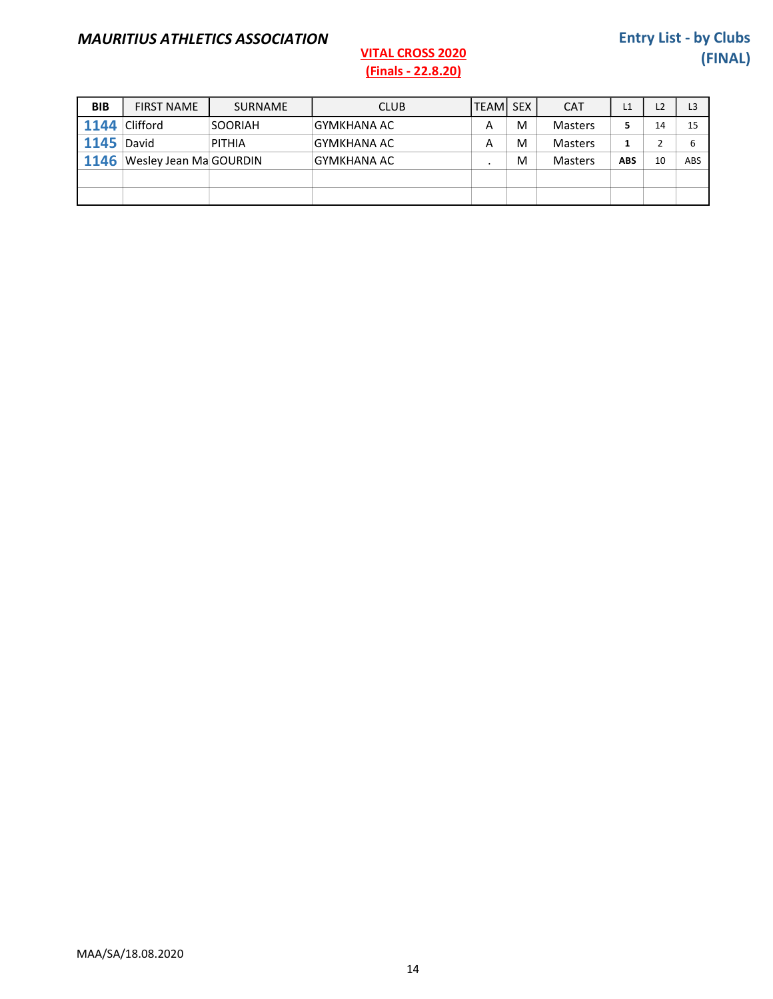| <b>BIB</b> | <b>FIRST NAME</b>      | <b>SURNAME</b> | <b>CLUB</b>        | <b>TEAMI SEX</b> |   | <b>CAT</b>     | L1  | L2 | L <sub>3</sub> |
|------------|------------------------|----------------|--------------------|------------------|---|----------------|-----|----|----------------|
| 1144       | Clifford               | <b>SOORIAH</b> | <b>GYMKHANA AC</b> | A                | M | <b>Masters</b> |     | 14 | 15             |
| 1145       | David                  | PITHIA         | GYMKHANA AC        | A                | M | <b>Masters</b> |     |    | 6              |
| 1146       | Wesley Jean Ma GOURDIN |                | <b>GYMKHANA AC</b> |                  | M | <b>Masters</b> | ABS | 10 | ABS            |
|            |                        |                |                    |                  |   |                |     |    |                |
|            |                        |                |                    |                  |   |                |     |    |                |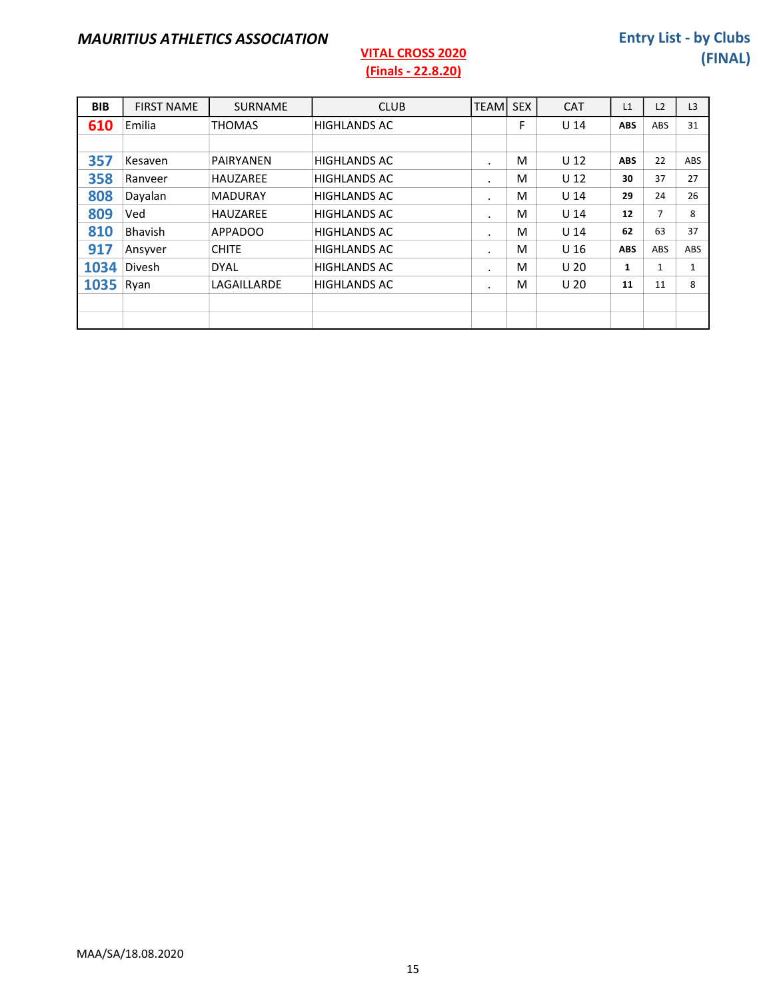### VITAL CROSS 2020

#### Entry List - by Clubs (FINAL)

| <b>BIB</b> | <b>FIRST NAME</b> | <b>SURNAME</b>   | <b>CLUB</b>         | TEAMI     | <b>SEX</b> | <b>CAT</b>      | L1         | L2           | L <sub>3</sub> |
|------------|-------------------|------------------|---------------------|-----------|------------|-----------------|------------|--------------|----------------|
| 610        | Emilia            | <b>THOMAS</b>    | <b>HIGHLANDS AC</b> |           | F          | U <sub>14</sub> | <b>ABS</b> | ABS          | 31             |
|            |                   |                  |                     |           |            |                 |            |              |                |
| 357        | Kesaven           | <b>PAIRYANEN</b> | <b>HIGHLANDS AC</b> | $\cdot$   | м          | U <sub>12</sub> | <b>ABS</b> | 22           | ABS            |
| 358        | Ranveer           | HAUZAREE         | <b>HIGHLANDS AC</b> | ٠         | м          | U <sub>12</sub> | 30         | 37           | 27             |
| 808        | Dayalan           | <b>MADURAY</b>   | <b>HIGHLANDS AC</b> | $\cdot$   | M          | U <sub>14</sub> | 29         | 24           | 26             |
| 809        | Ved               | <b>HAUZAREE</b>  | <b>HIGHLANDS AC</b> | $\bullet$ | M          | U <sub>14</sub> | 12         | 7            | 8              |
| 810        | <b>Bhavish</b>    | <b>APPADOO</b>   | <b>HIGHLANDS AC</b> | $\cdot$   | M          | U <sub>14</sub> | 62         | 63           | 37             |
| 917        | Ansyver           | <b>CHITE</b>     | <b>HIGHLANDS AC</b> | $\cdot$   | M          | U 16            | <b>ABS</b> | <b>ABS</b>   | ABS            |
| 1034       | Divesh            | <b>DYAL</b>      | <b>HIGHLANDS AC</b> | $\bullet$ | M          | U <sub>20</sub> | 1          | $\mathbf{1}$ | $\mathbf{1}$   |
| 1035       | Ryan              | LAGAILLARDE      | <b>HIGHLANDS AC</b> | ٠         | M          | U <sub>20</sub> | 11         | 11           | 8              |
|            |                   |                  |                     |           |            |                 |            |              |                |
|            |                   |                  |                     |           |            |                 |            |              |                |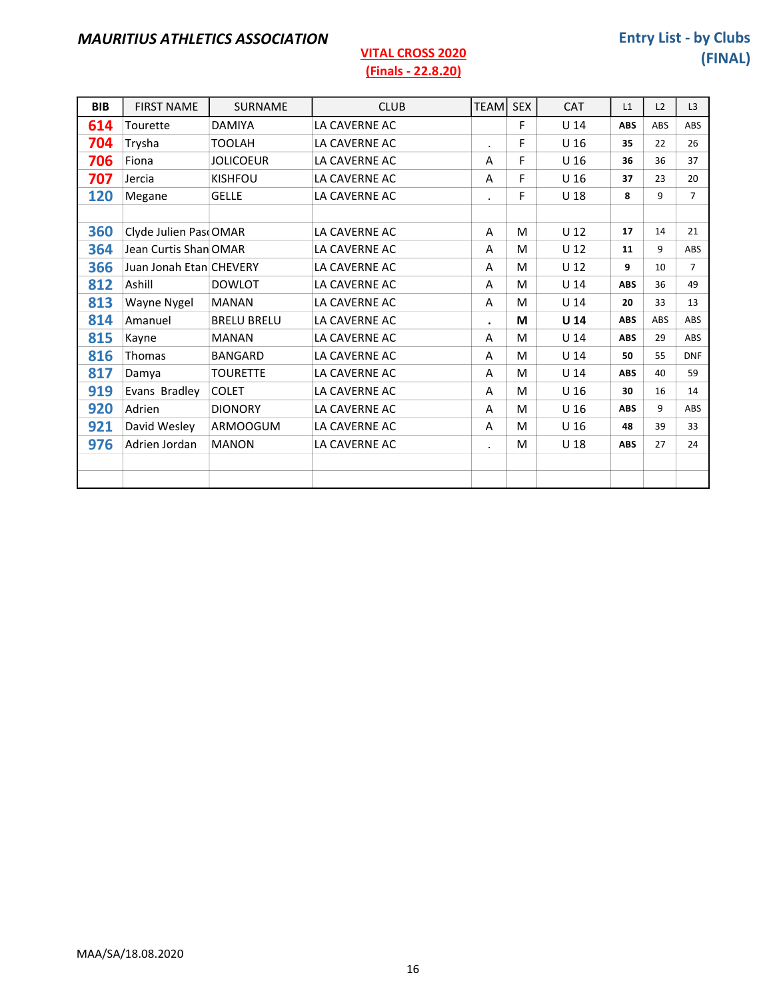| <b>BIB</b> | <b>FIRST NAME</b>       | <b>SURNAME</b>     | <b>CLUB</b>   | <b>TEAM</b> | <b>SEX</b> | <b>CAT</b>      | L1         | L2  | L3             |
|------------|-------------------------|--------------------|---------------|-------------|------------|-----------------|------------|-----|----------------|
| 614        | Tourette                | <b>DAMIYA</b>      | LA CAVERNE AC |             | F          | U <sub>14</sub> | <b>ABS</b> | ABS | <b>ABS</b>     |
| 704        | Trysha                  | <b>TOOLAH</b>      | LA CAVERNE AC | $\cdot$     | F          | U <sub>16</sub> | 35         | 22  | 26             |
| 706        | Fiona                   | <b>JOLICOEUR</b>   | LA CAVERNE AC | A           | F          | U <sub>16</sub> | 36         | 36  | 37             |
| 707        | Jercia                  | <b>KISHFOU</b>     | LA CAVERNE AC | A           | F          | U <sub>16</sub> | 37         | 23  | 20             |
| 120        | Megane                  | <b>GELLE</b>       | LA CAVERNE AC | $\cdot$     | F          | U <sub>18</sub> | 8          | 9   | $\overline{7}$ |
|            |                         |                    |               |             |            |                 |            |     |                |
| 360        | Clyde Julien Pas OMAR   |                    | LA CAVERNE AC | A           | M          | U <sub>12</sub> | 17         | 14  | 21             |
| 364        | Jean Curtis Shan OMAR   |                    | LA CAVERNE AC | A           | M          | U <sub>12</sub> | 11         | 9   | <b>ABS</b>     |
| 366        | Juan Jonah Etan CHEVERY |                    | LA CAVERNE AC | A           | M          | U <sub>12</sub> | 9          | 10  | $\overline{7}$ |
| 812        | Ashill                  | <b>DOWLOT</b>      | LA CAVERNE AC | A           | M          | $U$ 14          | <b>ABS</b> | 36  | 49             |
| 813        | Wayne Nygel             | <b>MANAN</b>       | LA CAVERNE AC | Α           | M          | U <sub>14</sub> | 20         | 33  | 13             |
| 814        | Amanuel                 | <b>BRELU BRELU</b> | LA CAVERNE AC | $\bullet$   | М          | U <sub>14</sub> | <b>ABS</b> | ABS | ABS            |
| 815        | Kayne                   | <b>MANAN</b>       | LA CAVERNE AC | A           | M          | U <sub>14</sub> | <b>ABS</b> | 29  | ABS            |
| 816        | Thomas                  | <b>BANGARD</b>     | LA CAVERNE AC | A           | M          | U <sub>14</sub> | 50         | 55  | <b>DNF</b>     |
| 817        | Damya                   | <b>TOURETTE</b>    | LA CAVERNE AC | A           | M          | U <sub>14</sub> | <b>ABS</b> | 40  | 59             |
| 919        | Evans Bradley           | <b>COLET</b>       | LA CAVERNE AC | A           | M          | U <sub>16</sub> | 30         | 16  | 14             |
| 920        | Adrien                  | <b>DIONORY</b>     | LA CAVERNE AC | A           | M          | U <sub>16</sub> | <b>ABS</b> | 9   | ABS            |
| 921        | David Wesley            | ARMOOGUM           | LA CAVERNE AC | A           | M          | U 16            | 48         | 39  | 33             |
| 976        | Adrien Jordan           | <b>MANON</b>       | LA CAVERNE AC | $\cdot$     | M          | U <sub>18</sub> | <b>ABS</b> | 27  | 24             |
|            |                         |                    |               |             |            |                 |            |     |                |
|            |                         |                    |               |             |            |                 |            |     |                |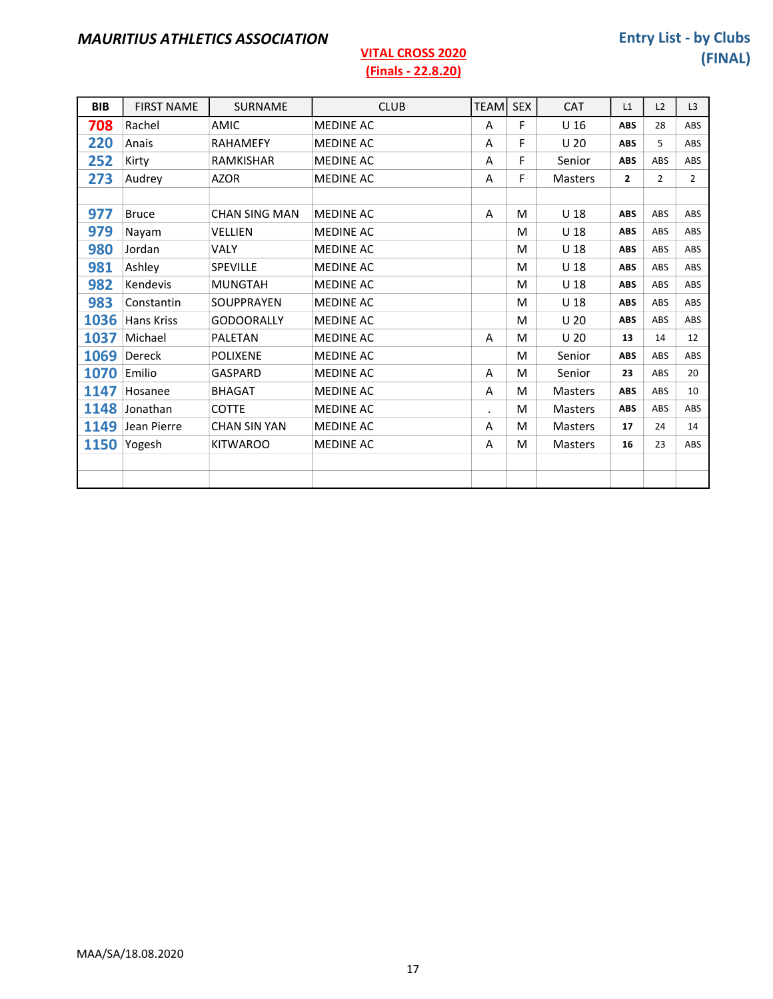| <b>BIB</b> | <b>FIRST NAME</b> | SURNAME              | <b>CLUB</b>      | <b>TEAM</b> | <b>SEX</b> | <b>CAT</b>      | L1             | L2             | L3             |
|------------|-------------------|----------------------|------------------|-------------|------------|-----------------|----------------|----------------|----------------|
| 708        | Rachel            | <b>AMIC</b>          | <b>MEDINE AC</b> | A           | F          | U <sub>16</sub> | <b>ABS</b>     | 28             | ABS            |
| 220        | Anais             | <b>RAHAMEFY</b>      | <b>MEDINE AC</b> | A           | F          | U <sub>20</sub> | <b>ABS</b>     | 5              | ABS            |
| 252        | Kirty             | <b>RAMKISHAR</b>     | <b>MEDINE AC</b> | A           | F          | Senior          | <b>ABS</b>     | ABS            | ABS            |
| 273        | Audrey            | <b>AZOR</b>          | <b>MEDINE AC</b> | A           | F          | <b>Masters</b>  | $\overline{2}$ | $\overline{2}$ | $\overline{2}$ |
|            |                   |                      |                  |             |            |                 |                |                |                |
| 977        | <b>Bruce</b>      | <b>CHAN SING MAN</b> | <b>MEDINE AC</b> | A           | M          | U <sub>18</sub> | <b>ABS</b>     | ABS            | ABS            |
| 979        | Nayam             | <b>VELLIEN</b>       | <b>MEDINE AC</b> |             | M          | U 18            | <b>ABS</b>     | ABS            | ABS            |
| 980        | Jordan            | <b>VALY</b>          | <b>MEDINE AC</b> |             | M          | U <sub>18</sub> | <b>ABS</b>     | ABS            | ABS            |
| 981        | Ashley            | <b>SPEVILLE</b>      | <b>MEDINE AC</b> |             | M          | U <sub>18</sub> | <b>ABS</b>     | ABS            | ABS            |
| 982        | Kendevis          | <b>MUNGTAH</b>       | <b>MEDINE AC</b> |             | M          | U <sub>18</sub> | <b>ABS</b>     | ABS            | ABS            |
| 983        | Constantin        | SOUPPRAYEN           | <b>MEDINE AC</b> |             | M          | U <sub>18</sub> | <b>ABS</b>     | ABS            | ABS            |
| 1036       | Hans Kriss        | <b>GODOORALLY</b>    | <b>MEDINE AC</b> |             | M          | U <sub>20</sub> | <b>ABS</b>     | ABS            | ABS            |
| 1037       | Michael           | PALETAN              | <b>MEDINE AC</b> | A           | M          | U <sub>20</sub> | 13             | 14             | 12             |
| 1069       | Dereck            | <b>POLIXENE</b>      | <b>MEDINE AC</b> |             | M          | Senior          | <b>ABS</b>     | ABS            | ABS            |
| 1070       | Emilio            | <b>GASPARD</b>       | <b>MEDINE AC</b> | A           | M          | Senior          | 23             | ABS            | 20             |
| 1147       | Hosanee           | <b>BHAGAT</b>        | <b>MEDINE AC</b> | A           | M          | <b>Masters</b>  | <b>ABS</b>     | ABS            | 10             |
| 1148       | Jonathan          | <b>COTTE</b>         | <b>MEDINE AC</b> | $\bullet$   | M          | <b>Masters</b>  | <b>ABS</b>     | ABS            | ABS            |
| 1149       | Jean Pierre       | <b>CHAN SIN YAN</b>  | <b>MEDINE AC</b> | A           | M          | <b>Masters</b>  | 17             | 24             | 14             |
| 1150       | Yogesh            | <b>KITWAROO</b>      | MEDINE AC        | A           | M          | <b>Masters</b>  | 16             | 23             | ABS            |
|            |                   |                      |                  |             |            |                 |                |                |                |
|            |                   |                      |                  |             |            |                 |                |                |                |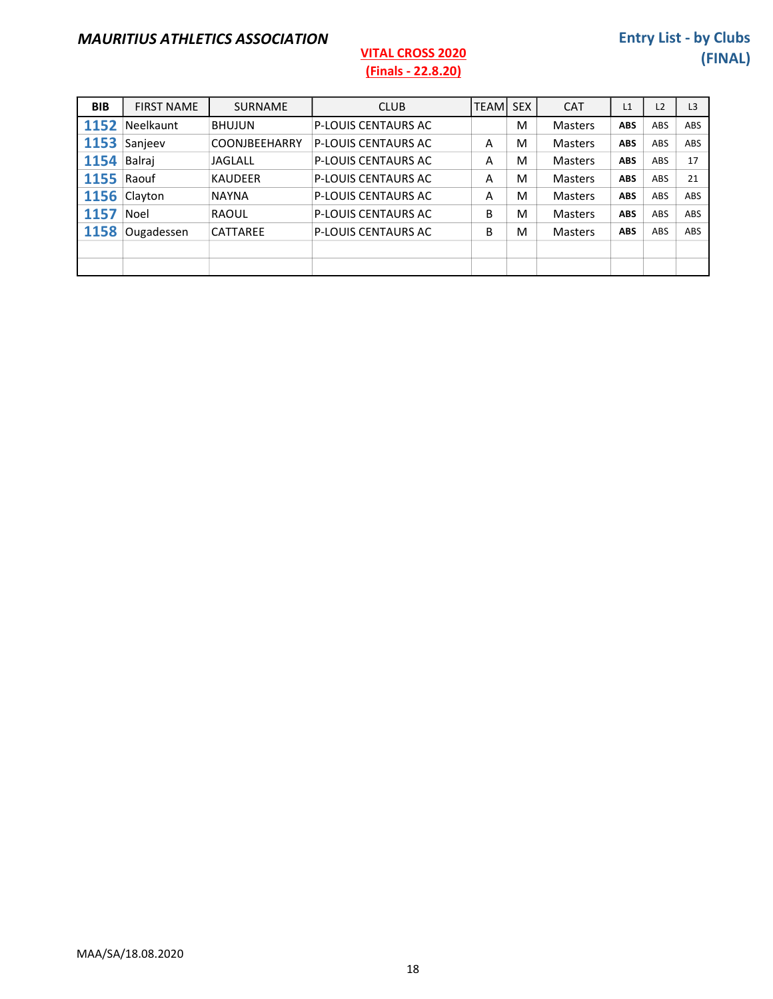| <b>BIB</b> | <b>FIRST NAME</b> | <b>SURNAME</b>       | <b>CLUB</b>                | TEAMI | <b>SEX</b> | <b>CAT</b>     | L1         | L <sub>2</sub> | L <sub>3</sub> |
|------------|-------------------|----------------------|----------------------------|-------|------------|----------------|------------|----------------|----------------|
| 1152       | <b>Neelkaunt</b>  | <b>BHUJUN</b>        | <b>P-LOUIS CENTAURS AC</b> |       | M          | <b>Masters</b> | <b>ABS</b> | ABS            | ABS            |
| 1153       | Sanjeev           | <b>COONJBEEHARRY</b> | <b>P-LOUIS CENTAURS AC</b> | A     | м          | <b>Masters</b> | <b>ABS</b> | ABS            | ABS            |
| 1154       | Balraj            | <b>JAGLALL</b>       | <b>P-LOUIS CENTAURS AC</b> | A     | M          | <b>Masters</b> | <b>ABS</b> | ABS            | 17             |
| 1155       | Raouf             | <b>KAUDEER</b>       | <b>P-LOUIS CENTAURS AC</b> | A     | M          | Masters        | <b>ABS</b> | ABS            | 21             |
| 1156       | Clayton           | <b>NAYNA</b>         | <b>P-LOUIS CENTAURS AC</b> | A     | M          | <b>Masters</b> | <b>ABS</b> | ABS            | ABS            |
| 1157       | Noel              | <b>RAOUL</b>         | <b>P-LOUIS CENTAURS AC</b> | B     | M          | <b>Masters</b> | <b>ABS</b> | ABS            | ABS            |
| 1158       | Ougadessen        | <b>CATTAREE</b>      | <b>P-LOUIS CENTAURS AC</b> | B     | M          | <b>Masters</b> | <b>ABS</b> | ABS            | ABS            |
|            |                   |                      |                            |       |            |                |            |                |                |
|            |                   |                      |                            |       |            |                |            |                |                |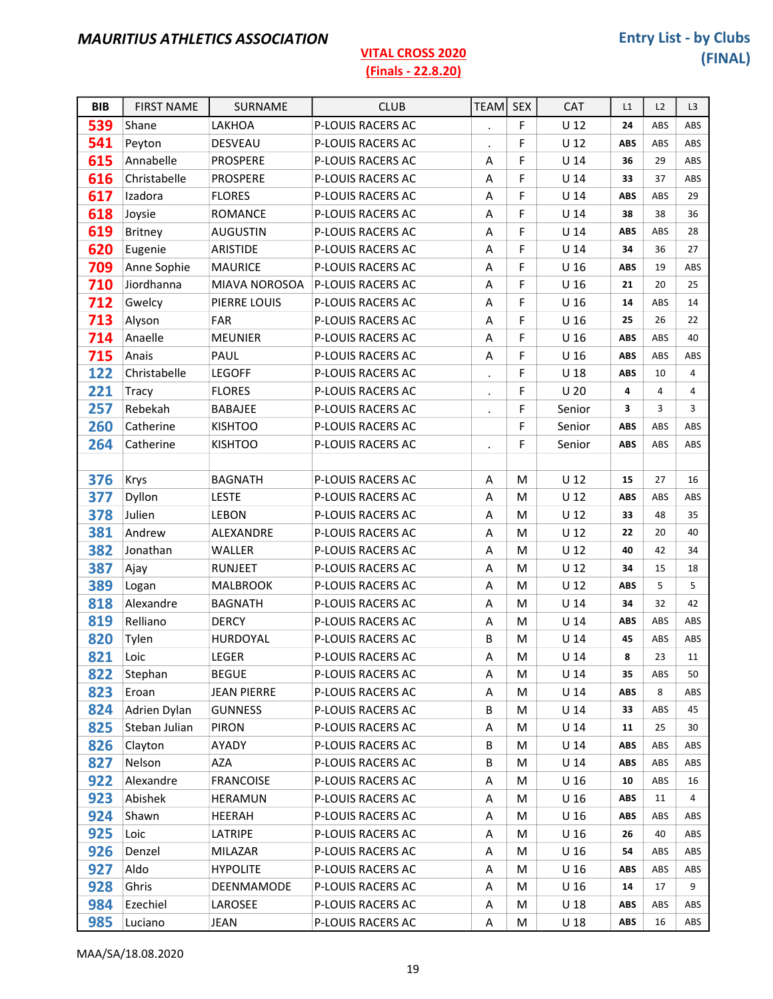| <b>BIB</b> | <b>FIRST NAME</b> | SURNAME            | <b>CLUB</b>              | <b>TEAM</b> | <b>SEX</b> | <b>CAT</b>      | L1         | L2  | L <sub>3</sub> |
|------------|-------------------|--------------------|--------------------------|-------------|------------|-----------------|------------|-----|----------------|
| 539        | Shane             | LAKHOA             | P-LOUIS RACERS AC        |             | F          | $U$ 12          | 24         | ABS | ABS            |
| 541        | Peyton            | <b>DESVEAU</b>     | P-LOUIS RACERS AC        |             | F          | U <sub>12</sub> | <b>ABS</b> | ABS | ABS            |
| 615        | Annabelle         | <b>PROSPERE</b>    | P-LOUIS RACERS AC        | Α           | F          | U <sub>14</sub> | 36         | 29  | ABS            |
| 616        | Christabelle      | <b>PROSPERE</b>    | P-LOUIS RACERS AC        | Α           | F          | $U$ 14          | 33         | 37  | ABS            |
| 617        | Izadora           | <b>FLORES</b>      | P-LOUIS RACERS AC        | A           | F          | U <sub>14</sub> | <b>ABS</b> | ABS | 29             |
| 618        | Joysie            | <b>ROMANCE</b>     | P-LOUIS RACERS AC        | Α           | F          | U <sub>14</sub> | 38         | 38  | 36             |
| 619        | <b>Britney</b>    | <b>AUGUSTIN</b>    | P-LOUIS RACERS AC        | A           | F          | U <sub>14</sub> | <b>ABS</b> | ABS | 28             |
| 620        | Eugenie           | <b>ARISTIDE</b>    | P-LOUIS RACERS AC        | Α           | F          | U <sub>14</sub> | 34         | 36  | 27             |
| 709        | Anne Sophie       | <b>MAURICE</b>     | <b>P-LOUIS RACERS AC</b> | Α           | F          | U <sub>16</sub> | <b>ABS</b> | 19  | ABS            |
| 710        | Jiordhanna        | MIAVA NOROSOA      | P-LOUIS RACERS AC        | A           | F          | U <sub>16</sub> | 21         | 20  | 25             |
| 712        | Gwelcy            | PIERRE LOUIS       | P-LOUIS RACERS AC        | Α           | F          | U <sub>16</sub> | 14         | ABS | 14             |
| 713        | Alyson            | <b>FAR</b>         | P-LOUIS RACERS AC        | Α           | F          | U <sub>16</sub> | 25         | 26  | 22             |
| 714        | Anaelle           | <b>MEUNIER</b>     | P-LOUIS RACERS AC        | Α           | F          | U <sub>16</sub> | <b>ABS</b> | ABS | 40             |
| 715        | Anais             | PAUL               | P-LOUIS RACERS AC        | A           | F          | U <sub>16</sub> | <b>ABS</b> | ABS | ABS            |
| 122        | Christabelle      | <b>LEGOFF</b>      | P-LOUIS RACERS AC        | $\bullet$   | F          | U <sub>18</sub> | <b>ABS</b> | 10  | 4              |
| 221        | Tracy             | <b>FLORES</b>      | P-LOUIS RACERS AC        | $\cdot$     | F          | U <sub>20</sub> | 4          | 4   | $\overline{4}$ |
| 257        | Rebekah           | <b>BABAJEE</b>     | P-LOUIS RACERS AC        | $\bullet$   | F          | Senior          | 3          | 3   | 3              |
| 260        | Catherine         | <b>KISHTOO</b>     | P-LOUIS RACERS AC        |             | F          | Senior          | <b>ABS</b> | ABS | ABS            |
| 264        | Catherine         | <b>KISHTOO</b>     | <b>P-LOUIS RACERS AC</b> | $\bullet$   | F          | Senior          | <b>ABS</b> | ABS | ABS            |
|            |                   |                    |                          |             |            |                 |            |     |                |
| 376        | Krys              | <b>BAGNATH</b>     | <b>P-LOUIS RACERS AC</b> | A           | M          | U <sub>12</sub> | 15         | 27  | 16             |
| 377        | Dyllon            | <b>LESTE</b>       | P-LOUIS RACERS AC        | Α           | м          | U <sub>12</sub> | <b>ABS</b> | ABS | ABS            |
| 378        | Julien            | <b>LEBON</b>       | P-LOUIS RACERS AC        | A           | M          | U <sub>12</sub> | 33         | 48  | 35             |
| 381        | Andrew            | ALEXANDRE          | P-LOUIS RACERS AC        | Α           | M          | U <sub>12</sub> | 22         | 20  | 40             |
| 382        | Jonathan          | WALLER             | P-LOUIS RACERS AC        | Α           | M          | U <sub>12</sub> | 40         | 42  | 34             |
| 387        | Ajay              | <b>RUNJEET</b>     | P-LOUIS RACERS AC        | Α           | M          | U <sub>12</sub> | 34         | 15  | 18             |
| 389        | Logan             | <b>MALBROOK</b>    | P-LOUIS RACERS AC        | Α           | M          | U <sub>12</sub> | ABS        | 5   | 5              |
| 818        | Alexandre         | <b>BAGNATH</b>     | P-LOUIS RACERS AC        | A           | M          | U <sub>14</sub> | 34         | 32  | 42             |
| 819        | Relliano          | <b>DERCY</b>       | P-LOUIS RACERS AC        | A           | M          | U <sub>14</sub> | <b>ABS</b> | ABS | ABS            |
| 820        | Tylen             | HURDOYAL           | P-LOUIS RACERS AC        | B           | M          | $U$ 14          | 45         | ABS | ABS            |
| 821        | Loic              | LEGER              | P-LOUIS RACERS AC        | A           | M          | $U$ 14          | 8          | 23  | 11             |
| 822        | Stephan           | <b>BEGUE</b>       | P-LOUIS RACERS AC        | Α           | М          | U <sub>14</sub> | 35         | ABS | 50             |
| 823        | Eroan             | <b>JEAN PIERRE</b> | P-LOUIS RACERS AC        | Α           | M          | U <sub>14</sub> | ABS        | 8   | ABS            |
| 824        | Adrien Dylan      | <b>GUNNESS</b>     | <b>P-LOUIS RACERS AC</b> | В           | M          | U <sub>14</sub> | 33         | ABS | 45             |
| 825        | Steban Julian     | <b>PIRON</b>       | <b>P-LOUIS RACERS AC</b> | Α           | M          | U <sub>14</sub> | 11         | 25  | 30             |
| 826        | Clayton           | AYADY              | P-LOUIS RACERS AC        | В           | M          | $U$ 14          | ABS        | ABS | ABS            |
| 827        | Nelson            | AZA                | P-LOUIS RACERS AC        | В           | M          | U <sub>14</sub> | <b>ABS</b> | ABS | ABS            |
| 922        | Alexandre         | <b>FRANCOISE</b>   | P-LOUIS RACERS AC        | Α           | M          | U <sub>16</sub> | 10         | ABS | 16             |
| 923        | Abishek           | HERAMUN            | P-LOUIS RACERS AC        | Α           | M          | U <sub>16</sub> | ABS        | 11  | 4              |
| 924        | Shawn             | <b>HEERAH</b>      | <b>P-LOUIS RACERS AC</b> | Α           | M          | U <sub>16</sub> | <b>ABS</b> | ABS | ABS            |
| 925        | Loic              | LATRIPE            | <b>P-LOUIS RACERS AC</b> | Α           | M          | U <sub>16</sub> | 26         | 40  | ABS            |
| 926        | Denzel            | MILAZAR            | P-LOUIS RACERS AC        | Α           | M          | U <sub>16</sub> | 54         | ABS | ABS            |
| 927        | Aldo              | <b>HYPOLITE</b>    | P-LOUIS RACERS AC        | Α           | M          | U <sub>16</sub> | <b>ABS</b> | ABS | ABS            |
| 928        | Ghris             | DEENMAMODE         | P-LOUIS RACERS AC        | Α           | M          | U <sub>16</sub> | 14         | 17  | 9              |
| 984        | Ezechiel          | LAROSEE            | P-LOUIS RACERS AC        | Α           | M          | U <sub>18</sub> | <b>ABS</b> | ABS | ABS            |
| 985        | Luciano           | JEAN               | P-LOUIS RACERS AC        | А           | M          | U <sub>18</sub> | ABS        | 16  | ABS            |

MAA/SA/18.08.2020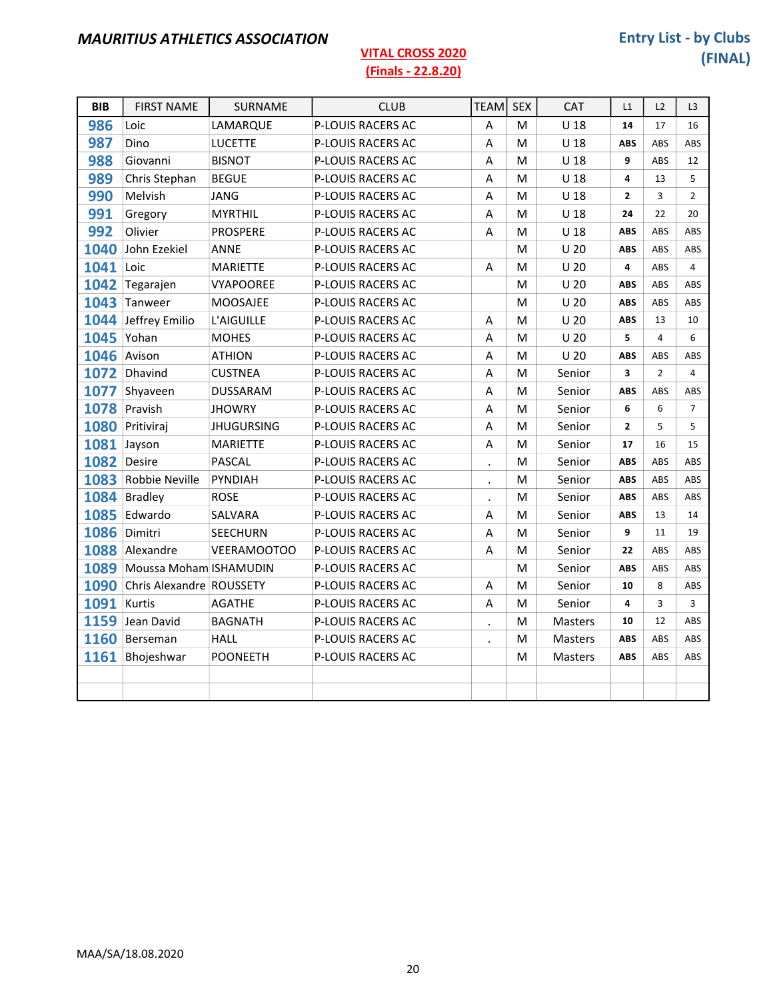# BIB FIRST NAME SURNAME CLUB CLUB TEAM SEX CAT L1 L2 L3 1986 Loic LAMARQUE P-LOUIS RACERS AC A M U 18 14 17 16 **Dino** LUCETTE P-LOUIS RACERS AC A M U 18 ABS ABS ABS ABS A

| ,,,               |                             |                   |                          | . .       |   |                 |                |                |                |
|-------------------|-----------------------------|-------------------|--------------------------|-----------|---|-----------------|----------------|----------------|----------------|
| 988               | Giovanni                    | <b>BISNOT</b>     | P-LOUIS RACERS AC        | A         | м | U <sub>18</sub> | 9              | ABS            | 12             |
| 989               | Chris Stephan               | <b>BEGUE</b>      | P-LOUIS RACERS AC        | Α         | M | U <sub>18</sub> | 4              | 13             | 5              |
| 990               | Melvish                     | <b>JANG</b>       | P-LOUIS RACERS AC        | A         | M | U <sub>18</sub> | $\mathbf{2}$   | 3              | $\overline{2}$ |
| 991               | Gregory                     | <b>MYRTHIL</b>    | <b>P-LOUIS RACERS AC</b> | A         | M | U <sub>18</sub> | 24             | 22             | 20             |
| 992               | Olivier                     | <b>PROSPERE</b>   | P-LOUIS RACERS AC        | A         | M | U <sub>18</sub> | <b>ABS</b>     | ABS            | ABS            |
|                   | 1040 John Ezekiel           | <b>ANNE</b>       | P-LOUIS RACERS AC        |           | M | U <sub>20</sub> | <b>ABS</b>     | ABS            | ABS            |
| 1041 Loic         |                             | <b>MARIETTE</b>   | P-LOUIS RACERS AC        | A         | M | U <sub>20</sub> | 4              | ABS            | 4              |
|                   | 1042 Tegarajen              | <b>VYAPOOREE</b>  | P-LOUIS RACERS AC        |           | M | U <sub>20</sub> | <b>ABS</b>     | ABS            | ABS            |
|                   | 1043 Tanweer                | MOOSAJEE          | P-LOUIS RACERS AC        |           | M | U <sub>20</sub> | <b>ABS</b>     | ABS            | ABS            |
|                   | 1044 Jeffrey Emilio         | L'AIGUILLE        | P-LOUIS RACERS AC        | Α         | M | U <sub>20</sub> | <b>ABS</b>     | 13             | 10             |
| <b>1045</b> Yohan |                             | <b>MOHES</b>      | P-LOUIS RACERS AC        | Α         | M | U <sub>20</sub> | 5              | 4              | 6              |
|                   | 1046 Avison                 | <b>ATHION</b>     | <b>P-LOUIS RACERS AC</b> | A         | M | U <sub>20</sub> | <b>ABS</b>     | ABS            | ABS            |
|                   | 1072 Dhavind                | <b>CUSTNEA</b>    | P-LOUIS RACERS AC        | A         | M | Senior          | 3              | $\overline{2}$ | 4              |
|                   | 1077 Shyaveen               | <b>DUSSARAM</b>   | P-LOUIS RACERS AC        | A         | M | Senior          | <b>ABS</b>     | ABS            | ABS            |
|                   | 1078 Pravish                | <b>JHOWRY</b>     | P-LOUIS RACERS AC        | A         | M | Senior          | 6              | 6              | $\overline{7}$ |
|                   | 1080 Pritiviraj             | <b>JHUGURSING</b> | P-LOUIS RACERS AC        | Α         | M | Senior          | $\overline{2}$ | 5              | 5              |
| 1081 Jayson       |                             | <b>MARIETTE</b>   | P-LOUIS RACERS AC        | A         | M | Senior          | 17             | 16             | 15             |
| 1082 Desire       |                             | <b>PASCAL</b>     | P-LOUIS RACERS AC        | $\bullet$ | M | Senior          | <b>ABS</b>     | ABS            | <b>ABS</b>     |
|                   | 1083 Robbie Neville         | PYNDIAH           | P-LOUIS RACERS AC        | $\cdot$   | M | Senior          | <b>ABS</b>     | ABS            | ABS            |
|                   | 1084 Bradley                | <b>ROSE</b>       | P-LOUIS RACERS AC        | $\bullet$ | M | Senior          | <b>ABS</b>     | ABS            | ABS            |
|                   | 1085 Edwardo                | SALVARA           | P-LOUIS RACERS AC        | A         | M | Senior          | <b>ABS</b>     | 13             | 14             |
|                   | 1086 Dimitri                | <b>SEECHURN</b>   | P-LOUIS RACERS AC        | Α         | М | Senior          | 9              | 11             | 19             |
|                   | 1088 Alexandre              | VEERAMOOTOO       | P-LOUIS RACERS AC        | A         | м | Senior          | 22             | ABS            | ABS            |
|                   | 1089 Moussa Moham ISHAMUDIN |                   | P-LOUIS RACERS AC        |           | M | Senior          | <b>ABS</b>     | ABS            | ABS            |
| 1090              | Chris Alexandre ROUSSETY    |                   | P-LOUIS RACERS AC        | A         | M | Senior          | 10             | 8              | ABS            |
| 1091 Kurtis       |                             | <b>AGATHE</b>     | P-LOUIS RACERS AC        | A         | M | Senior          | 4              | 3              | 3              |
|                   | 1159 Jean David             | <b>BAGNATH</b>    | P-LOUIS RACERS AC        | $\bullet$ | м | <b>Masters</b>  | 10             | 12             | ABS            |
|                   | 1160 Berseman               | <b>HALL</b>       | P-LOUIS RACERS AC        | $\cdot$   | M | <b>Masters</b>  | <b>ABS</b>     | ABS            | <b>ABS</b>     |
| 1161              | Bhojeshwar                  | <b>POONEETH</b>   | P-LOUIS RACERS AC        |           | M | Masters         | <b>ABS</b>     | ABS            | ABS            |
|                   |                             |                   |                          |           |   |                 |                |                |                |
|                   |                             |                   |                          |           |   |                 |                |                |                |
|                   |                             |                   |                          |           |   |                 |                |                |                |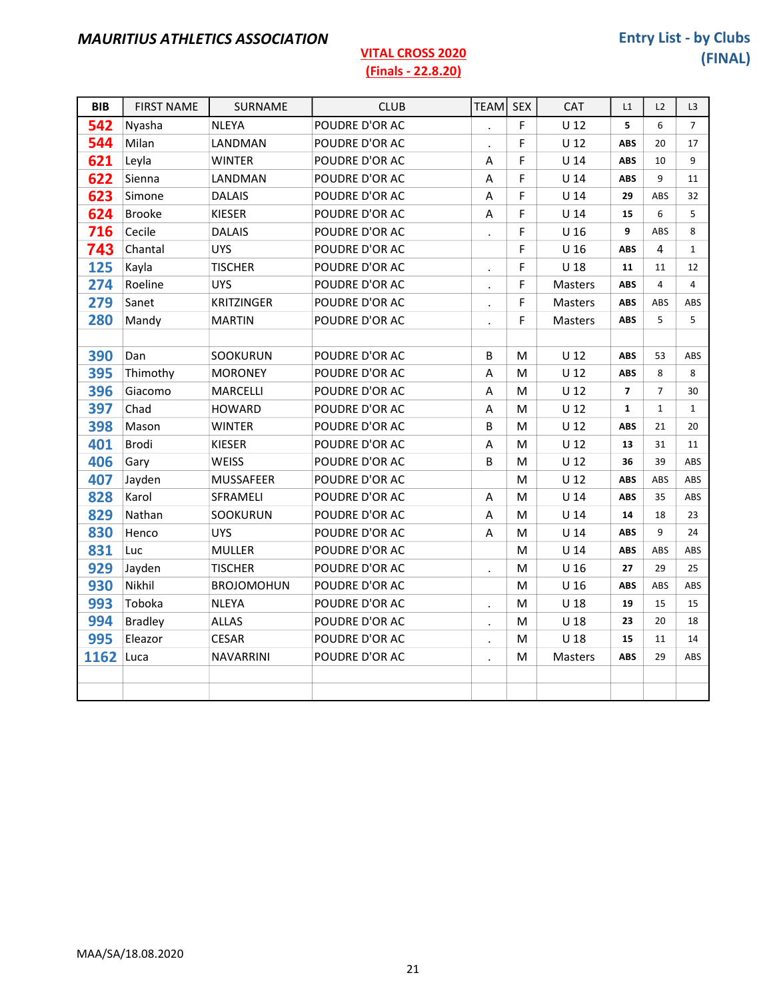## VITAL CROSS 2020

| <b>BIB</b> | <b>FIRST NAME</b> | SURNAME           | <b>CLUB</b>    | <b>TEAM</b>          | <b>SEX</b> | CAT             | L1             | L2             | L3             |
|------------|-------------------|-------------------|----------------|----------------------|------------|-----------------|----------------|----------------|----------------|
| 542        | Nyasha            | <b>NLEYA</b>      | POUDRE D'OR AC | $\ddot{\phantom{a}}$ | F          | U <sub>12</sub> | 5              | 6              | $\overline{7}$ |
| 544        | Milan             | LANDMAN           | POUDRE D'OR AC |                      | F          | $U$ 12          | <b>ABS</b>     | 20             | 17             |
| 621        | Leyla             | <b>WINTER</b>     | POUDRE D'OR AC | A                    | F          | $U$ 14          | <b>ABS</b>     | 10             | 9              |
| 622        | Sienna            | LANDMAN           | POUDRE D'OR AC | Α                    | F          | U <sub>14</sub> | <b>ABS</b>     | 9              | 11             |
| 623        | Simone            | <b>DALAIS</b>     | POUDRE D'OR AC | A                    | F          | $U$ 14          | 29             | ABS            | 32             |
| 624        | <b>Brooke</b>     | KIESER            | POUDRE D'OR AC | A                    | F          | U <sub>14</sub> | 15             | 6              | 5              |
| 716        | Cecile            | <b>DALAIS</b>     | POUDRE D'OR AC | $\ddot{\phantom{0}}$ | F          | U <sub>16</sub> | 9              | ABS            | 8              |
| 743        | Chantal           | <b>UYS</b>        | POUDRE D'OR AC |                      | F          | U <sub>16</sub> | <b>ABS</b>     | 4              | $\mathbf{1}$   |
| 125        | Kayla             | <b>TISCHER</b>    | POUDRE D'OR AC | $\bullet$            | F          | U <sub>18</sub> | 11             | 11             | 12             |
| 274        | Roeline           | <b>UYS</b>        | POUDRE D'OR AC | $\ddot{\phantom{0}}$ | F          | Masters         | <b>ABS</b>     | 4              | $\overline{4}$ |
| 279        | Sanet             | <b>KRITZINGER</b> | POUDRE D'OR AC | $\cdot$              | F          | Masters         | <b>ABS</b>     | ABS            | ABS            |
| 280        | Mandy             | <b>MARTIN</b>     | POUDRE D'OR AC | $\ddot{\phantom{0}}$ | F          | Masters         | <b>ABS</b>     | 5              | 5              |
|            |                   |                   |                |                      |            |                 |                |                |                |
| 390        | Dan               | SOOKURUN          | POUDRE D'OR AC | B                    | M          | $U$ 12          | <b>ABS</b>     | 53             | ABS            |
| 395        | Thimothy          | <b>MORONEY</b>    | POUDRE D'OR AC | A                    | M          | $U$ 12          | <b>ABS</b>     | 8              | 8              |
| 396        | Giacomo           | MARCELLI          | POUDRE D'OR AC | A                    | M          | U <sub>12</sub> | $\overline{7}$ | $\overline{7}$ | 30             |
| 397        | Chad              | <b>HOWARD</b>     | POUDRE D'OR AC | A                    | M          | $U$ 12          | $\mathbf{1}$   | $\mathbf{1}$   | $\mathbf{1}$   |
| 398        | Mason             | <b>WINTER</b>     | POUDRE D'OR AC | B                    | M          | $U$ 12          | <b>ABS</b>     | 21             | 20             |
| 401        | Brodi             | <b>KIESER</b>     | POUDRE D'OR AC | A                    | M          | $U$ 12          | 13             | 31             | 11             |
| 406        | Gary              | <b>WEISS</b>      | POUDRE D'OR AC | B                    | M          | $U$ 12          | 36             | 39             | ABS            |
| 407        | Jayden            | <b>MUSSAFEER</b>  | POUDRE D'OR AC |                      | M          | $U$ 12          | <b>ABS</b>     | ABS            | ABS            |
| 828        | Karol             | SFRAMELI          | POUDRE D'OR AC | Α                    | M          | $U$ 14          | <b>ABS</b>     | 35             | <b>ABS</b>     |
| 829        | Nathan            | SOOKURUN          | POUDRE D'OR AC | Α                    | М          | $U$ 14          | 14             | 18             | 23             |
| 830        | Henco             | <b>UYS</b>        | POUDRE D'OR AC | Α                    | M          | $U$ 14          | <b>ABS</b>     | 9              | 24             |
| 831        | Luc               | <b>MULLER</b>     | POUDRE D'OR AC |                      | M          | $U$ 14          | <b>ABS</b>     | ABS            | ABS            |
| 929        | Jayden            | <b>TISCHER</b>    | POUDRE D'OR AC | $\ddot{\phantom{0}}$ | M          | U <sub>16</sub> | 27             | 29             | 25             |
| 930        | Nikhil            | <b>BROJOMOHUN</b> | POUDRE D'OR AC |                      | M          | U <sub>16</sub> | <b>ABS</b>     | ABS            | ABS            |
| 993        | Toboka            | <b>NLEYA</b>      | POUDRE D'OR AC | $\bullet$            | M          | U <sub>18</sub> | 19             | 15             | 15             |
| 994        | <b>Bradley</b>    | <b>ALLAS</b>      | POUDRE D'OR AC | $\blacksquare$       | M          | U <sub>18</sub> | 23             | 20             | 18             |
| 995        | Eleazor           | <b>CESAR</b>      | POUDRE D'OR AC | $\cdot$              | M          | U <sub>18</sub> | 15             | 11             | 14             |
| 1162       | Luca              | <b>NAVARRINI</b>  | POUDRE D'OR AC | $\bullet$            | M          | Masters         | ABS            | 29             | ABS            |
|            |                   |                   |                |                      |            |                 |                |                |                |
|            |                   |                   |                |                      |            |                 |                |                |                |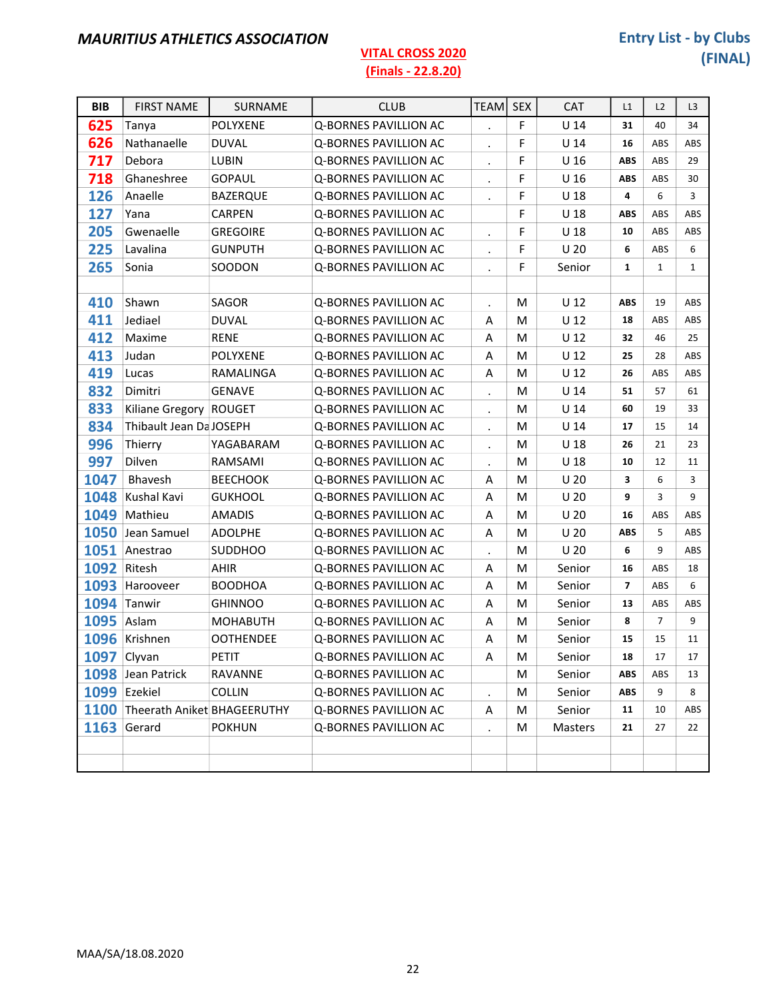| <b>BIB</b>        | <b>FIRST NAME</b>                | SURNAME          | <b>CLUB</b>                  | <b>TEAM</b>          | <b>SEX</b>  | <b>CAT</b>      | L1             | L2             | L <sub>3</sub> |
|-------------------|----------------------------------|------------------|------------------------------|----------------------|-------------|-----------------|----------------|----------------|----------------|
| 625               | Tanya                            | <b>POLYXENE</b>  | Q-BORNES PAVILLION AC        | $\bullet$            | $\mathsf F$ | U <sub>14</sub> | 31             | 40             | 34             |
| 626               | Nathanaelle                      | <b>DUVAL</b>     | Q-BORNES PAVILLION AC        |                      | F           | U <sub>14</sub> | 16             | ABS            | ABS            |
| 717               | Debora                           | LUBIN            | <b>Q-BORNES PAVILLION AC</b> | $\blacksquare$       | F           | U <sub>16</sub> | ABS            | ABS            | 29             |
| 718               | Ghaneshree                       | <b>GOPAUL</b>    | Q-BORNES PAVILLION AC        | $\ddot{\phantom{0}}$ | F           | U <sub>16</sub> | <b>ABS</b>     | ABS            | 30             |
| 126               | Anaelle                          | <b>BAZERQUE</b>  | Q-BORNES PAVILLION AC        |                      | F           | U <sub>18</sub> | 4              | 6              | 3              |
| 127               | Yana                             | <b>CARPEN</b>    | Q-BORNES PAVILLION AC        |                      | F           | U <sub>18</sub> | <b>ABS</b>     | ABS            | ABS            |
| 205               | Gwenaelle                        | <b>GREGOIRE</b>  | Q-BORNES PAVILLION AC        | $\cdot$              | F           | U <sub>18</sub> | 10             | ABS            | ABS            |
| 225               | Lavalina                         | <b>GUNPUTH</b>   | Q-BORNES PAVILLION AC        |                      | F           | U <sub>20</sub> | 6              | ABS            | 6              |
| 265               | Sonia                            | SOODON           | Q-BORNES PAVILLION AC        | $\ddot{\phantom{a}}$ | F           | Senior          | 1              | $\mathbf{1}$   | $\mathbf{1}$   |
|                   |                                  |                  |                              |                      |             |                 |                |                |                |
| 410               | Shawn                            | SAGOR            | Q-BORNES PAVILLION AC        |                      | м           | U <sub>12</sub> | <b>ABS</b>     | 19             | ABS            |
| 411               | Jediael                          | <b>DUVAL</b>     | Q-BORNES PAVILLION AC        | Α                    | M           | U <sub>12</sub> | 18             | ABS            | ABS            |
| 412               | Maxime                           | RENE             | Q-BORNES PAVILLION AC        | Α                    | M           | U <sub>12</sub> | 32             | 46             | 25             |
| 413               | Judan                            | <b>POLYXENE</b>  | <b>Q-BORNES PAVILLION AC</b> | A                    | M           | U <sub>12</sub> | 25             | 28             | ABS            |
| 419               | Lucas                            | RAMALINGA        | <b>Q-BORNES PAVILLION AC</b> | Α                    | M           | U <sub>12</sub> | 26             | ABS            | ABS            |
| 832               | Dimitri                          | <b>GENAVE</b>    | Q-BORNES PAVILLION AC        | $\bullet$            | M           | U <sub>14</sub> | 51             | 57             | 61             |
| 833               | Kiliane Gregory                  | ROUGET           | Q-BORNES PAVILLION AC        |                      | м           | U <sub>14</sub> | 60             | 19             | 33             |
| 834               | Thibault Jean Da JOSEPH          |                  | Q-BORNES PAVILLION AC        | $\ddot{\phantom{0}}$ | M           | U <sub>14</sub> | 17             | 15             | 14             |
| 996               | Thierry                          | YAGABARAM        | Q-BORNES PAVILLION AC        | $\cdot$              | M           | U <sub>18</sub> | 26             | 21             | 23             |
| 997               | Dilven                           | RAMSAMI          | Q-BORNES PAVILLION AC        |                      | м           | U <sub>18</sub> | 10             | 12             | 11             |
| 1047              | Bhavesh                          | <b>BEECHOOK</b>  | Q-BORNES PAVILLION AC        | Α                    | M           | U <sub>20</sub> | 3              | 6              | 3              |
|                   | 1048 Kushal Kavi                 | <b>GUKHOOL</b>   | Q-BORNES PAVILLION AC        | Α                    | M           | U <sub>20</sub> | 9              | 3              | 9              |
| 1049              | Mathieu                          | <b>AMADIS</b>    | Q-BORNES PAVILLION AC        | A                    | M           | U <sub>20</sub> | 16             | ABS            | ABS            |
| 1050              | Jean Samuel                      | <b>ADOLPHE</b>   | Q-BORNES PAVILLION AC        | Α                    | M           | U <sub>20</sub> | <b>ABS</b>     | 5              | ABS            |
|                   | 1051 Anestrao                    | <b>SUDDHOO</b>   | Q-BORNES PAVILLION AC        | $\bullet$            | M           | U <sub>20</sub> | 6              | 9              | ABS            |
| 1092 Ritesh       |                                  | <b>AHIR</b>      | <b>Q-BORNES PAVILLION AC</b> | A                    | м           | Senior          | 16             | ABS            | 18             |
|                   | 1093 Harooveer                   | <b>BOODHOA</b>   | Q-BORNES PAVILLION AC        | Α                    | M           | Senior          | $\overline{ }$ | ABS            | 6              |
| 1094 Tanwir       |                                  | <b>GHINNOO</b>   | Q-BORNES PAVILLION AC        | Α                    | M           | Senior          | 13             | ABS            | ABS            |
| <b>1095</b> Aslam |                                  | <b>MOHABUTH</b>  | Q-BORNES PAVILLION AC        | Α                    | M           | Senior          | 8              | $\overline{7}$ | 9              |
|                   | 1096 Krishnen                    | <b>OOTHENDEE</b> | Q-BORNES PAVILLION AC        | A                    | M           | Senior          | 15             | 15             | 11             |
| 1097 Clyvan       |                                  | PETIT            | Q-BORNES PAVILLION AC        | A                    | M           | Senior          | 18             | 17             | 17             |
|                   | 1098 Jean Patrick                | RAVANNE          | Q-BORNES PAVILLION AC        |                      | M           | Senior          | ABS            | ABS            | 13             |
|                   | 1099 Ezekiel                     | COLLIN           | Q-BORNES PAVILLION AC        |                      | M           | Senior          | ABS            | 9              | 8              |
|                   | 1100 Theerath Aniket BHAGEERUTHY |                  | <b>Q-BORNES PAVILLION AC</b> | Α                    | M           | Senior          | 11             | 10             | ABS            |
| 1163              | Gerard                           | <b>POKHUN</b>    | Q-BORNES PAVILLION AC        |                      | M           | Masters         | 21             | 27             | 22             |
|                   |                                  |                  |                              |                      |             |                 |                |                |                |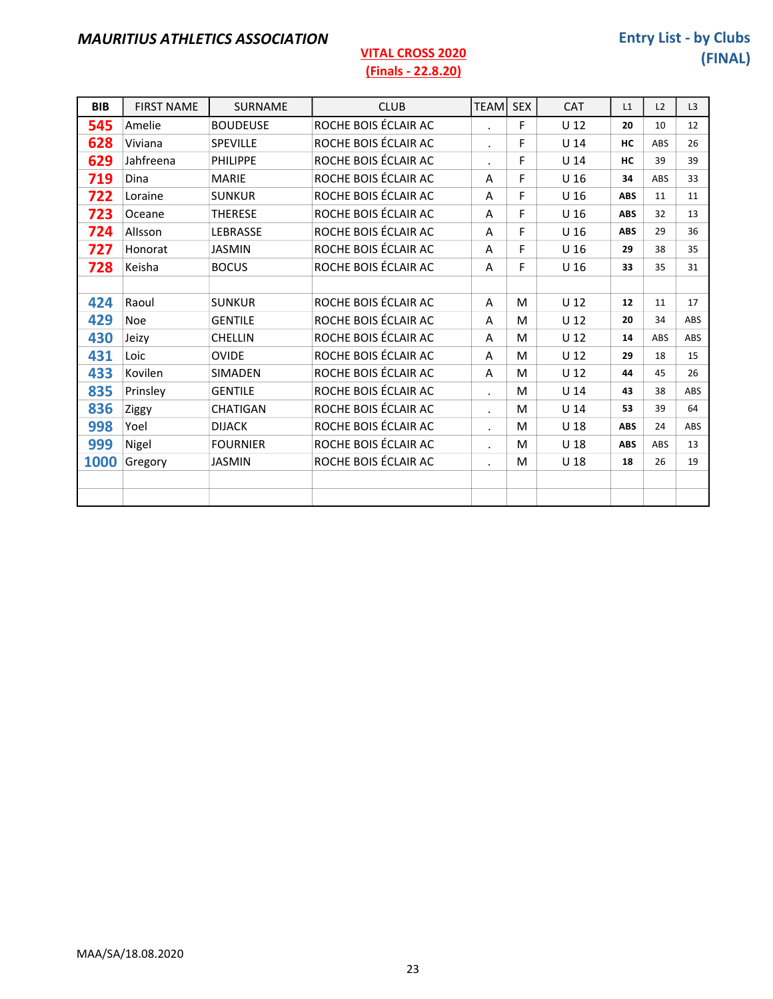| <b>BIB</b> | <b>FIRST NAME</b> | <b>SURNAME</b>  | <b>CLUB</b>          | <b>TEAM</b>          | <b>SEX</b> | <b>CAT</b>      | L1         | L2  | L <sub>3</sub> |
|------------|-------------------|-----------------|----------------------|----------------------|------------|-----------------|------------|-----|----------------|
| 545        | Amelie            | <b>BOUDEUSE</b> | ROCHE BOIS ÉCLAIR AC | $\blacksquare$       | F          | U <sub>12</sub> | 20         | 10  | 12             |
| 628        | Viviana           | <b>SPEVILLE</b> | ROCHE BOIS ÉCLAIR AC | $\bullet$            | F          | U <sub>14</sub> | HC         | ABS | 26             |
| 629        | Jahfreena         | PHILIPPE        | ROCHE BOIS ÉCLAIR AC | $\bullet$            | F          | $U$ 14          | НC         | 39  | 39             |
| 719        | Dina              | <b>MARIE</b>    | ROCHE BOIS ÉCLAIR AC | A                    | F          | U <sub>16</sub> | 34         | ABS | 33             |
| 722        | Loraine           | <b>SUNKUR</b>   | ROCHE BOIS ÉCLAIR AC | A                    | F          | U <sub>16</sub> | <b>ABS</b> | 11  | 11             |
| 723        | Oceane            | <b>THERESE</b>  | ROCHE BOIS ÉCLAIR AC | A                    | F          | U <sub>16</sub> | <b>ABS</b> | 32  | 13             |
| 724        | Allsson           | LEBRASSE        | ROCHE BOIS ÉCLAIR AC | A                    | F          | U <sub>16</sub> | <b>ABS</b> | 29  | 36             |
| 727        | Honorat           | <b>JASMIN</b>   | ROCHE BOIS ÉCLAIR AC | A                    | F          | U <sub>16</sub> | 29         | 38  | 35             |
| 728        | Keisha            | <b>BOCUS</b>    | ROCHE BOIS ÉCLAIR AC | A                    | F          | U <sub>16</sub> | 33         | 35  | 31             |
|            |                   |                 |                      |                      |            |                 |            |     |                |
| 424        | Raoul             | <b>SUNKUR</b>   | ROCHE BOIS ÉCLAIR AC | A                    | M          | U <sub>12</sub> | 12         | 11  | 17             |
| 429        | <b>Noe</b>        | <b>GENTILE</b>  | ROCHE BOIS ÉCLAIR AC | A                    | M          | U <sub>12</sub> | 20         | 34  | ABS            |
| 430        | Jeizy             | <b>CHELLIN</b>  | ROCHE BOIS ÉCLAIR AC | A                    | M          | U <sub>12</sub> | 14         | ABS | ABS            |
| 431        | Loic              | <b>OVIDE</b>    | ROCHE BOIS ÉCLAIR AC | A                    | M          | U <sub>12</sub> | 29         | 18  | 15             |
| 433        | Kovilen           | <b>SIMADEN</b>  | ROCHE BOIS ÉCLAIR AC | A                    | M          | U <sub>12</sub> | 44         | 45  | 26             |
| 835        | Prinsley          | <b>GENTILE</b>  | ROCHE BOIS ÉCLAIR AC | $\ddot{\phantom{a}}$ | M          | $U$ 14          | 43         | 38  | ABS            |
| 836        | Ziggy             | <b>CHATIGAN</b> | ROCHE BOIS ÉCLAIR AC | $\ddot{\phantom{0}}$ | M          | U <sub>14</sub> | 53         | 39  | 64             |
| 998        | Yoel              | <b>DIJACK</b>   | ROCHE BOIS ÉCLAIR AC | $\cdot$              | M          | U <sub>18</sub> | <b>ABS</b> | 24  | ABS            |
| 999        | Nigel             | <b>FOURNIER</b> | ROCHE BOIS ÉCLAIR AC | $\cdot$              | M          | U <sub>18</sub> | <b>ABS</b> | ABS | 13             |
| 1000       | Gregory           | <b>JASMIN</b>   | ROCHE BOIS ÉCLAIR AC | $\bullet$            | M          | U <sub>18</sub> | 18         | 26  | 19             |
|            |                   |                 |                      |                      |            |                 |            |     |                |
|            |                   |                 |                      |                      |            |                 |            |     |                |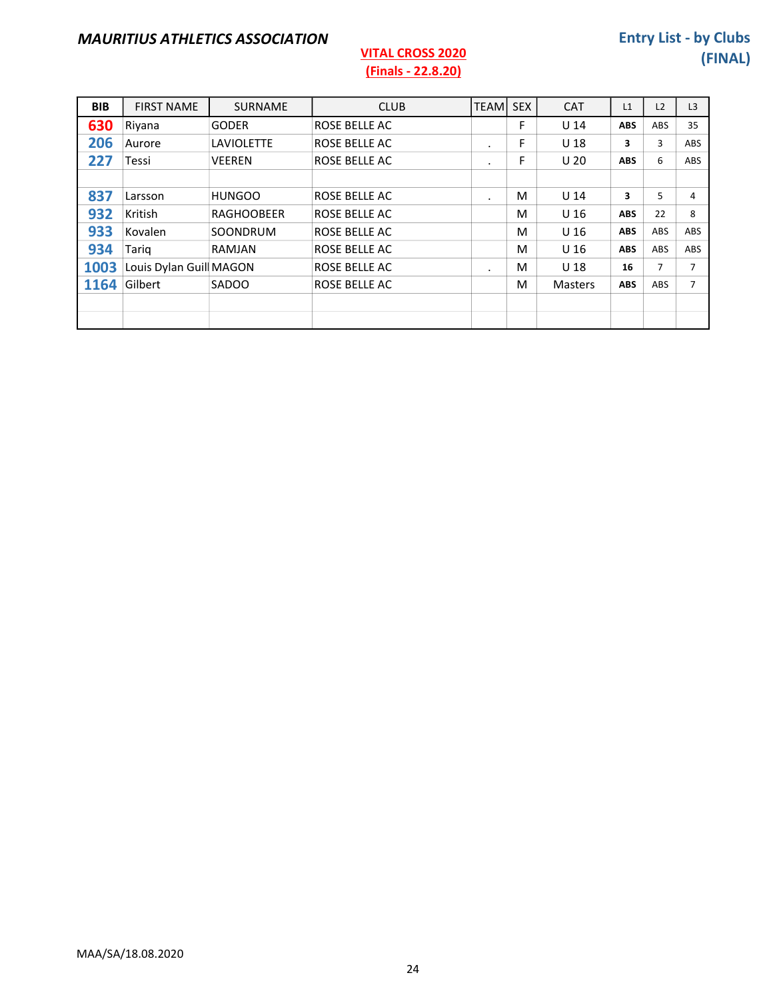### VITAL CROSS 2020

#### Entry List - by Clubs (FINAL)

| <b>BIB</b> | <b>FIRST NAME</b>       | <b>SURNAME</b>    | <b>CLUB</b>          | <b>TEAMI</b> | <b>SEX</b> | <b>CAT</b>      | L1         | L <sub>2</sub> | L <sub>3</sub> |
|------------|-------------------------|-------------------|----------------------|--------------|------------|-----------------|------------|----------------|----------------|
| 630        | Riyana                  | <b>GODER</b>      | ROSE BELLE AC        |              | F          | U <sub>14</sub> | <b>ABS</b> | ABS            | 35             |
| 206        | Aurore                  | <b>LAVIOLETTE</b> | ROSE BELLE AC        | $\bullet$    | F          | U <sub>18</sub> | 3          | 3              | ABS            |
| 227        | Tessi                   | <b>VEEREN</b>     | <b>ROSE BELLE AC</b> | $\cdot$      | F          | U <sub>20</sub> | <b>ABS</b> | 6              | ABS            |
|            |                         |                   |                      |              |            |                 |            |                |                |
| 837        | Larsson                 | <b>HUNGOO</b>     | ROSE BELLE AC        | $\bullet$    | M          | U <sub>14</sub> | 3          | 5              | 4              |
| 932        | Kritish                 | <b>RAGHOOBEER</b> | ROSE BELLE AC        |              | M          | U <sub>16</sub> | <b>ABS</b> | 22             | 8              |
| 933        | Kovalen                 | SOONDRUM          | ROSE BELLE AC        |              | M          | U <sub>16</sub> | <b>ABS</b> | <b>ABS</b>     | ABS            |
| 934        | Tarig                   | <b>RAMJAN</b>     | ROSE BELLE AC        |              | M          | U 16            | <b>ABS</b> | <b>ABS</b>     | ABS            |
| 1003       | Louis Dylan Guill MAGON |                   | ROSE BELLE AC        | $\bullet$    | M          | U 18            | 16         | $\overline{7}$ | $\overline{7}$ |
| 1164       | Gilbert                 | <b>SADOO</b>      | ROSE BELLE AC        |              | M          | Masters         | <b>ABS</b> | <b>ABS</b>     | $\overline{7}$ |
|            |                         |                   |                      |              |            |                 |            |                |                |
|            |                         |                   |                      |              |            |                 |            |                |                |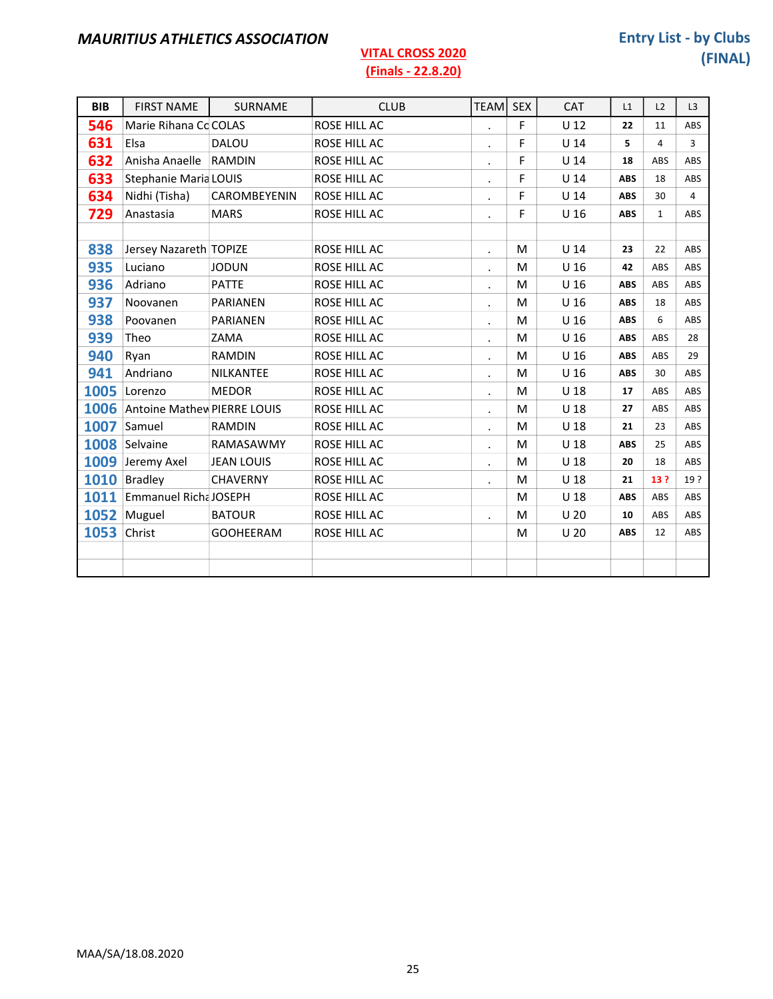## VITAL CROSS 2020

| <b>BIB</b> | <b>FIRST NAME</b>                | <b>SURNAME</b>      | <b>CLUB</b>  | <b>TEAM</b>          | <b>SEX</b> | <b>CAT</b>      | L1         | L2           | L <sub>3</sub> |
|------------|----------------------------------|---------------------|--------------|----------------------|------------|-----------------|------------|--------------|----------------|
| 546        | Marie Rihana Co COLAS            |                     | ROSE HILL AC | $\ddot{\phantom{a}}$ | F          | $U$ 12          | 22         | 11           | <b>ABS</b>     |
| 631        | Elsa                             | <b>DALOU</b>        | ROSE HILL AC | $\cdot$              | F          | U <sub>14</sub> | 5          | 4            | 3              |
| 632        | Anisha Anaelle   RAMDIN          |                     | ROSE HILL AC | $\blacksquare$       | F          | $U$ 14          | 18         | ABS          | ABS            |
| 633        | <b>Stephanie Maria LOUIS</b>     |                     | ROSE HILL AC | $\cdot$              | F          | U <sub>14</sub> | <b>ABS</b> | 18           | ABS            |
| 634        | Nidhi (Tisha)                    | <b>CAROMBEYENIN</b> | ROSE HILL AC | $\cdot$              | F          | U <sub>14</sub> | <b>ABS</b> | 30           | 4              |
| 729        | Anastasia                        | <b>MARS</b>         | ROSE HILL AC | $\cdot$              | F          | U <sub>16</sub> | <b>ABS</b> | $\mathbf{1}$ | ABS            |
|            |                                  |                     |              |                      |            |                 |            |              |                |
| 838        | Jersey Nazareth TOPIZE           |                     | ROSE HILL AC | $\cdot$              | M          | U 14            | 23         | 22           | ABS            |
| 935        | Luciano                          | <b>JODUN</b>        | ROSE HILL AC | $\bullet$            | M          | U <sub>16</sub> | 42         | ABS          | ABS            |
| 936        | Adriano                          | <b>PATTE</b>        | ROSE HILL AC | $\bullet$            | M          | U <sub>16</sub> | <b>ABS</b> | ABS          | ABS            |
| 937        | Noovanen                         | <b>PARIANEN</b>     | ROSE HILL AC | $\bullet$            | M          | U <sub>16</sub> | <b>ABS</b> | 18           | ABS            |
| 938        | Poovanen                         | <b>PARIANEN</b>     | ROSE HILL AC | $\ddot{\phantom{a}}$ | M          | U <sub>16</sub> | <b>ABS</b> | 6            | ABS            |
| 939        | Theo                             | ZAMA                | ROSE HILL AC | $\bullet$            | M          | U <sub>16</sub> | <b>ABS</b> | ABS          | 28             |
| 940        | Ryan                             | <b>RAMDIN</b>       | ROSE HILL AC | $\bullet$            | M          | U <sub>16</sub> | <b>ABS</b> | ABS          | 29             |
| 941        | Andriano                         | <b>NILKANTEE</b>    | ROSE HILL AC | $\bullet$            | M          | U <sub>16</sub> | <b>ABS</b> | 30           | ABS            |
| 1005       | Lorenzo                          | <b>MEDOR</b>        | ROSE HILL AC | $\cdot$              | M          | U <sub>18</sub> | 17         | ABS          | ABS            |
|            | 1006 Antoine Mathew PIERRE LOUIS |                     | ROSE HILL AC | $\cdot$              | M          | U <sub>18</sub> | 27         | ABS          | <b>ABS</b>     |
|            | 1007 Samuel                      | <b>RAMDIN</b>       | ROSE HILL AC | $\cdot$              | M          | U <sub>18</sub> | 21         | 23           | ABS            |
|            | 1008 Selvaine                    | <b>RAMASAWMY</b>    | ROSE HILL AC | $\bullet$            | M          | U <sub>18</sub> | <b>ABS</b> | 25           | ABS            |
| 1009       | Jeremy Axel                      | <b>JEAN LOUIS</b>   | ROSE HILL AC | $\bullet$            | M          | U <sub>18</sub> | 20         | 18           | ABS            |
| 1010       | Bradley                          | <b>CHAVERNY</b>     | ROSE HILL AC | $\cdot$              | M          | $U$ 18          | 21         | 13?          | 19?            |
| 1011       | Emmanuel Richa JOSEPH            |                     | ROSE HILL AC |                      | М          | U <sub>18</sub> | <b>ABS</b> | ABS          | ABS            |
| 1052       | Muguel                           | <b>BATOUR</b>       | ROSE HILL AC | $\cdot$              | M          | U <sub>20</sub> | 10         | ABS          | ABS            |
| 1053       | Christ                           | <b>GOOHEERAM</b>    | ROSE HILL AC |                      | M          | U <sub>20</sub> | <b>ABS</b> | 12           | ABS            |
|            |                                  |                     |              |                      |            |                 |            |              |                |
|            |                                  |                     |              |                      |            |                 |            |              |                |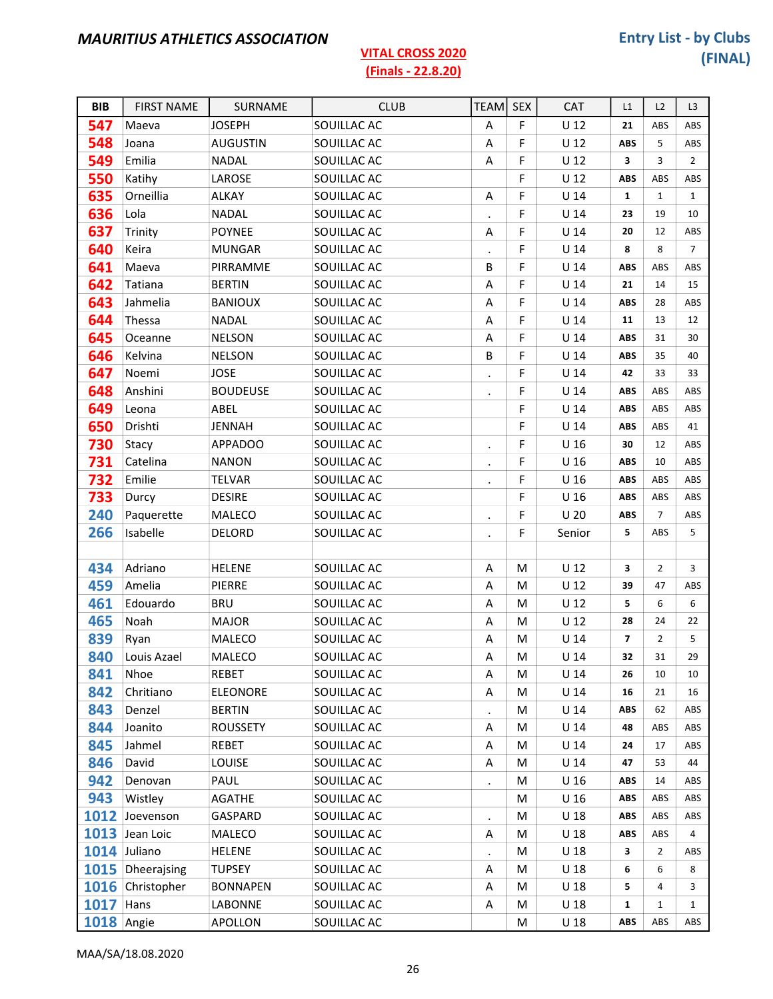| <b>BIB</b>  | <b>FIRST NAME</b> | SURNAME         | <b>CLUB</b> | <b>TEAM</b>               | <b>SEX</b> | <b>CAT</b>      | L1                      | L2             | L <sub>3</sub> |
|-------------|-------------------|-----------------|-------------|---------------------------|------------|-----------------|-------------------------|----------------|----------------|
| 547         | Maeva             | <b>JOSEPH</b>   | SOUILLAC AC | Α                         | F          | U <sub>12</sub> | 21                      | ABS            | ABS            |
| 548         | Joana             | <b>AUGUSTIN</b> | SOUILLAC AC | Α                         | F          | $U$ 12          | <b>ABS</b>              | 5              | ABS            |
| 549         | Emilia            | <b>NADAL</b>    | SOUILLAC AC | A                         | F          | $U$ 12          | $\overline{\mathbf{3}}$ | 3              | $\overline{2}$ |
| 550         | Katihy            | LAROSE          | SOUILLAC AC |                           | F          | U <sub>12</sub> | <b>ABS</b>              | ABS            | ABS            |
| 635         | Orneillia         | ALKAY           | SOUILLAC AC | A                         | F          | $U$ 14          | $\mathbf{1}$            | $\mathbf{1}$   | $\mathbf{1}$   |
| 636         | Lola              | <b>NADAL</b>    | SOUILLAC AC | $\blacksquare$            | F          | $U$ 14          | 23                      | 19             | 10             |
| 637         | Trinity           | <b>POYNEE</b>   | SOUILLAC AC | Α                         | F          | U <sub>14</sub> | 20                      | 12             | ABS            |
| 640         | Keira             | <b>MUNGAR</b>   | SOUILLAC AC | $\bullet$                 | F          | U <sub>14</sub> | 8                       | 8              | $\overline{7}$ |
| 641         | Maeva             | PIRRAMME        | SOUILLAC AC | B                         | F          | $U$ 14          | <b>ABS</b>              | ABS            | ABS            |
| 642         | Tatiana           | <b>BERTIN</b>   | SOUILLAC AC | A                         | F          | U <sub>14</sub> | 21                      | 14             | 15             |
| 643         | Jahmelia          | <b>BANIOUX</b>  | SOUILLAC AC | A                         | F          | $U$ 14          | <b>ABS</b>              | 28             | ABS            |
| 644         | Thessa            | <b>NADAL</b>    | SOUILLAC AC | $\boldsymbol{\mathsf{A}}$ | F          | U <sub>14</sub> | 11                      | 13             | 12             |
| 645         | Oceanne           | <b>NELSON</b>   | SOUILLAC AC | Α                         | F          | U <sub>14</sub> | <b>ABS</b>              | 31             | 30             |
| 646         | Kelvina           | <b>NELSON</b>   | SOUILLAC AC | B                         | F          | $U$ 14          | <b>ABS</b>              | 35             | 40             |
| 647         | Noemi             | <b>JOSE</b>     | SOUILLAC AC | $\bullet$                 | F          | $U$ 14          | 42                      | 33             | 33             |
| 648         | Anshini           | <b>BOUDEUSE</b> | SOUILLAC AC | $\bullet$                 | F          | U <sub>14</sub> | <b>ABS</b>              | ABS            | ABS            |
| 649         | Leona             | ABEL            | SOUILLAC AC |                           | F          | $U$ 14          | <b>ABS</b>              | ABS            | ABS            |
| 650         | Drishti           | <b>JENNAH</b>   | SOUILLAC AC |                           | F          | U <sub>14</sub> | <b>ABS</b>              | ABS            | 41             |
| 730         | Stacy             | <b>APPADOO</b>  | SOUILLAC AC | $\cdot$                   | F          | U <sub>16</sub> | 30                      | 12             | ABS            |
| 731         | Catelina          | <b>NANON</b>    | SOUILLAC AC | $\bullet$                 | F          | U <sub>16</sub> | <b>ABS</b>              | 10             | ABS            |
| 732         | Emilie            | <b>TELVAR</b>   | SOUILLAC AC | $\cdot$                   | F          | U <sub>16</sub> | <b>ABS</b>              | ABS            | ABS            |
| 733         | Durcy             | <b>DESIRE</b>   | SOUILLAC AC |                           | F          | U <sub>16</sub> | <b>ABS</b>              | ABS            | ABS            |
| 240         | Paquerette        | MALECO          | SOUILLAC AC | $\bullet$                 | F          | U <sub>20</sub> | <b>ABS</b>              | $\overline{7}$ | ABS            |
| 266         | Isabelle          | DELORD          | SOUILLAC AC | $\bullet$                 | F          | Senior          | 5                       | ABS            | 5              |
|             |                   |                 |             |                           |            |                 |                         |                |                |
| 434         | Adriano           | <b>HELENE</b>   | SOUILLAC AC | Α                         | M          | $U$ 12          | $\overline{\mathbf{3}}$ | $\overline{2}$ | 3              |
| 459         | Amelia            | <b>PIERRE</b>   | SOUILLAC AC | A                         | M          | $U$ 12          | 39                      | 47             | ABS            |
| 461         | Edouardo          | <b>BRU</b>      | SOUILLAC AC | Α                         | М          | U <sub>12</sub> | 5                       | 6              | 6              |
| 465         | Noah              | <b>MAJOR</b>    | SOUILLAC AC | Α                         | М          | $U$ 12          | 28                      | 24             | 22             |
| 839         | Ryan              | MALECO          | SOUILLAC AC | A                         | M          | U <sub>14</sub> | $\overline{7}$          | $\overline{2}$ | 5              |
| 840         | Louis Azael       | MALECO          | SOUILLAC AC | A                         | М          | U 14            | 32                      | 31             | 29             |
| 841         | Nhoe              | REBET           | SOUILLAC AC | Α                         | M          | U <sub>14</sub> | 26                      | 10             | 10             |
| 842         | Chritiano         | <b>ELEONORE</b> | SOUILLAC AC | Α                         | М          | $U$ 14          | 16                      | 21             | 16             |
| 843         | Denzel            | <b>BERTIN</b>   | SOUILLAC AC | $\ddot{\phantom{0}}$      | M          | $U$ 14          | ABS                     | 62             | ABS            |
| 844         | Joanito           | ROUSSETY        | SOUILLAC AC | Α                         | М          | $U$ 14          | 48                      | ABS            | ABS            |
| 845         | Jahmel            | REBET           | SOUILLAC AC | Α                         | М          | U <sub>14</sub> | 24                      | 17             | ABS            |
| 846         | David             | LOUISE          | SOUILLAC AC | Α                         | М          | $U$ 14          | 47                      | 53             | 44             |
| 942         | Denovan           | PAUL            | SOUILLAC AC | $\bullet$                 | М          | U <sub>16</sub> | ABS                     | 14             | ABS            |
| 943         | Wistley           | <b>AGATHE</b>   | SOUILLAC AC |                           | М          | U <sub>16</sub> | <b>ABS</b>              | ABS            | ABS            |
| 1012        | Joevenson         | GASPARD         | SOUILLAC AC | $\ddot{\phantom{0}}$      | М          | U <sub>18</sub> | ABS                     | ABS            | ABS            |
|             | 1013 Jean Loic    | MALECO          | SOUILLAC AC | Α                         | M          | U <sub>18</sub> | ABS                     | ABS            | 4              |
|             | 1014 Juliano      | <b>HELENE</b>   | SOUILLAC AC | $\bullet$                 | M          | U <sub>18</sub> | 3                       | 2              | ABS            |
|             | 1015 Dheerajsing  | <b>TUPSEY</b>   | SOUILLAC AC | Α                         | М          | U <sub>18</sub> | 6                       | 6              | 8              |
|             | 1016 Christopher  | <b>BONNAPEN</b> | SOUILLAC AC | Α                         | М          | U <sub>18</sub> | 5                       | 4              | 3              |
| $1017$ Hans |                   | LABONNE         | SOUILLAC AC | Α                         | М          | U <sub>18</sub> | 1                       | 1              | $\mathbf{1}$   |
|             | <b>1018</b> Angie | APOLLON         | SOUILLAC AC |                           | М          | U <sub>18</sub> | ABS                     | ABS            | ABS            |

MAA/SA/18.08.2020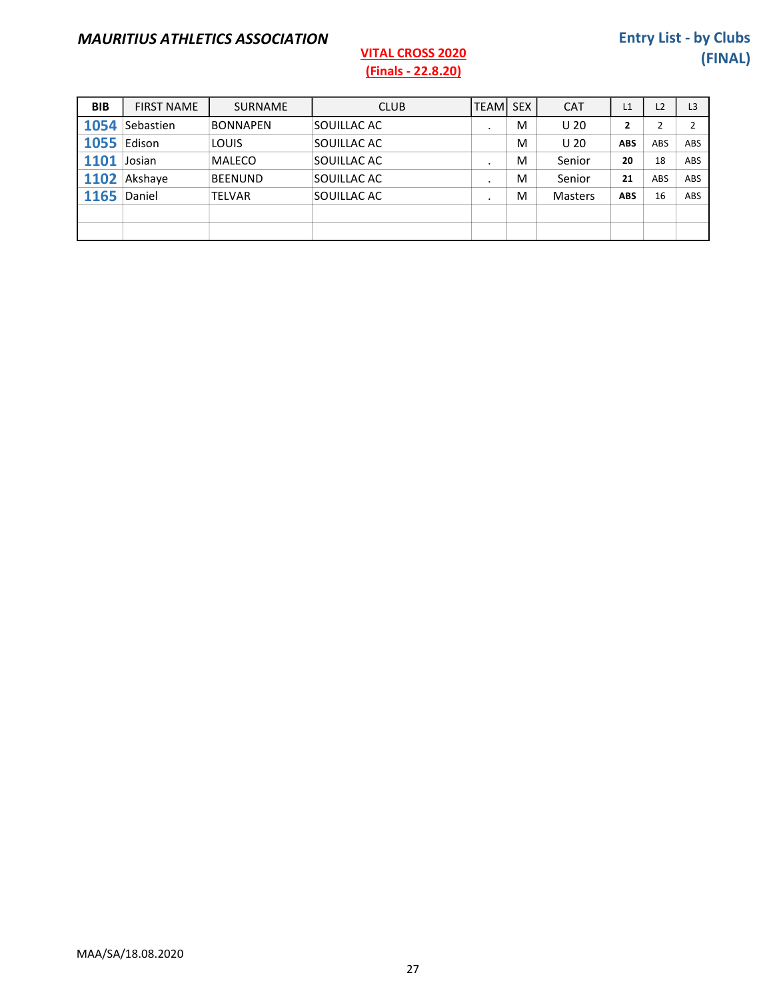### VITAL CROSS 2020

#### Entry List - by Clubs (FINAL)

| <b>BIB</b> | <b>FIRST NAME</b> | <b>SURNAME</b>  | <b>CLUB</b>        | <b>TEAMI SEX</b> |   | <b>CAT</b>      | L1         | L <sub>2</sub> | L <sub>3</sub> |
|------------|-------------------|-----------------|--------------------|------------------|---|-----------------|------------|----------------|----------------|
| 1054       | Sebastien         | <b>BONNAPEN</b> | SOUILLAC AC        | $\cdot$          | M | U <sub>20</sub> | 2          | 2              | $\overline{2}$ |
| 1055       | Edison            | LOUIS           | SOUILLAC AC        |                  | M | U <sub>20</sub> | <b>ABS</b> | <b>ABS</b>     | <b>ABS</b>     |
| 1101       | Josian            | <b>MALECO</b>   | SOUILLAC AC        |                  | M | Senior          | 20         | 18             | ABS            |
| 1102       | Akshave           | <b>BEENUND</b>  | SOUILLAC AC        |                  | M | Senior          | 21         | ABS            | ABS            |
| 1165       | Daniel            | <b>TELVAR</b>   | <b>SOUILLAC AC</b> |                  | M | <b>Masters</b>  | <b>ABS</b> | 16             | ABS            |
|            |                   |                 |                    |                  |   |                 |            |                |                |
|            |                   |                 |                    |                  |   |                 |            |                |                |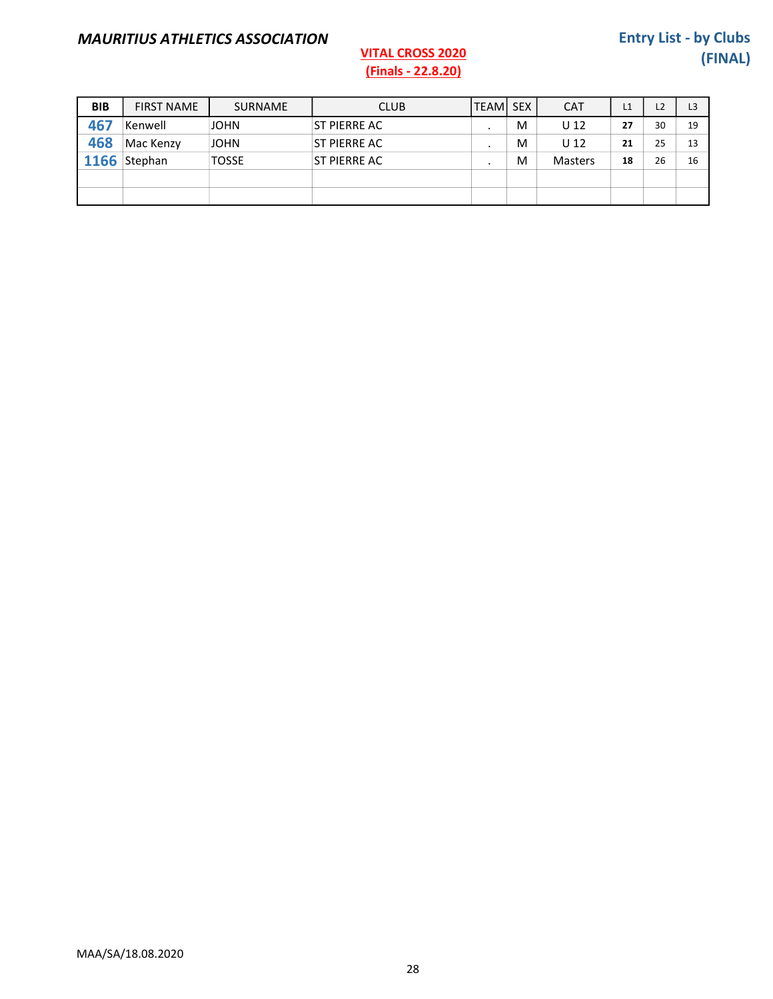### VITAL CROSS 2020

| <b>BIB</b> | <b>FIRST NAME</b> | <b>SURNAME</b> | <b>CLUB</b>         | <b>TEAM SEX</b> |   | <b>CAT</b>      | L1 | L2 | L3 |
|------------|-------------------|----------------|---------------------|-----------------|---|-----------------|----|----|----|
| 467        | Kenwell           | <b>JOHN</b>    | ST PIERRE AC        |                 | M | U <sub>12</sub> | 27 | 30 | 19 |
| 468        | Mac Kenzy         | <b>JOHN</b>    | <b>ST PIERRE AC</b> |                 | M | U 12            | 21 | 25 | 13 |
| 1166       | Stephan           | <b>TOSSE</b>   | ST PIERRE AC        |                 | M | <b>Masters</b>  | 18 | 26 | 16 |
|            |                   |                |                     |                 |   |                 |    |    |    |
|            |                   |                |                     |                 |   |                 |    |    |    |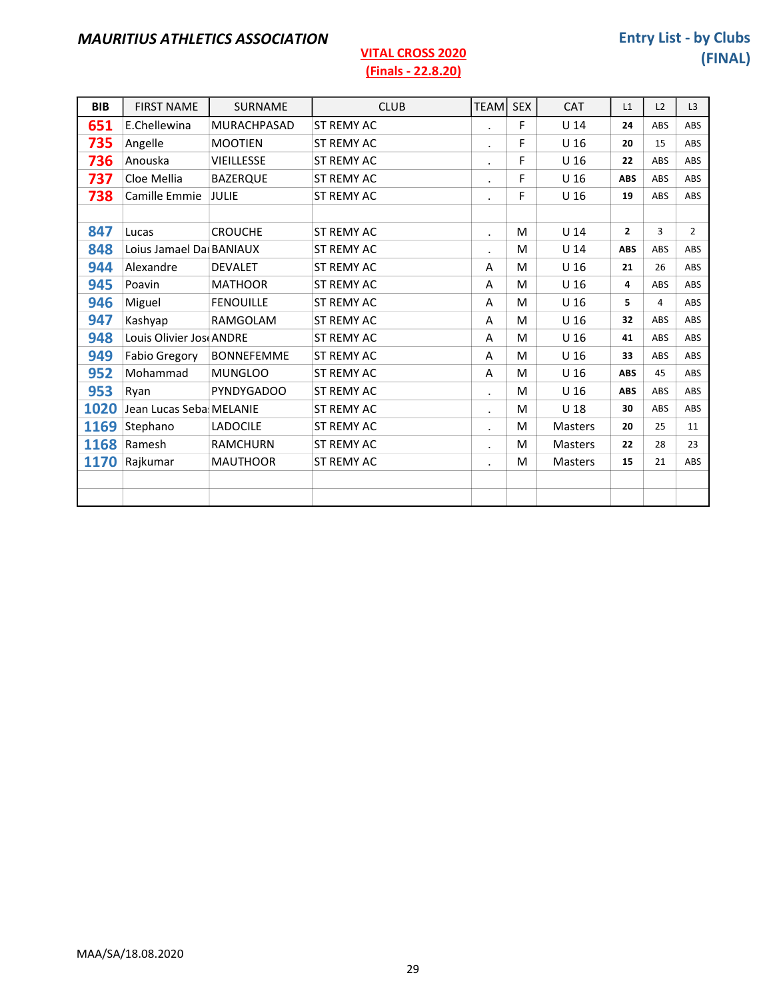### VITAL CROSS 2020

| <b>BIB</b> | <b>FIRST NAME</b>        | <b>SURNAME</b>     | <b>CLUB</b>       | <b>TEAM</b>          | <b>SEX</b> | CAT             | L1             | L2  | L3             |
|------------|--------------------------|--------------------|-------------------|----------------------|------------|-----------------|----------------|-----|----------------|
| 651        | E.Chellewina             | <b>MURACHPASAD</b> | <b>ST REMY AC</b> | $\ddot{\phantom{a}}$ | F          | U <sub>14</sub> | 24             | ABS | ABS            |
| 735        | Angelle                  | <b>MOOTIEN</b>     | <b>ST REMY AC</b> | $\cdot$              | F          | U <sub>16</sub> | 20             | 15  | ABS            |
| 736        | Anouska                  | <b>VIEILLESSE</b>  | <b>ST REMY AC</b> | $\cdot$              | F          | U <sub>16</sub> | 22             | ABS | ABS            |
| 737        | Cloe Mellia              | <b>BAZERQUE</b>    | <b>ST REMY AC</b> | $\bullet$            | F          | U <sub>16</sub> | <b>ABS</b>     | ABS | ABS            |
| 738        | Camille Emmie            | <b>JULIE</b>       | <b>ST REMY AC</b> | $\bullet$            | F          | U <sub>16</sub> | 19             | ABS | ABS            |
|            |                          |                    |                   |                      |            |                 |                |     |                |
| 847        | Lucas                    | <b>CROUCHE</b>     | <b>ST REMY AC</b> | $\ddot{\phantom{0}}$ | M          | $U$ 14          | $\overline{2}$ | 3   | $\overline{2}$ |
| 848        | Loius Jamael Dai BANIAUX |                    | <b>ST REMY AC</b> | $\cdot$              | M          | U <sub>14</sub> | <b>ABS</b>     | ABS | ABS            |
| 944        | Alexandre                | <b>DEVALET</b>     | <b>ST REMY AC</b> | A                    | M          | U <sub>16</sub> | 21             | 26  | ABS            |
| 945        | Poavin                   | <b>MATHOOR</b>     | <b>ST REMY AC</b> | Α                    | M          | U 16            | 4              | ABS | ABS            |
| 946        | Miguel                   | <b>FENOUILLE</b>   | <b>ST REMY AC</b> | Α                    | M          | U <sub>16</sub> | 5.             | 4   | ABS            |
| 947        | Kashyap                  | RAMGOLAM           | <b>ST REMY AC</b> | A                    | M          | U <sub>16</sub> | 32             | ABS | ABS            |
| 948        | Louis Olivier Jos ANDRE  |                    | <b>ST REMY AC</b> | A                    | M          | U <sub>16</sub> | 41             | ABS | ABS            |
| 949        | <b>Fabio Gregory</b>     | <b>BONNEFEMME</b>  | <b>ST REMY AC</b> | A                    | M          | U <sub>16</sub> | 33             | ABS | ABS            |
| 952        | Mohammad                 | <b>MUNGLOO</b>     | <b>ST REMY AC</b> | A                    | M          | U <sub>16</sub> | <b>ABS</b>     | 45  | ABS            |
| 953        | Ryan                     | <b>PYNDYGADOO</b>  | <b>ST REMY AC</b> | $\ddot{\phantom{0}}$ | M          | U <sub>16</sub> | <b>ABS</b>     | ABS | ABS            |
| 1020       | Jean Lucas Seba: MELANIE |                    | <b>ST REMY AC</b> | $\cdot$              | M          | U <sub>18</sub> | 30             | ABS | ABS            |
| 1169       | Stephano                 | <b>LADOCILE</b>    | ST REMY AC        | $\cdot$              | M          | <b>Masters</b>  | 20             | 25  | 11             |
| 1168       | Ramesh                   | <b>RAMCHURN</b>    | <b>ST REMY AC</b> | $\cdot$              | M          | <b>Masters</b>  | 22             | 28  | 23             |
| 1170       | Rajkumar                 | <b>MAUTHOOR</b>    | <b>ST REMY AC</b> | $\cdot$              | M          | <b>Masters</b>  | 15             | 21  | ABS            |
|            |                          |                    |                   |                      |            |                 |                |     |                |
|            |                          |                    |                   |                      |            |                 |                |     |                |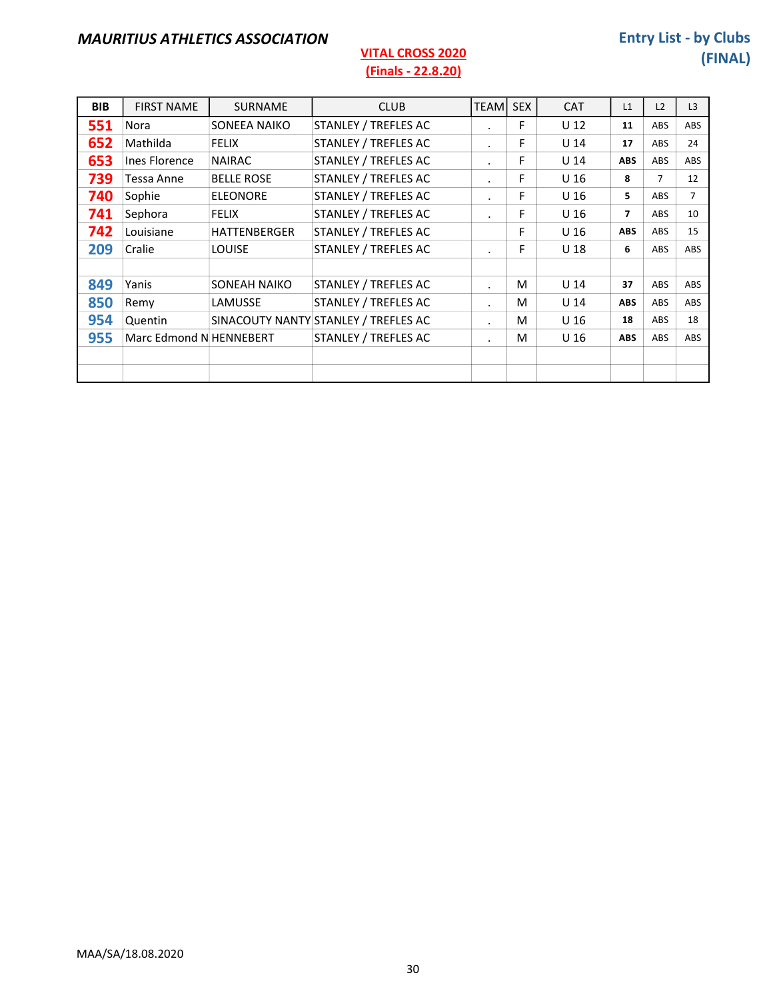#### VITAL CROSS 2020 (Finals - 22.8.20)

#### Entry List - by Clubs (FINAL)

| <b>BIB</b> | <b>FIRST NAME</b>       | <b>SURNAME</b>      | <b>CLUB</b>                          | <b>TEAM</b>          | <b>SEX</b> | <b>CAT</b>      | L1             | L2             | L3             |
|------------|-------------------------|---------------------|--------------------------------------|----------------------|------------|-----------------|----------------|----------------|----------------|
| 551        | <b>Nora</b>             | SONEEA NAIKO        | STANLEY / TREFLES AC                 |                      | F          | U <sub>12</sub> | 11             | ABS            | ABS            |
| 652        | Mathilda                | <b>FELIX</b>        | STANLEY / TREFLES AC                 | $\blacksquare$       | F          | U <sub>14</sub> | 17             | <b>ABS</b>     | 24             |
| 653        | Ines Florence           | <b>NAIRAC</b>       | STANLEY / TREFLES AC                 | $\ddot{\phantom{a}}$ | F          | U <sub>14</sub> | <b>ABS</b>     | <b>ABS</b>     | ABS            |
| 739        | Tessa Anne              | <b>BELLE ROSE</b>   | STANLEY / TREFLES AC                 | $\cdot$              | F          | U 16            | 8              | $\overline{7}$ | 12             |
| 740        | Sophie                  | <b>ELEONORE</b>     | STANLEY / TREFLES AC                 | $\bullet$            | F          | U 16            | 5              | <b>ABS</b>     | $\overline{7}$ |
| 741        | Sephora                 | <b>FELIX</b>        | STANLEY / TREFLES AC                 | $\blacksquare$       | F          | U <sub>16</sub> | $\overline{7}$ | <b>ABS</b>     | 10             |
| 742        | Louisiane               | <b>HATTENBERGER</b> | STANLEY / TREFLES AC                 |                      | F          | U 16            | <b>ABS</b>     | <b>ABS</b>     | 15             |
| 209        | Cralie                  | <b>LOUISE</b>       | STANLEY / TREFLES AC                 | $\cdot$              | F          | U 18            | 6              | <b>ABS</b>     | ABS            |
|            |                         |                     |                                      |                      |            |                 |                |                |                |
| 849        | Yanis                   | SONEAH NAIKO        | STANLEY / TREFLES AC                 | $\ddot{\phantom{0}}$ | M          | U <sub>14</sub> | 37             | ABS            | ABS            |
| 850        | Remy                    | LAMUSSE             | STANLEY / TREFLES AC                 | $\ddot{\phantom{a}}$ | M          | U <sub>14</sub> | <b>ABS</b>     | <b>ABS</b>     | <b>ABS</b>     |
| 954        | Quentin                 |                     | SINACOUTY NANTY STANLEY / TREFLES AC | $\bullet$            | M          | U 16            | 18             | <b>ABS</b>     | 18             |
| 955        | Marc Edmond N HENNEBERT |                     | STANLEY / TREFLES AC                 | $\bullet$            | M          | U 16            | <b>ABS</b>     | <b>ABS</b>     | <b>ABS</b>     |
|            |                         |                     |                                      |                      |            |                 |                |                |                |
|            |                         |                     |                                      |                      |            |                 |                |                |                |